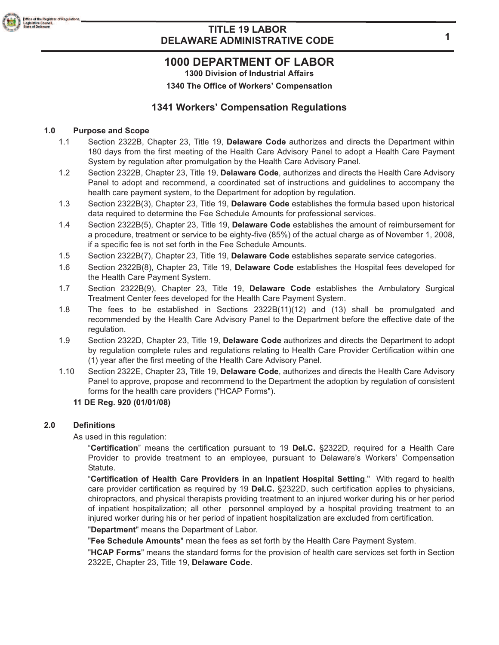

# **1000 DEPARTMENT OF LABOR**

**1300 Division of Industrial Affairs**

**1340 The Office of Workers' Compensation**

# **1341 Workers' Compensation Regulations**

### **1.0 Purpose and Scope**

- 1.1 Section 2322B, Chapter 23, Title 19, **Delaware Code** authorizes and directs the Department within 180 days from the first meeting of the Health Care Advisory Panel to adopt a Health Care Payment System by regulation after promulgation by the Health Care Advisory Panel.
- 1.2 Section 2322B, Chapter 23, Title 19, **Delaware Code**, authorizes and directs the Health Care Advisory Panel to adopt and recommend, a coordinated set of instructions and guidelines to accompany the health care payment system, to the Department for adoption by regulation.
- 1.3 Section 2322B(3), Chapter 23, Title 19, **Delaware Code** establishes the formula based upon historical data required to determine the Fee Schedule Amounts for professional services.
- 1.4 Section 2322B(5), Chapter 23, Title 19, **Delaware Code** establishes the amount of reimbursement for a procedure, treatment or service to be eighty-five (85%) of the actual charge as of November 1, 2008, if a specific fee is not set forth in the Fee Schedule Amounts.
- 1.5 Section 2322B(7), Chapter 23, Title 19, **Delaware Code** establishes separate service categories.
- 1.6 Section 2322B(8), Chapter 23, Title 19, **Delaware Code** establishes the Hospital fees developed for the Health Care Payment System.
- 1.7 Section 2322B(9), Chapter 23, Title 19, **Delaware Code** establishes the Ambulatory Surgical Treatment Center fees developed for the Health Care Payment System.
- 1.8 The fees to be established in Sections 2322B(11)(12) and (13) shall be promulgated and recommended by the Health Care Advisory Panel to the Department before the effective date of the regulation.
- 1.9 Section 2322D, Chapter 23, Title 19, **Delaware Code** authorizes and directs the Department to adopt by regulation complete rules and regulations relating to Health Care Provider Certification within one (1) year after the first meeting of the Health Care Advisory Panel.
- 1.10 Section 2322E, Chapter 23, Title 19, **Delaware Code**, authorizes and directs the Health Care Advisory Panel to approve, propose and recommend to the Department the adoption by regulation of consistent forms for the health care providers ("HCAP Forms").

### **11 DE Reg. 920 (01/01/08)**

### **2.0 Definitions**

As used in this regulation:

"**Certification**" means the certification pursuant to 19 **Del.C.** §2322D, required for a Health Care Provider to provide treatment to an employee, pursuant to Delaware's Workers' Compensation Statute.

"**Certification of Health Care Providers in an Inpatient Hospital Setting**." With regard to health care provider certification as required by 19 **Del.C.** §2322D, such certification applies to physicians, chiropractors, and physical therapists providing treatment to an injured worker during his or her period of inpatient hospitalization; all other personnel employed by a hospital providing treatment to an injured worker during his or her period of inpatient hospitalization are excluded from certification.

"**Department**" means the Department of Labor.

"**Fee Schedule Amounts**" mean the fees as set forth by the Health Care Payment System.

"**HCAP Forms**" means the standard forms for the provision of health care services set forth in Section 2322E, Chapter 23, Title 19, **Delaware Code**.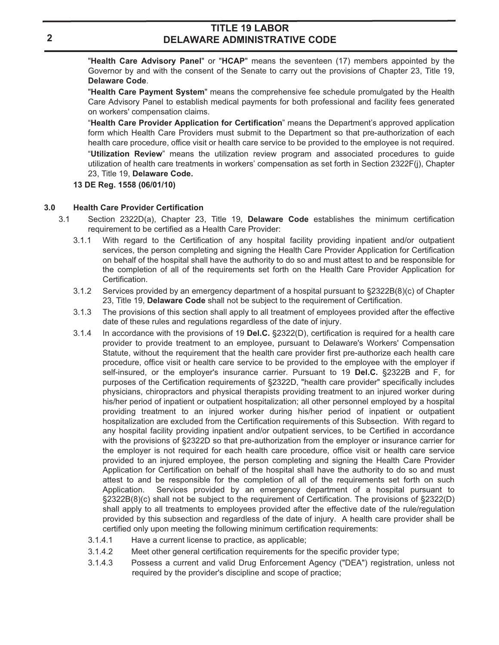"**Health Care Advisory Panel**" or "**HCAP**" means the seventeen (17) members appointed by the Governor by and with the consent of the Senate to carry out the provisions of Chapter 23, Title 19, **Delaware Code**.

"**Health Care Payment System**" means the comprehensive fee schedule promulgated by the Health Care Advisory Panel to establish medical payments for both professional and facility fees generated on workers' compensation claims.

"**Health Care Provider Application for Certification**" means the Department's approved application form which Health Care Providers must submit to the Department so that pre-authorization of each health care procedure, office visit or health care service to be provided to the employee is not required.

"**Utilization Review**" means the utilization review program and associated procedures to guide utilization of health care treatments in workers' compensation as set forth in Section 2322F(j), Chapter 23, Title 19, **Delaware Code.**

**13 DE Reg. 1558 (06/01/10)**

### **3.0 Health Care Provider Certification**

- 3.1 Section 2322D(a), Chapter 23, Title 19, **Delaware Code** establishes the minimum certification requirement to be certified as a Health Care Provider:
	- 3.1.1 With regard to the Certification of any hospital facility providing inpatient and/or outpatient services, the person completing and signing the Health Care Provider Application for Certification on behalf of the hospital shall have the authority to do so and must attest to and be responsible for the completion of all of the requirements set forth on the Health Care Provider Application for Certification.
	- 3.1.2 Services provided by an emergency department of a hospital pursuant to §2322B(8)(c) of Chapter 23, Title 19, **Delaware Code** shall not be subject to the requirement of Certification.
	- 3.1.3 The provisions of this section shall apply to all treatment of employees provided after the effective date of these rules and regulations regardless of the date of injury.
	- 3.1.4 In accordance with the provisions of 19 **Del.C.** §2322(D), certification is required for a health care provider to provide treatment to an employee, pursuant to Delaware's Workers' Compensation Statute, without the requirement that the health care provider first pre-authorize each health care procedure, office visit or health care service to be provided to the employee with the employer if self-insured, or the employer's insurance carrier. Pursuant to 19 **Del.C.** §2322B and F, for purposes of the Certification requirements of §2322D, "health care provider" specifically includes physicians, chiropractors and physical therapists providing treatment to an injured worker during his/her period of inpatient or outpatient hospitalization; all other personnel employed by a hospital providing treatment to an injured worker during his/her period of inpatient or outpatient hospitalization are excluded from the Certification requirements of this Subsection. With regard to any hospital facility providing inpatient and/or outpatient services, to be Certified in accordance with the provisions of §2322D so that pre-authorization from the employer or insurance carrier for the employer is not required for each health care procedure, office visit or health care service provided to an injured employee, the person completing and signing the Health Care Provider Application for Certification on behalf of the hospital shall have the authority to do so and must attest to and be responsible for the completion of all of the requirements set forth on such Application. Services provided by an emergency department of a hospital pursuant to §2322B(8)(c) shall not be subject to the requirement of Certification. The provisions of §2322(D) shall apply to all treatments to employees provided after the effective date of the rule/regulation provided by this subsection and regardless of the date of injury. A health care provider shall be certified only upon meeting the following minimum certification requirements:
		- 3.1.4.1 Have a current license to practice, as applicable;
		- 3.1.4.2 Meet other general certification requirements for the specific provider type;
		- 3.1.4.3 Possess a current and valid Drug Enforcement Agency ("DEA") registration, unless not required by the provider's discipline and scope of practice;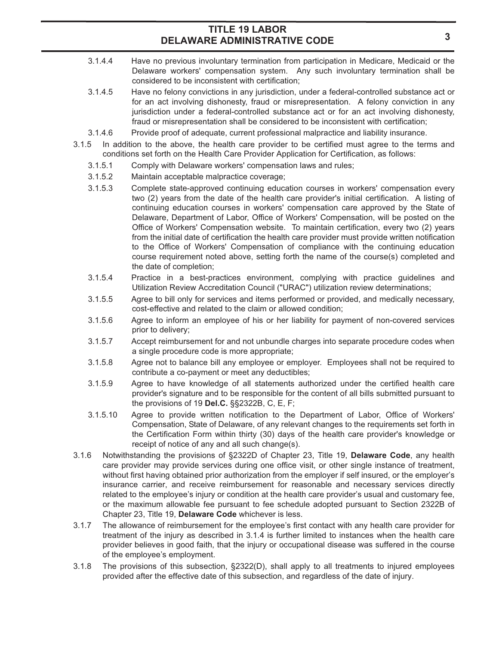- 3.1.4.4 Have no previous involuntary termination from participation in Medicare, Medicaid or the Delaware workers' compensation system. Any such involuntary termination shall be considered to be inconsistent with certification;
- 3.1.4.5 Have no felony convictions in any jurisdiction, under a federal-controlled substance act or for an act involving dishonesty, fraud or misrepresentation. A felony conviction in any jurisdiction under a federal-controlled substance act or for an act involving dishonesty, fraud or misrepresentation shall be considered to be inconsistent with certification;
- 3.1.4.6 Provide proof of adequate, current professional malpractice and liability insurance.
- 3.1.5 In addition to the above, the health care provider to be certified must agree to the terms and conditions set forth on the Health Care Provider Application for Certification, as follows:
	- 3.1.5.1 Comply with Delaware workers' compensation laws and rules;
	- 3.1.5.2 Maintain acceptable malpractice coverage;
	- 3.1.5.3 Complete state-approved continuing education courses in workers' compensation every two (2) years from the date of the health care provider's initial certification. A listing of continuing education courses in workers' compensation care approved by the State of Delaware, Department of Labor, Office of Workers' Compensation, will be posted on the Office of Workers' Compensation website. To maintain certification, every two (2) years from the initial date of certification the health care provider must provide written notification to the Office of Workers' Compensation of compliance with the continuing education course requirement noted above, setting forth the name of the course(s) completed and the date of completion;
	- 3.1.5.4 Practice in a best-practices environment, complying with practice guidelines and Utilization Review Accreditation Council ("URAC") utilization review determinations;
	- 3.1.5.5 Agree to bill only for services and items performed or provided, and medically necessary, cost-effective and related to the claim or allowed condition;
	- 3.1.5.6 Agree to inform an employee of his or her liability for payment of non-covered services prior to delivery;
	- 3.1.5.7 Accept reimbursement for and not unbundle charges into separate procedure codes when a single procedure code is more appropriate;
	- 3.1.5.8 Agree not to balance bill any employee or employer. Employees shall not be required to contribute a co-payment or meet any deductibles;
	- 3.1.5.9 Agree to have knowledge of all statements authorized under the certified health care provider's signature and to be responsible for the content of all bills submitted pursuant to the provisions of 19 **Del.C.** §§2322B, C, E, F;
	- 3.1.5.10 Agree to provide written notification to the Department of Labor, Office of Workers' Compensation, State of Delaware, of any relevant changes to the requirements set forth in the Certification Form within thirty (30) days of the health care provider's knowledge or receipt of notice of any and all such change(s).
- 3.1.6 Notwithstanding the provisions of §2322D of Chapter 23, Title 19, **Delaware Code**, any health care provider may provide services during one office visit, or other single instance of treatment, without first having obtained prior authorization from the employer if self insured, or the employer's insurance carrier, and receive reimbursement for reasonable and necessary services directly related to the employee's injury or condition at the health care provider's usual and customary fee, or the maximum allowable fee pursuant to fee schedule adopted pursuant to Section 2322B of Chapter 23, Title 19, **Delaware Code** whichever is less.
- 3.1.7 The allowance of reimbursement for the employee's first contact with any health care provider for treatment of the injury as described in 3.1.4 is further limited to instances when the health care provider believes in good faith, that the injury or occupational disease was suffered in the course of the employee's employment.
- 3.1.8 The provisions of this subsection, §2322(D), shall apply to all treatments to injured employees provided after the effective date of this subsection, and regardless of the date of injury.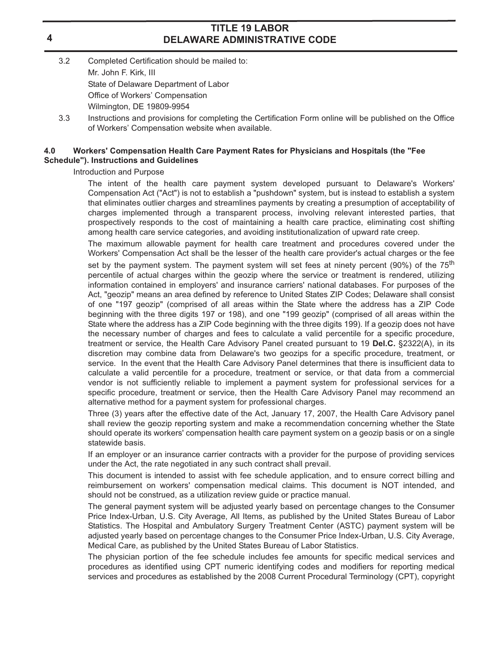- 3.2 Completed Certification should be mailed to: Mr. John F. Kirk, III State of Delaware Department of Labor Office of Workers' Compensation Wilmington, DE 19809-9954
- 3.3 Instructions and provisions for completing the Certification Form online will be published on the Office of Workers' Compensation website when available.

### **4.0 Workers' Compensation Health Care Payment Rates for Physicians and Hospitals (the "Fee Schedule"). Instructions and Guidelines**

Introduction and Purpose

The intent of the health care payment system developed pursuant to Delaware's Workers' Compensation Act ("Act") is not to establish a "pushdown" system, but is instead to establish a system that eliminates outlier charges and streamlines payments by creating a presumption of acceptability of charges implemented through a transparent process, involving relevant interested parties, that prospectively responds to the cost of maintaining a health care practice, eliminating cost shifting among health care service categories, and avoiding institutionalization of upward rate creep.

The maximum allowable payment for health care treatment and procedures covered under the Workers' Compensation Act shall be the lesser of the health care provider's actual charges or the fee set by the payment system. The payment system will set fees at ninety percent (90%) of the  $75<sup>th</sup>$ percentile of actual charges within the geozip where the service or treatment is rendered, utilizing information contained in employers' and insurance carriers' national databases. For purposes of the Act, "geozip" means an area defined by reference to United States ZIP Codes; Delaware shall consist of one "197 geozip" (comprised of all areas within the State where the address has a ZIP Code beginning with the three digits 197 or 198), and one "199 geozip" (comprised of all areas within the State where the address has a ZIP Code beginning with the three digits 199). If a geozip does not have the necessary number of charges and fees to calculate a valid percentile for a specific procedure, treatment or service, the Health Care Advisory Panel created pursuant to 19 **Del.C.** §2322(A), in its discretion may combine data from Delaware's two geozips for a specific procedure, treatment, or service. In the event that the Health Care Advisory Panel determines that there is insufficient data to calculate a valid percentile for a procedure, treatment or service, or that data from a commercial vendor is not sufficiently reliable to implement a payment system for professional services for a specific procedure, treatment or service, then the Health Care Advisory Panel may recommend an alternative method for a payment system for professional charges.

Three (3) years after the effective date of the Act, January 17, 2007, the Health Care Advisory panel shall review the geozip reporting system and make a recommendation concerning whether the State should operate its workers' compensation health care payment system on a geozip basis or on a single statewide basis.

If an employer or an insurance carrier contracts with a provider for the purpose of providing services under the Act, the rate negotiated in any such contract shall prevail.

This document is intended to assist with fee schedule application, and to ensure correct billing and reimbursement on workers' compensation medical claims. This document is NOT intended, and should not be construed, as a utilization review guide or practice manual.

The general payment system will be adjusted yearly based on percentage changes to the Consumer Price Index-Urban, U.S. City Average, All Items, as published by the United States Bureau of Labor Statistics. The Hospital and Ambulatory Surgery Treatment Center (ASTC) payment system will be adjusted yearly based on percentage changes to the Consumer Price Index-Urban, U.S. City Average, Medical Care, as published by the United States Bureau of Labor Statistics.

The physician portion of the fee schedule includes fee amounts for specific medical services and procedures as identified using CPT numeric identifying codes and modifiers for reporting medical services and procedures as established by the 2008 Current Procedural Terminology (CPT), copyright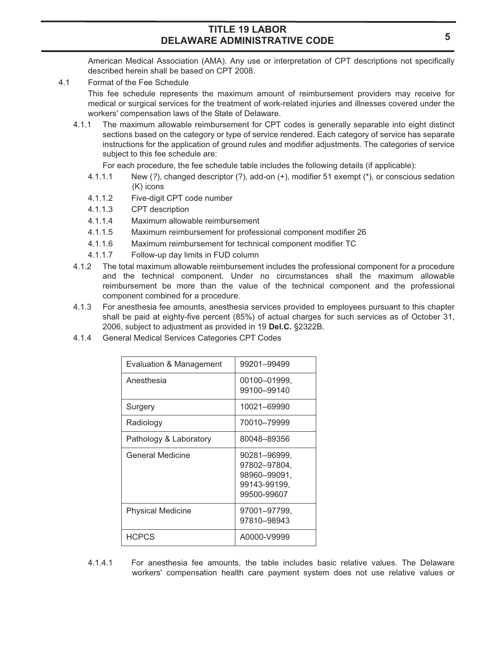American Medical Association (AMA). Any use or interpretation of CPT descriptions not specifically described herein shall be based on CPT 2008.

4.1 Format of the Fee Schedule

This fee schedule represents the maximum amount of reimbursement providers may receive for medical or surgical services for the treatment of work-related injuries and illnesses covered under the workers' compensation laws of the State of Delaware.

4.1.1 The maximum allowable reimbursement for CPT codes is generally separable into eight distinct sections based on the category or type of service rendered. Each category of service has separate instructions for the application of ground rules and modifier adjustments. The categories of service subject to this fee schedule are:

For each procedure, the fee schedule table includes the following details (if applicable):

- 4.1.1.1 New (*?*), changed descriptor (?), add-on (+), modifier 51 exempt (\*), or conscious sedation (K) icons
- 4.1.1.2 Five-digit CPT code number
- 4.1.1.3 CPT description
- 4.1.1.4 Maximum allowable reimbursement
- 4.1.1.5 Maximum reimbursement for professional component modifier 26
- 4.1.1.6 Maximum reimbursement for technical component modifier TC
- 4.1.1.7 Follow-up day limits in FUD column
- 4.1.2 The total maximum allowable reimbursement includes the professional component for a procedure and the technical component. Under no circumstances shall the maximum allowable reimbursement be more than the value of the technical component and the professional component combined for a procedure.
- 4.1.3 For anesthesia fee amounts, anesthesia services provided to employees pursuant to this chapter shall be paid at eighty-five percent (85%) of actual charges for such services as of October 31, 2006, subject to adjustment as provided in 19 **Del.C.** §2322B.
- 4.1.4 General Medical Services Categories CPT Codes

| Evaluation & Management  | 99201-99499                                                                 |  |  |
|--------------------------|-----------------------------------------------------------------------------|--|--|
| Anesthesia               | 00100–01999.<br>99100-99140                                                 |  |  |
| Surgery                  | 10021-69990                                                                 |  |  |
| Radiology                | 70010-79999                                                                 |  |  |
| Pathology & Laboratory   | 80048-89356                                                                 |  |  |
| General Medicine         | 90281–96999.<br>97802–97804.<br>98960-99091.<br>99143-99199,<br>99500-99607 |  |  |
| <b>Physical Medicine</b> | 97001–97799.<br>97810-98943                                                 |  |  |
| <b>HCPCS</b>             | A0000-V9999                                                                 |  |  |

4.1.4.1 For anesthesia fee amounts, the table includes basic relative values. The Delaware workers' compensation health care payment system does not use relative values or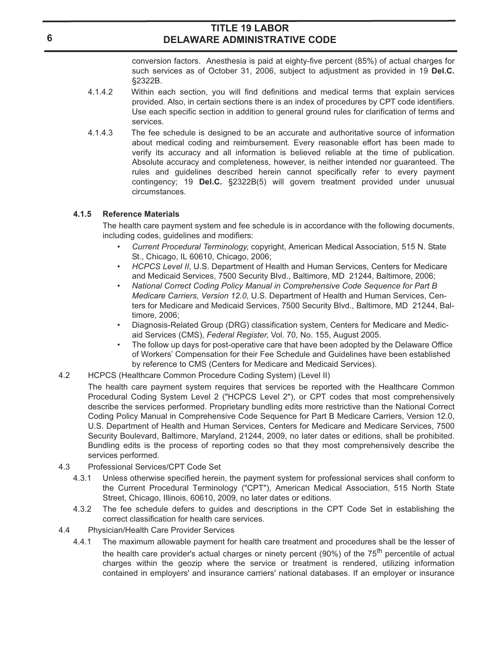conversion factors. Anesthesia is paid at eighty-five percent (85%) of actual charges for such services as of October 31, 2006, subject to adjustment as provided in 19 **Del.C.** §2322B.

- 4.1.4.2 Within each section, you will find definitions and medical terms that explain services provided. Also, in certain sections there is an index of procedures by CPT code identifiers. Use each specific section in addition to general ground rules for clarification of terms and services.
- 4.1.4.3 The fee schedule is designed to be an accurate and authoritative source of information about medical coding and reimbursement. Every reasonable effort has been made to verify its accuracy and all information is believed reliable at the time of publication. Absolute accuracy and completeness, however, is neither intended nor guaranteed. The rules and guidelines described herein cannot specifically refer to every payment contingency; 19 **Del.C.** §2322B(5) will govern treatment provided under unusual circumstances.

### **4.1.5 Reference Materials**

The health care payment system and fee schedule is in accordance with the following documents, including codes, guidelines and modifiers:

- *Current Procedural Terminology*, copyright, American Medical Association, 515 N. State St., Chicago, IL 60610, Chicago, 2006;
- *HCPCS Level II*, U.S. Department of Health and Human Services, Centers for Medicare and Medicaid Services, 7500 Security Blvd., Baltimore, MD 21244, Baltimore, 2006;
- *National Correct Coding Policy Manual in Comprehensive Code Sequence for Part B Medicare Carriers, Version 12.0,* U.S. Department of Health and Human Services, Centers for Medicare and Medicaid Services, 7500 Security Blvd., Baltimore, MD 21244, Baltimore, 2006;
- Diagnosis-Related Group (DRG) classification system, Centers for Medicare and Medicaid Services (CMS), *Federal Register*, Vol. 70, No. 155, August 2005.
- The follow up days for post-operative care that have been adopted by the Delaware Office of Workers' Compensation for their Fee Schedule and Guidelines have been established by reference to CMS (Centers for Medicare and Medicaid Services).
- 4.2 HCPCS (Healthcare Common Procedure Coding System) (Level II)

The health care payment system requires that services be reported with the Healthcare Common Procedural Coding System Level 2 ("HCPCS Level 2"), or CPT codes that most comprehensively describe the services performed. Proprietary bundling edits more restrictive than the National Correct Coding Policy Manual in Comprehensive Code Sequence for Part B Medicare Carriers, Version 12.0, U.S. Department of Health and Human Services, Centers for Medicare and Medicare Services, 7500 Security Boulevard, Baltimore, Maryland, 21244, 2009, no later dates or editions, shall be prohibited. Bundling edits is the process of reporting codes so that they most comprehensively describe the services performed.

- 4.3 Professional Services/CPT Code Set
	- 4.3.1 Unless otherwise specified herein, the payment system for professional services shall conform to the Current Procedural Terminology ("CPT"), American Medical Association, 515 North State Street, Chicago, Illinois, 60610, 2009, no later dates or editions.
	- 4.3.2 The fee schedule defers to guides and descriptions in the CPT Code Set in establishing the correct classification for health care services.
- 4.4 Physician/Health Care Provider Services
	- 4.4.1 The maximum allowable payment for health care treatment and procedures shall be the lesser of the health care provider's actual charges or ninety percent (90%) of the  $75<sup>th</sup>$  percentile of actual charges within the geozip where the service or treatment is rendered, utilizing information contained in employers' and insurance carriers' national databases. If an employer or insurance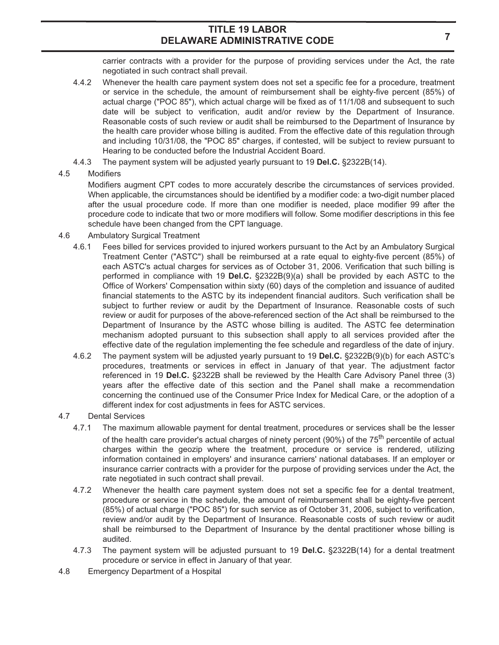carrier contracts with a provider for the purpose of providing services under the Act, the rate negotiated in such contract shall prevail.

- 4.4.2 Whenever the health care payment system does not set a specific fee for a procedure, treatment or service in the schedule, the amount of reimbursement shall be eighty-five percent (85%) of actual charge ("POC 85"), which actual charge will be fixed as of 11/1/08 and subsequent to such date will be subject to verification, audit and/or review by the Department of Insurance. Reasonable costs of such review or audit shall be reimbursed to the Department of Insurance by the health care provider whose billing is audited. From the effective date of this regulation through and including 10/31/08, the "POC 85" charges, if contested, will be subject to review pursuant to Hearing to be conducted before the Industrial Accident Board.
- 4.4.3 The payment system will be adjusted yearly pursuant to 19 **Del.C.** §2322B(14).

### 4.5 Modifiers

Modifiers augment CPT codes to more accurately describe the circumstances of services provided. When applicable, the circumstances should be identified by a modifier code: a two-digit number placed after the usual procedure code. If more than one modifier is needed, place modifier 99 after the procedure code to indicate that two or more modifiers will follow. Some modifier descriptions in this fee schedule have been changed from the CPT language.

- 4.6 Ambulatory Surgical Treatment
	- 4.6.1 Fees billed for services provided to injured workers pursuant to the Act by an Ambulatory Surgical Treatment Center ("ASTC") shall be reimbursed at a rate equal to eighty-five percent (85%) of each ASTC's actual charges for services as of October 31, 2006. Verification that such billing is performed in compliance with 19 **Del.C.** §2322B(9)(a) shall be provided by each ASTC to the Office of Workers' Compensation within sixty (60) days of the completion and issuance of audited financial statements to the ASTC by its independent financial auditors. Such verification shall be subject to further review or audit by the Department of Insurance. Reasonable costs of such review or audit for purposes of the above-referenced section of the Act shall be reimbursed to the Department of Insurance by the ASTC whose billing is audited. The ASTC fee determination mechanism adopted pursuant to this subsection shall apply to all services provided after the effective date of the regulation implementing the fee schedule and regardless of the date of injury.
	- 4.6.2 The payment system will be adjusted yearly pursuant to 19 **Del.C.** §2322B(9)(b) for each ASTC's procedures, treatments or services in effect in January of that year. The adjustment factor referenced in 19 **Del.C.** §2322B shall be reviewed by the Health Care Advisory Panel three (3) years after the effective date of this section and the Panel shall make a recommendation concerning the continued use of the Consumer Price Index for Medical Care, or the adoption of a different index for cost adjustments in fees for ASTC services.

### 4.7 Dental Services

- 4.7.1 The maximum allowable payment for dental treatment, procedures or services shall be the lesser of the health care provider's actual charges of ninety percent (90%) of the 75<sup>th</sup> percentile of actual charges within the geozip where the treatment, procedure or service is rendered, utilizing information contained in employers' and insurance carriers' national databases. If an employer or insurance carrier contracts with a provider for the purpose of providing services under the Act, the rate negotiated in such contract shall prevail.
- 4.7.2 Whenever the health care payment system does not set a specific fee for a dental treatment, procedure or service in the schedule, the amount of reimbursement shall be eighty-five percent (85%) of actual charge ("POC 85") for such service as of October 31, 2006, subject to verification, review and/or audit by the Department of Insurance. Reasonable costs of such review or audit shall be reimbursed to the Department of Insurance by the dental practitioner whose billing is audited.
- 4.7.3 The payment system will be adjusted pursuant to 19 **Del.C.** §2322B(14) for a dental treatment procedure or service in effect in January of that year.
- 4.8 Emergency Department of a Hospital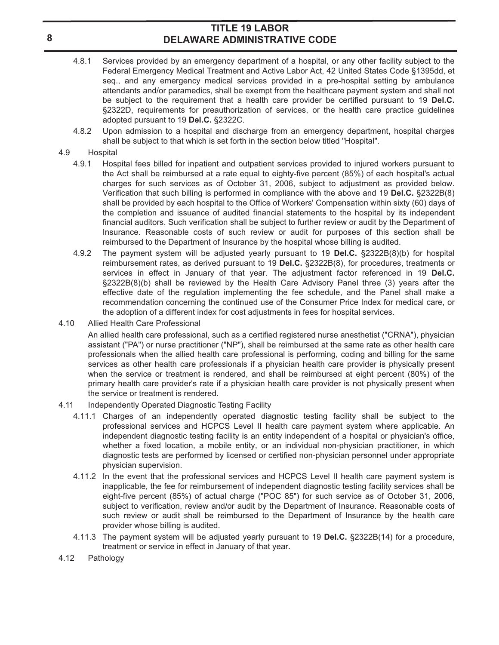- 4.8.1 Services provided by an emergency department of a hospital, or any other facility subject to the Federal Emergency Medical Treatment and Active Labor Act, 42 United States Code §1395dd, et seq., and any emergency medical services provided in a pre-hospital setting by ambulance attendants and/or paramedics, shall be exempt from the healthcare payment system and shall not be subject to the requirement that a health care provider be certified pursuant to 19 **Del.C.** §2322D, requirements for preauthorization of services, or the health care practice guidelines adopted pursuant to 19 **Del.C.** §2322C.
- 4.8.2 Upon admission to a hospital and discharge from an emergency department, hospital charges shall be subject to that which is set forth in the section below titled "Hospital".

#### 4.9 Hospital

- 4.9.1 Hospital fees billed for inpatient and outpatient services provided to injured workers pursuant to the Act shall be reimbursed at a rate equal to eighty-five percent (85%) of each hospital's actual charges for such services as of October 31, 2006, subject to adjustment as provided below. Verification that such billing is performed in compliance with the above and 19 **Del.C.** §2322B(8) shall be provided by each hospital to the Office of Workers' Compensation within sixty (60) days of the completion and issuance of audited financial statements to the hospital by its independent financial auditors. Such verification shall be subject to further review or audit by the Department of Insurance. Reasonable costs of such review or audit for purposes of this section shall be reimbursed to the Department of Insurance by the hospital whose billing is audited.
- 4.9.2 The payment system will be adjusted yearly pursuant to 19 **Del.C.** §2322B(8)(b) for hospital reimbursement rates, as derived pursuant to 19 **Del.C.** §2322B(8), for procedures, treatments or services in effect in January of that year. The adjustment factor referenced in 19 **Del.C.** §2322B(8)(b) shall be reviewed by the Health Care Advisory Panel three (3) years after the effective date of the regulation implementing the fee schedule, and the Panel shall make a recommendation concerning the continued use of the Consumer Price Index for medical care, or the adoption of a different index for cost adjustments in fees for hospital services.
- 4.10 Allied Health Care Professional

An allied health care professional, such as a certified registered nurse anesthetist ("CRNA"), physician assistant ("PA") or nurse practitioner ("NP"), shall be reimbursed at the same rate as other health care professionals when the allied health care professional is performing, coding and billing for the same services as other health care professionals if a physician health care provider is physically present when the service or treatment is rendered, and shall be reimbursed at eight percent (80%) of the primary health care provider's rate if a physician health care provider is not physically present when the service or treatment is rendered.

- 4.11 Independently Operated Diagnostic Testing Facility
	- 4.11.1 Charges of an independently operated diagnostic testing facility shall be subject to the professional services and HCPCS Level II health care payment system where applicable. An independent diagnostic testing facility is an entity independent of a hospital or physician's office, whether a fixed location, a mobile entity, or an individual non-physician practitioner, in which diagnostic tests are performed by licensed or certified non-physician personnel under appropriate physician supervision.
	- 4.11.2 In the event that the professional services and HCPCS Level II health care payment system is inapplicable, the fee for reimbursement of independent diagnostic testing facility services shall be eight-five percent (85%) of actual charge ("POC 85") for such service as of October 31, 2006, subject to verification, review and/or audit by the Department of Insurance. Reasonable costs of such review or audit shall be reimbursed to the Department of Insurance by the health care provider whose billing is audited.
	- 4.11.3 The payment system will be adjusted yearly pursuant to 19 **Del.C.** §2322B(14) for a procedure, treatment or service in effect in January of that year.
- 4.12 Pathology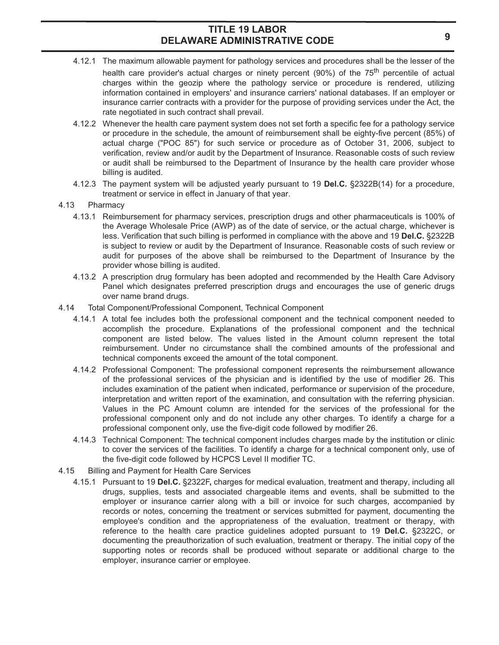- 4.12.1 The maximum allowable payment for pathology services and procedures shall be the lesser of the health care provider's actual charges or ninety percent (90%) of the 75<sup>th</sup> percentile of actual charges within the geozip where the pathology service or procedure is rendered, utilizing information contained in employers' and insurance carriers' national databases. If an employer or insurance carrier contracts with a provider for the purpose of providing services under the Act, the rate negotiated in such contract shall prevail.
- 4.12.2 Whenever the health care payment system does not set forth a specific fee for a pathology service or procedure in the schedule, the amount of reimbursement shall be eighty-five percent (85%) of actual charge ("POC 85") for such service or procedure as of October 31, 2006, subject to verification, review and/or audit by the Department of Insurance. Reasonable costs of such review or audit shall be reimbursed to the Department of Insurance by the health care provider whose billing is audited.
- 4.12.3 The payment system will be adjusted yearly pursuant to 19 **Del.C.** §2322B(14) for a procedure, treatment or service in effect in January of that year.

#### 4.13 Pharmacy

- 4.13.1 Reimbursement for pharmacy services, prescription drugs and other pharmaceuticals is 100% of the Average Wholesale Price (AWP) as of the date of service, or the actual charge, whichever is less. Verification that such billing is performed in compliance with the above and 19 **Del.C.** §2322B is subject to review or audit by the Department of Insurance. Reasonable costs of such review or audit for purposes of the above shall be reimbursed to the Department of Insurance by the provider whose billing is audited.
- 4.13.2 A prescription drug formulary has been adopted and recommended by the Health Care Advisory Panel which designates preferred prescription drugs and encourages the use of generic drugs over name brand drugs.
- 4.14 Total Component/Professional Component, Technical Component
	- 4.14.1 A total fee includes both the professional component and the technical component needed to accomplish the procedure. Explanations of the professional component and the technical component are listed below. The values listed in the Amount column represent the total reimbursement. Under no circumstance shall the combined amounts of the professional and technical components exceed the amount of the total component.
	- 4.14.2 Professional Component: The professional component represents the reimbursement allowance of the professional services of the physician and is identified by the use of modifier 26. This includes examination of the patient when indicated, performance or supervision of the procedure, interpretation and written report of the examination, and consultation with the referring physician. Values in the PC Amount column are intended for the services of the professional for the professional component only and do not include any other charges. To identify a charge for a professional component only, use the five-digit code followed by modifier 26.
	- 4.14.3 Technical Component: The technical component includes charges made by the institution or clinic to cover the services of the facilities. To identify a charge for a technical component only, use of the five-digit code followed by HCPCS Level II modifier TC.
- 4.15 Billing and Payment for Health Care Services
	- 4.15.1 Pursuant to 19 **Del.C.** §2322F**,** charges for medical evaluation, treatment and therapy, including all drugs, supplies, tests and associated chargeable items and events, shall be submitted to the employer or insurance carrier along with a bill or invoice for such charges, accompanied by records or notes, concerning the treatment or services submitted for payment, documenting the employee's condition and the appropriateness of the evaluation, treatment or therapy, with reference to the health care practice guidelines adopted pursuant to 19 **Del.C.** §2322C, or documenting the preauthorization of such evaluation, treatment or therapy. The initial copy of the supporting notes or records shall be produced without separate or additional charge to the employer, insurance carrier or employee.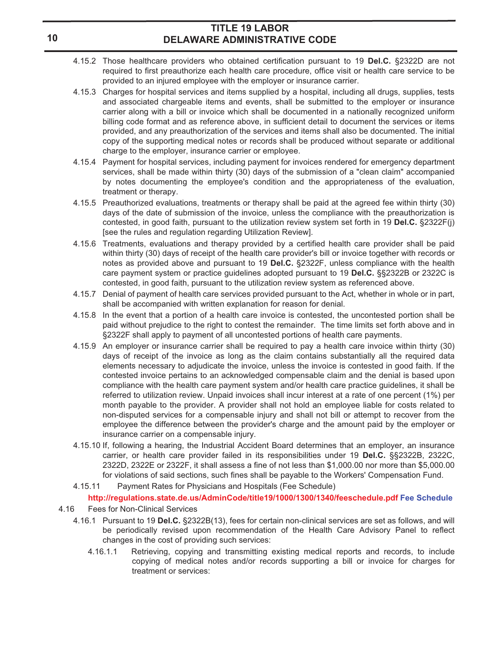- 4.15.2 Those healthcare providers who obtained certification pursuant to 19 **Del.C.** §2322D are not required to first preauthorize each health care procedure, office visit or health care service to be provided to an injured employee with the employer or insurance carrier.
- 4.15.3 Charges for hospital services and items supplied by a hospital, including all drugs, supplies, tests and associated chargeable items and events, shall be submitted to the employer or insurance carrier along with a bill or invoice which shall be documented in a nationally recognized uniform billing code format and as reference above, in sufficient detail to document the services or items provided, and any preauthorization of the services and items shall also be documented. The initial copy of the supporting medical notes or records shall be produced without separate or additional charge to the employer, insurance carrier or employee.
- 4.15.4 Payment for hospital services, including payment for invoices rendered for emergency department services, shall be made within thirty (30) days of the submission of a "clean claim" accompanied by notes documenting the employee's condition and the appropriateness of the evaluation, treatment or therapy.
- 4.15.5 Preauthorized evaluations, treatments or therapy shall be paid at the agreed fee within thirty (30) days of the date of submission of the invoice, unless the compliance with the preauthorization is contested, in good faith, pursuant to the utilization review system set forth in 19 **Del.C.** §2322F(j) [see the rules and regulation regarding Utilization Review].
- 4.15.6 Treatments, evaluations and therapy provided by a certified health care provider shall be paid within thirty (30) days of receipt of the health care provider's bill or invoice together with records or notes as provided above and pursuant to 19 **Del.C.** §2322F, unless compliance with the health care payment system or practice guidelines adopted pursuant to 19 **Del.C.** §§2322B or 2322C is contested, in good faith, pursuant to the utilization review system as referenced above.
- 4.15.7 Denial of payment of health care services provided pursuant to the Act, whether in whole or in part, shall be accompanied with written explanation for reason for denial.
- 4.15.8 In the event that a portion of a health care invoice is contested, the uncontested portion shall be paid without prejudice to the right to contest the remainder. The time limits set forth above and in §2322F shall apply to payment of all uncontested portions of health care payments.
- 4.15.9 An employer or insurance carrier shall be required to pay a health care invoice within thirty (30) days of receipt of the invoice as long as the claim contains substantially all the required data elements necessary to adjudicate the invoice, unless the invoice is contested in good faith. If the contested invoice pertains to an acknowledged compensable claim and the denial is based upon compliance with the health care payment system and/or health care practice guidelines, it shall be referred to utilization review. Unpaid invoices shall incur interest at a rate of one percent (1%) per month payable to the provider. A provider shall not hold an employee liable for costs related to non-disputed services for a compensable injury and shall not bill or attempt to recover from the employee the difference between the provider's charge and the amount paid by the employer or insurance carrier on a compensable injury.
- 4.15.10 If, following a hearing, the Industrial Accident Board determines that an employer, an insurance carrier, or health care provider failed in its responsibilities under 19 **Del.C.** §§2322B, 2322C, 2322D, 2322E or 2322F, it shall assess a fine of not less than \$1,000.00 nor more than \$5,000.00 for violations of said sections, such fines shall be payable to the Workers' Compensation Fund.
- 4.15.11 Payment Rates for Physicians and Hospitals (Fee Schedule)

# **http://regulations.state.de.us/AdminCode/title19/1000/1300/1340/feeschedule.pdf Fee Schedule**

- 4.16 Fees for Non-Clinical Services
	- 4.16.1 Pursuant to 19 **Del.C.** §2322B(13), fees for certain non-clinical services are set as follows, and will be periodically revised upon recommendation of the Health Care Advisory Panel to reflect changes in the cost of providing such services:
		- 4.16.1.1 Retrieving, copying and transmitting existing medical reports and records, to include copying of medical notes and/or records supporting a bill or invoice for charges for treatment or services: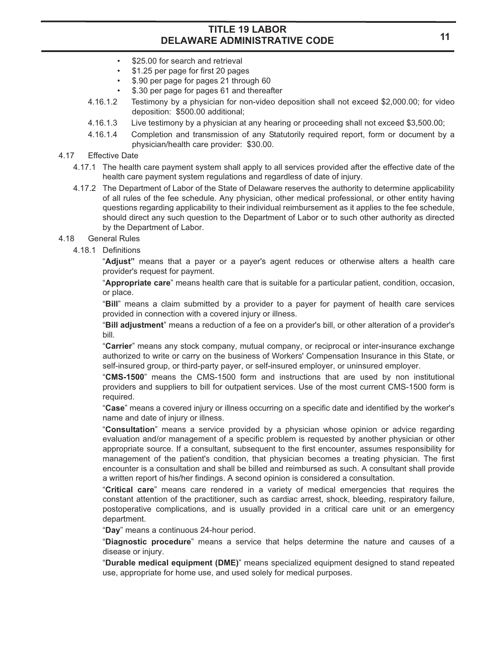- \$25.00 for search and retrieval
- \$1.25 per page for first 20 pages
- \$.90 per page for pages 21 through 60
- \$.30 per page for pages 61 and thereafter
- 4.16.1.2 Testimony by a physician for non-video deposition shall not exceed \$2,000.00; for video deposition: \$500.00 additional;
- 4.16.1.3 Live testimony by a physician at any hearing or proceeding shall not exceed \$3,500.00;
- 4.16.1.4 Completion and transmission of any Statutorily required report, form or document by a physician/health care provider: \$30.00.

#### 4.17 Effective Date

- 4.17.1 The health care payment system shall apply to all services provided after the effective date of the health care payment system regulations and regardless of date of injury.
- 4.17.2 The Department of Labor of the State of Delaware reserves the authority to determine applicability of all rules of the fee schedule. Any physician, other medical professional, or other entity having questions regarding applicability to their individual reimbursement as it applies to the fee schedule, should direct any such question to the Department of Labor or to such other authority as directed by the Department of Labor.

#### 4.18 General Rules

4.18.1 Definitions

"**Adjust"** means that a payer or a payer's agent reduces or otherwise alters a health care provider's request for payment.

"**Appropriate care**" means health care that is suitable for a particular patient, condition, occasion, or place.

"**Bill**" means a claim submitted by a provider to a payer for payment of health care services provided in connection with a covered injury or illness.

"**Bill adjustment**" means a reduction of a fee on a provider's bill, or other alteration of a provider's bill.

"**Carrier**" means any stock company, mutual company, or reciprocal or inter-insurance exchange authorized to write or carry on the business of Workers' Compensation Insurance in this State, or self-insured group, or third-party payer, or self-insured employer, or uninsured employer.

"**CMS-1500**" means the CMS-1500 form and instructions that are used by non institutional providers and suppliers to bill for outpatient services. Use of the most current CMS-1500 form is required.

"**Case**" means a covered injury or illness occurring on a specific date and identified by the worker's name and date of injury or illness.

"**Consultation**" means a service provided by a physician whose opinion or advice regarding evaluation and/or management of a specific problem is requested by another physician or other appropriate source. If a consultant, subsequent to the first encounter, assumes responsibility for management of the patient's condition, that physician becomes a treating physician. The first encounter is a consultation and shall be billed and reimbursed as such. A consultant shall provide a written report of his/her findings. A second opinion is considered a consultation.

"**Critical care**" means care rendered in a variety of medical emergencies that requires the constant attention of the practitioner, such as cardiac arrest, shock, bleeding, respiratory failure, postoperative complications, and is usually provided in a critical care unit or an emergency department.

"**Day**" means a continuous 24-hour period.

"**Diagnostic procedure**" means a service that helps determine the nature and causes of a disease or injury.

"**Durable medical equipment (DME)**" means specialized equipment designed to stand repeated use, appropriate for home use, and used solely for medical purposes.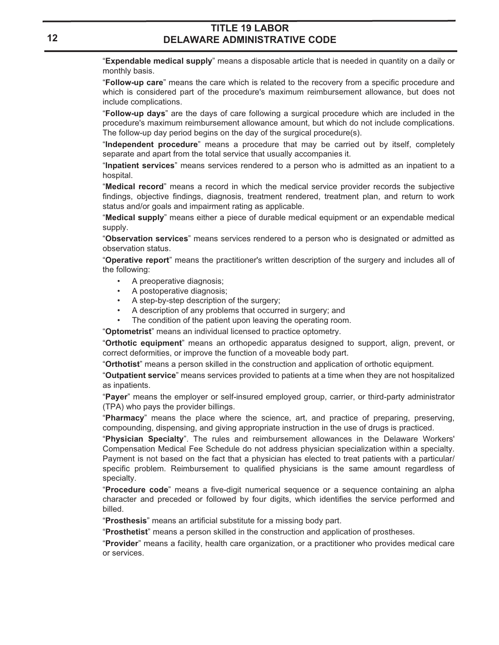"**Expendable medical supply**" means a disposable article that is needed in quantity on a daily or monthly basis.

"**Follow-up care**" means the care which is related to the recovery from a specific procedure and which is considered part of the procedure's maximum reimbursement allowance, but does not include complications.

"**Follow-up days**" are the days of care following a surgical procedure which are included in the procedure's maximum reimbursement allowance amount, but which do not include complications. The follow-up day period begins on the day of the surgical procedure(s).

"**Independent procedure**" means a procedure that may be carried out by itself, completely separate and apart from the total service that usually accompanies it.

"**Inpatient services**" means services rendered to a person who is admitted as an inpatient to a hospital.

"**Medical record**" means a record in which the medical service provider records the subjective findings, objective findings, diagnosis, treatment rendered, treatment plan, and return to work status and/or goals and impairment rating as applicable.

"**Medical supply**" means either a piece of durable medical equipment or an expendable medical supply.

"**Observation services**" means services rendered to a person who is designated or admitted as observation status.

"**Operative report**" means the practitioner's written description of the surgery and includes all of the following:

- A preoperative diagnosis;
- A postoperative diagnosis;
- A step-by-step description of the surgery;
- A description of any problems that occurred in surgery; and
- The condition of the patient upon leaving the operating room.

"**Optometrist**" means an individual licensed to practice optometry.

"**Orthotic equipment**" means an orthopedic apparatus designed to support, align, prevent, or correct deformities, or improve the function of a moveable body part.

"**Orthotist**" means a person skilled in the construction and application of orthotic equipment.

"**Outpatient service**" means services provided to patients at a time when they are not hospitalized as inpatients.

"**Payer**" means the employer or self-insured employed group, carrier, or third-party administrator (TPA) who pays the provider billings.

"**Pharmacy**" means the place where the science, art, and practice of preparing, preserving, compounding, dispensing, and giving appropriate instruction in the use of drugs is practiced.

"**Physician Specialty**". The rules and reimbursement allowances in the Delaware Workers' Compensation Medical Fee Schedule do not address physician specialization within a specialty. Payment is not based on the fact that a physician has elected to treat patients with a particular/ specific problem. Reimbursement to qualified physicians is the same amount regardless of specialty.

"**Procedure code**" means a five-digit numerical sequence or a sequence containing an alpha character and preceded or followed by four digits, which identifies the service performed and billed.

"**Prosthesis**" means an artificial substitute for a missing body part.

"**Prosthetist**" means a person skilled in the construction and application of prostheses.

"**Provider**" means a facility, health care organization, or a practitioner who provides medical care or services.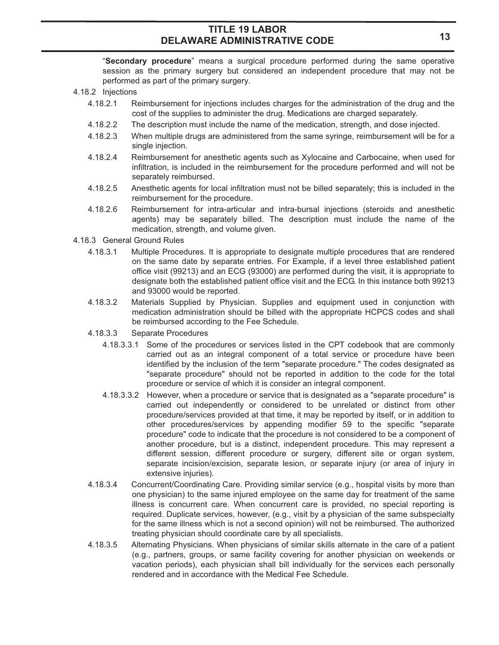"**Secondary procedure**" means a surgical procedure performed during the same operative session as the primary surgery but considered an independent procedure that may not be performed as part of the primary surgery.

- 4.18.2 Injections
	- 4.18.2.1 Reimbursement for injections includes charges for the administration of the drug and the cost of the supplies to administer the drug. Medications are charged separately.
	- 4.18.2.2 The description must include the name of the medication, strength, and dose injected.
	- 4.18.2.3 When multiple drugs are administered from the same syringe, reimbursement will be for a single injection.
	- 4.18.2.4 Reimbursement for anesthetic agents such as Xylocaine and Carbocaine, when used for infiltration, is included in the reimbursement for the procedure performed and will not be separately reimbursed.
	- 4.18.2.5 Anesthetic agents for local infiltration must not be billed separately; this is included in the reimbursement for the procedure.
	- 4.18.2.6 Reimbursement for intra-articular and intra-bursal injections (steroids and anesthetic agents) may be separately billed. The description must include the name of the medication, strength, and volume given.
- 4.18.3 General Ground Rules
	- 4.18.3.1 Multiple Procedures. It is appropriate to designate multiple procedures that are rendered on the same date by separate entries. For Example, if a level three established patient office visit (99213) and an ECG (93000) are performed during the visit, it is appropriate to designate both the established patient office visit and the ECG. In this instance both 99213 and 93000 would be reported.
	- 4.18.3.2 Materials Supplied by Physician. Supplies and equipment used in conjunction with medication administration should be billed with the appropriate HCPCS codes and shall be reimbursed according to the Fee Schedule.
	- 4.18.3.3 Separate Procedures
		- 4.18.3.3.1 Some of the procedures or services listed in the CPT codebook that are commonly carried out as an integral component of a total service or procedure have been identified by the inclusion of the term "separate procedure." The codes designated as "separate procedure" should not be reported in addition to the code for the total procedure or service of which it is consider an integral component.
		- 4.18.3.3.2 However, when a procedure or service that is designated as a "separate procedure" is carried out independently or considered to be unrelated or distinct from other procedure/services provided at that time, it may be reported by itself, or in addition to other procedures/services by appending modifier 59 to the specific "separate procedure" code to indicate that the procedure is not considered to be a component of another procedure, but is a distinct, independent procedure. This may represent a different session, different procedure or surgery, different site or organ system, separate incision/excision, separate lesion, or separate injury (or area of injury in extensive injuries).
	- 4.18.3.4 Concurrent/Coordinating Care. Providing similar service (e.g., hospital visits by more than one physician) to the same injured employee on the same day for treatment of the same illness is concurrent care. When concurrent care is provided, no special reporting is required. Duplicate services, however, (e.g., visit by a physician of the same subspecialty for the same illness which is not a second opinion) will not be reimbursed. The authorized treating physician should coordinate care by all specialists.
	- 4.18.3.5 Alternating Physicians. When physicians of similar skills alternate in the care of a patient (e.g., partners, groups, or same facility covering for another physician on weekends or vacation periods), each physician shall bill individually for the services each personally rendered and in accordance with the Medical Fee Schedule.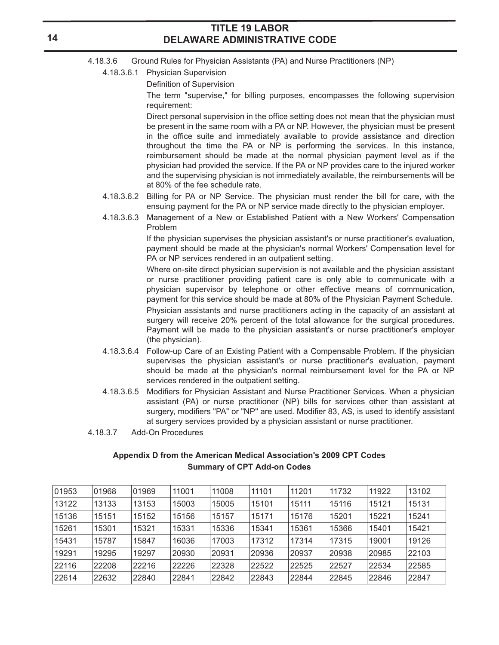- 4.18.3.6 Ground Rules for Physician Assistants (PA) and Nurse Practitioners (NP)
	- 4.18.3.6.1 Physician Supervision
		- Definition of Supervision

The term "supervise," for billing purposes, encompasses the following supervision requirement:

Direct personal supervision in the office setting does not mean that the physician must be present in the same room with a PA or NP. However, the physician must be present in the office suite and immediately available to provide assistance and direction throughout the time the PA or NP is performing the services. In this instance, reimbursement should be made at the normal physician payment level as if the physician had provided the service. If the PA or NP provides care to the injured worker and the supervising physician is not immediately available, the reimbursements will be at 80% of the fee schedule rate.

- 4.18.3.6.2 Billing for PA or NP Service. The physician must render the bill for care, with the ensuing payment for the PA or NP service made directly to the physician employer.
- 4.18.3.6.3 Management of a New or Established Patient with a New Workers' Compensation Problem

If the physician supervises the physician assistant's or nurse practitioner's evaluation, payment should be made at the physician's normal Workers' Compensation level for PA or NP services rendered in an outpatient setting.

Where on-site direct physician supervision is not available and the physician assistant or nurse practitioner providing patient care is only able to communicate with a physician supervisor by telephone or other effective means of communication, payment for this service should be made at 80% of the Physician Payment Schedule.

Physician assistants and nurse practitioners acting in the capacity of an assistant at surgery will receive 20% percent of the total allowance for the surgical procedures. Payment will be made to the physician assistant's or nurse practitioner's employer (the physician).

- 4.18.3.6.4 Follow-up Care of an Existing Patient with a Compensable Problem. If the physician supervises the physician assistant's or nurse practitioner's evaluation, payment should be made at the physician's normal reimbursement level for the PA or NP services rendered in the outpatient setting.
- 4.18.3.6.5 Modifiers for Physician Assistant and Nurse Practitioner Services. When a physician assistant (PA) or nurse practitioner (NP) bills for services other than assistant at surgery, modifiers "PA" or "NP" are used. Modifier 83, AS, is used to identify assistant at surgery services provided by a physician assistant or nurse practitioner.
- 4.18.3.7 Add-On Procedures

| 01953 | 01968 | 01969 | 11001 | 11008 | 11101 | 11201 | 11732 | 11922 | 13102 |
|-------|-------|-------|-------|-------|-------|-------|-------|-------|-------|
| 13122 | 13133 | 13153 | 15003 | 15005 | 15101 | 15111 | 15116 | 15121 | 15131 |
| 15136 | 15151 | 15152 | 15156 | 15157 | 15171 | 15176 | 15201 | 15221 | 15241 |
| 15261 | 15301 | 15321 | 15331 | 15336 | 15341 | 15361 | 15366 | 15401 | 15421 |
| 15431 | 15787 | 15847 | 16036 | 17003 | 17312 | 17314 | 17315 | 19001 | 19126 |
| 19291 | 19295 | 19297 | 20930 | 20931 | 20936 | 20937 | 20938 | 20985 | 22103 |
| 22116 | 22208 | 22216 | 22226 | 22328 | 22522 | 22525 | 22527 | 22534 | 22585 |
| 22614 | 22632 | 22840 | 22841 | 22842 | 22843 | 22844 | 22845 | 22846 | 22847 |

### **Appendix D from the American Medical Association's 2009 CPT Codes Summary of CPT Add-on Codes**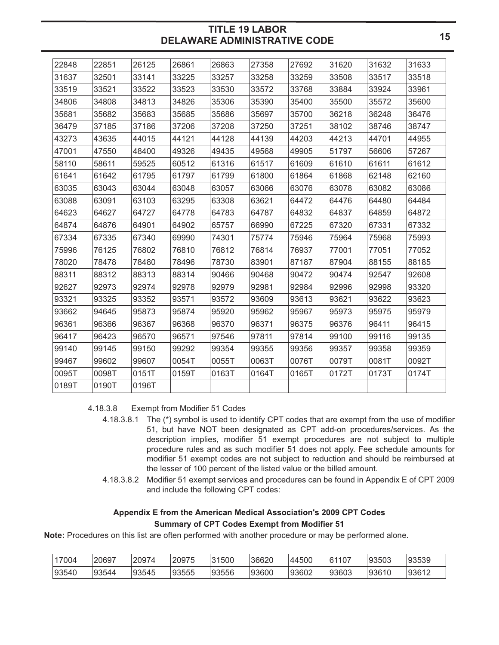| 22848 | 22851 | 26125 | 26861 | 26863 | 27358 | 27692 | 31620 | 31632 | 31633 |
|-------|-------|-------|-------|-------|-------|-------|-------|-------|-------|
| 31637 | 32501 | 33141 | 33225 | 33257 | 33258 | 33259 | 33508 | 33517 | 33518 |
| 33519 | 33521 | 33522 | 33523 | 33530 | 33572 | 33768 | 33884 | 33924 | 33961 |
| 34806 | 34808 | 34813 | 34826 | 35306 | 35390 | 35400 | 35500 | 35572 | 35600 |
| 35681 | 35682 | 35683 | 35685 | 35686 | 35697 | 35700 | 36218 | 36248 | 36476 |
| 36479 | 37185 | 37186 | 37206 | 37208 | 37250 | 37251 | 38102 | 38746 | 38747 |
| 43273 | 43635 | 44015 | 44121 | 44128 | 44139 | 44203 | 44213 | 44701 | 44955 |
| 47001 | 47550 | 48400 | 49326 | 49435 | 49568 | 49905 | 51797 | 56606 | 57267 |
| 58110 | 58611 | 59525 | 60512 | 61316 | 61517 | 61609 | 61610 | 61611 | 61612 |
| 61641 | 61642 | 61795 | 61797 | 61799 | 61800 | 61864 | 61868 | 62148 | 62160 |
| 63035 | 63043 | 63044 | 63048 | 63057 | 63066 | 63076 | 63078 | 63082 | 63086 |
| 63088 | 63091 | 63103 | 63295 | 63308 | 63621 | 64472 | 64476 | 64480 | 64484 |
| 64623 | 64627 | 64727 | 64778 | 64783 | 64787 | 64832 | 64837 | 64859 | 64872 |
| 64874 | 64876 | 64901 | 64902 | 65757 | 66990 | 67225 | 67320 | 67331 | 67332 |
| 67334 | 67335 | 67340 | 69990 | 74301 | 75774 | 75946 | 75964 | 75968 | 75993 |
| 75996 | 76125 | 76802 | 76810 | 76812 | 76814 | 76937 | 77001 | 77051 | 77052 |
| 78020 | 78478 | 78480 | 78496 | 78730 | 83901 | 87187 | 87904 | 88155 | 88185 |
| 88311 | 88312 | 88313 | 88314 | 90466 | 90468 | 90472 | 90474 | 92547 | 92608 |
| 92627 | 92973 | 92974 | 92978 | 92979 | 92981 | 92984 | 92996 | 92998 | 93320 |
| 93321 | 93325 | 93352 | 93571 | 93572 | 93609 | 93613 | 93621 | 93622 | 93623 |
| 93662 | 94645 | 95873 | 95874 | 95920 | 95962 | 95967 | 95973 | 95975 | 95979 |
| 96361 | 96366 | 96367 | 96368 | 96370 | 96371 | 96375 | 96376 | 96411 | 96415 |
| 96417 | 96423 | 96570 | 96571 | 97546 | 97811 | 97814 | 99100 | 99116 | 99135 |
| 99140 | 99145 | 99150 | 99292 | 99354 | 99355 | 99356 | 99357 | 99358 | 99359 |
| 99467 | 99602 | 99607 | 0054T | 0055T | 0063T | 0076T | 0079T | 0081T | 0092T |
| 0095T | 0098T | 0151T | 0159T | 0163T | 0164T | 0165T | 0172T | 0173T | 0174T |
| 0189T | 0190T | 0196T |       |       |       |       |       |       |       |
|       |       |       |       |       |       |       |       |       |       |

4.18.3.8 Exempt from Modifier 51 Codes

- 4.18.3.8.1 The (\*) symbol is used to identify CPT codes that are exempt from the use of modifier 51, but have NOT been designated as CPT add-on procedures/services. As the description implies, modifier 51 exempt procedures are not subject to multiple procedure rules and as such modifier 51 does not apply. Fee schedule amounts for modifier 51 exempt codes are not subject to reduction and should be reimbursed at the lesser of 100 percent of the listed value or the billed amount.
- 4.18.3.8.2 Modifier 51 exempt services and procedures can be found in Appendix E of CPT 2009 and include the following CPT codes:

### **Appendix E from the American Medical Association's 2009 CPT Codes Summary of CPT Codes Exempt from Modifier 51**

**Note:** Procedures on this list are often performed with another procedure or may be performed alone.

| 17004 | 20697 | 20974 | 20975 | 31500 | 36620 | 44500 | 61107 | 93503 | 93539 |
|-------|-------|-------|-------|-------|-------|-------|-------|-------|-------|
| 93540 | 93544 | 93545 | 93555 | 93556 | 93600 | 93602 | 93603 | 93610 | 93612 |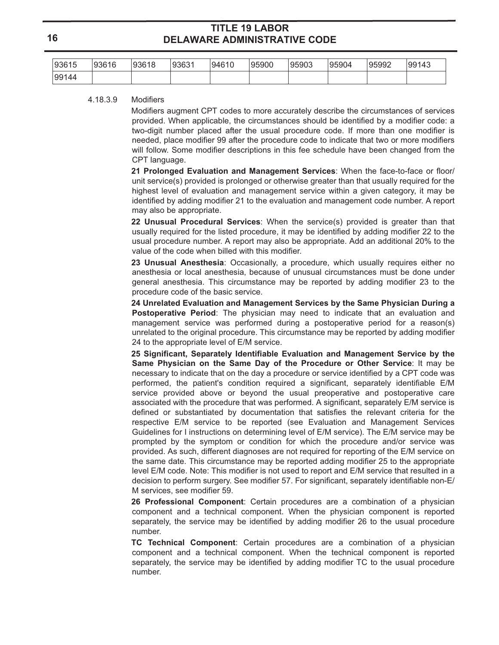| 93615 | 93616 | 93618 | 93631 | 94610 | 95900 | 95903 | 95904 | 95992 | 99143 |
|-------|-------|-------|-------|-------|-------|-------|-------|-------|-------|
| 99144 |       |       |       |       |       |       |       |       |       |

4.18.3.9 Modifiers

Modifiers augment CPT codes to more accurately describe the circumstances of services provided. When applicable, the circumstances should be identified by a modifier code: a two-digit number placed after the usual procedure code. If more than one modifier is needed, place modifier 99 after the procedure code to indicate that two or more modifiers will follow. Some modifier descriptions in this fee schedule have been changed from the CPT language.

**21 Prolonged Evaluation and Management Services**: When the face-to-face or floor/ unit service(s) provided is prolonged or otherwise greater than that usually required for the highest level of evaluation and management service within a given category, it may be identified by adding modifier 21 to the evaluation and management code number. A report may also be appropriate.

**22 Unusual Procedural Services**: When the service(s) provided is greater than that usually required for the listed procedure, it may be identified by adding modifier 22 to the usual procedure number. A report may also be appropriate. Add an additional 20% to the value of the code when billed with this modifier.

**23 Unusual Anesthesia**: Occasionally, a procedure, which usually requires either no anesthesia or local anesthesia, because of unusual circumstances must be done under general anesthesia. This circumstance may be reported by adding modifier 23 to the procedure code of the basic service.

**24 Unrelated Evaluation and Management Services by the Same Physician During a Postoperative Period**: The physician may need to indicate that an evaluation and management service was performed during a postoperative period for a reason(s) unrelated to the original procedure. This circumstance may be reported by adding modifier 24 to the appropriate level of E/M service.

**25 Significant, Separately Identifiable Evaluation and Management Service by the Same Physician on the Same Day of the Procedure or Other Service**: It may be necessary to indicate that on the day a procedure or service identified by a CPT code was performed, the patient's condition required a significant, separately identifiable E/M service provided above or beyond the usual preoperative and postoperative care associated with the procedure that was performed. A significant, separately E/M service is defined or substantiated by documentation that satisfies the relevant criteria for the respective E/M service to be reported (see Evaluation and Management Services Guidelines for I instructions on determining level of E/M service). The E/M service may be prompted by the symptom or condition for which the procedure and/or service was provided. As such, different diagnoses are not required for reporting of the E/M service on the same date. This circumstance may be reported adding modifier 25 to the appropriate level E/M code. Note: This modifier is not used to report and E/M service that resulted in a decision to perform surgery. See modifier 57. For significant, separately identifiable non-E/ M services, see modifier 59.

**26 Professional Component**: Certain procedures are a combination of a physician component and a technical component. When the physician component is reported separately, the service may be identified by adding modifier 26 to the usual procedure number.

**TC Technical Component**: Certain procedures are a combination of a physician component and a technical component. When the technical component is reported separately, the service may be identified by adding modifier TC to the usual procedure number.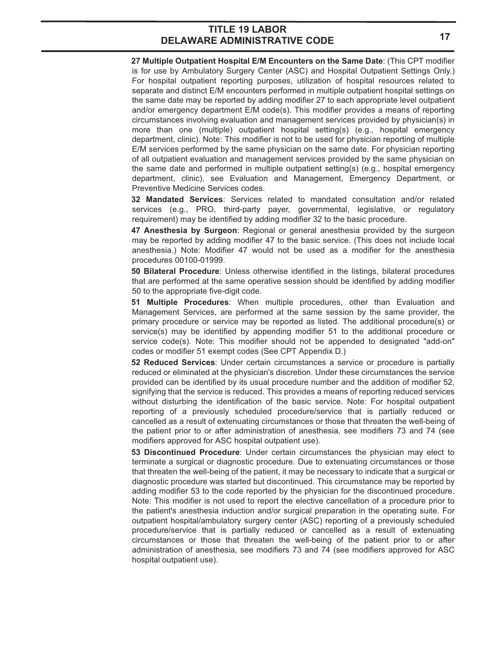**27 Multiple Outpatient Hospital E/M Encounters on the Same Date**: (This CPT modifier is for use by Ambulatory Surgery Center (ASC) and Hospital Outpatient Settings Only.) For hospital outpatient reporting purposes, utilization of hospital resources related to separate and distinct E/M encounters performed in multiple outpatient hospital settings on the same date may be reported by adding modifier 27 to each appropriate level outpatient and/or emergency department E/M code(s). This modifier provides a means of reporting circumstances involving evaluation and management services provided by physician(s) in more than one (multiple) outpatient hospital setting(s) (e.g., hospital emergency department, clinic). Note: This modifier is not to be used for physician reporting of multiple E/M services performed by the same physician on the same date. For physician reporting of all outpatient evaluation and management services provided by the same physician on the same date and performed in multiple outpatient setting(s) (e.g., hospital emergency department, clinic), see Evaluation and Management, Emergency Department, or Preventive Medicine Services codes.

**32 Mandated Services**: Services related to mandated consultation and/or related services (e.g., PRO, third-party payer, governmental, legislative, or regulatory requirement) may be identified by adding modifier 32 to the basic procedure.

**47 Anesthesia by Surgeon**: Regional or general anesthesia provided by the surgeon may be reported by adding modifier 47 to the basic service. (This does not include local anesthesia.) Note: Modifier 47 would not be used as a modifier for the anesthesia procedures 00100-01999.

**50 Bilateral Procedure**: Unless otherwise identified in the listings, bilateral procedures that are performed at the same operative session should be identified by adding modifier 50 to the appropriate five-digit code.

**51 Multiple Procedures**: When multiple procedures, other than Evaluation and Management Services, are performed at the same session by the same provider, the primary procedure or service may be reported as listed. The additional procedure(s) or service(s) may be identified by appending modifier 51 to the additional procedure or service code(s). Note: This modifier should not be appended to designated "add-on" codes or modifier 51 exempt codes (See CPT Appendix D.)

**52 Reduced Services**: Under certain circumstances a service or procedure is partially reduced or eliminated at the physician's discretion. Under these circumstances the service provided can be identified by its usual procedure number and the addition of modifier 52, signifying that the service is reduced. This provides a means of reporting reduced services without disturbing the identification of the basic service. Note: For hospital outpatient reporting of a previously scheduled procedure/service that is partially reduced or cancelled as a result of extenuating circumstances or those that threaten the well-being of the patient prior to or after administration of anesthesia, see modifiers 73 and 74 (see modifiers approved for ASC hospital outpatient use).

**53 Discontinued Procedure**: Under certain circumstances the physician may elect to terminate a surgical or diagnostic procedure. Due to extenuating circumstances or those that threaten the well-being of the patient, it may be necessary to indicate that a surgical or diagnostic procedure was started but discontinued. This circumstance may be reported by adding modifier 53 to the code reported by the physician for the discontinued procedure. Note: This modifier is not used to report the elective cancellation of a procedure prior to the patient's anesthesia induction and/or surgical preparation in the operating suite. For outpatient hospital/ambulatory surgery center (ASC) reporting of a previously scheduled procedure/service that is partially reduced or cancelled as a result of extenuating circumstances or those that threaten the well-being of the patient prior to or after administration of anesthesia, see modifiers 73 and 74 (see modifiers approved for ASC hospital outpatient use).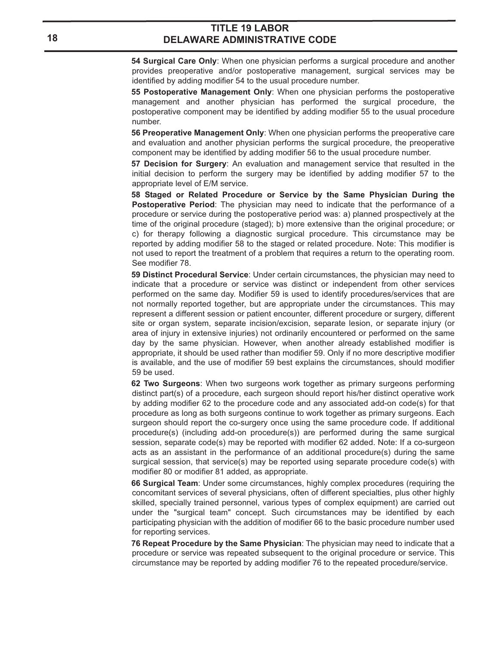**54 Surgical Care Only**: When one physician performs a surgical procedure and another provides preoperative and/or postoperative management, surgical services may be identified by adding modifier 54 to the usual procedure number.

**55 Postoperative Management Only**: When one physician performs the postoperative management and another physician has performed the surgical procedure, the postoperative component may be identified by adding modifier 55 to the usual procedure number.

**56 Preoperative Management Only**: When one physician performs the preoperative care and evaluation and another physician performs the surgical procedure, the preoperative component may be identified by adding modifier 56 to the usual procedure number.

**57 Decision for Surgery**: An evaluation and management service that resulted in the initial decision to perform the surgery may be identified by adding modifier 57 to the appropriate level of E/M service.

**58 Staged or Related Procedure or Service by the Same Physician During the Postoperative Period**: The physician may need to indicate that the performance of a procedure or service during the postoperative period was: a) planned prospectively at the time of the original procedure (staged); b) more extensive than the original procedure; or c) for therapy following a diagnostic surgical procedure. This circumstance may be reported by adding modifier 58 to the staged or related procedure. Note: This modifier is not used to report the treatment of a problem that requires a return to the operating room. See modifier 78.

**59 Distinct Procedural Service**: Under certain circumstances, the physician may need to indicate that a procedure or service was distinct or independent from other services performed on the same day. Modifier 59 is used to identify procedures/services that are not normally reported together, but are appropriate under the circumstances. This may represent a different session or patient encounter, different procedure or surgery, different site or organ system, separate incision/excision, separate lesion, or separate injury (or area of injury in extensive injuries) not ordinarily encountered or performed on the same day by the same physician. However, when another already established modifier is appropriate, it should be used rather than modifier 59. Only if no more descriptive modifier is available, and the use of modifier 59 best explains the circumstances, should modifier 59 be used.

**62 Two Surgeons**: When two surgeons work together as primary surgeons performing distinct part(s) of a procedure, each surgeon should report his/her distinct operative work by adding modifier 62 to the procedure code and any associated add-on code(s) for that procedure as long as both surgeons continue to work together as primary surgeons. Each surgeon should report the co-surgery once using the same procedure code. If additional procedure(s) (including add-on procedure(s)) are performed during the same surgical session, separate code(s) may be reported with modifier 62 added. Note: If a co-surgeon acts as an assistant in the performance of an additional procedure(s) during the same surgical session, that service(s) may be reported using separate procedure code(s) with modifier 80 or modifier 81 added, as appropriate.

**66 Surgical Team**: Under some circumstances, highly complex procedures (requiring the concomitant services of several physicians, often of different specialties, plus other highly skilled, specially trained personnel, various types of complex equipment) are carried out under the "surgical team" concept. Such circumstances may be identified by each participating physician with the addition of modifier 66 to the basic procedure number used for reporting services.

**76 Repeat Procedure by the Same Physician**: The physician may need to indicate that a procedure or service was repeated subsequent to the original procedure or service. This circumstance may be reported by adding modifier 76 to the repeated procedure/service.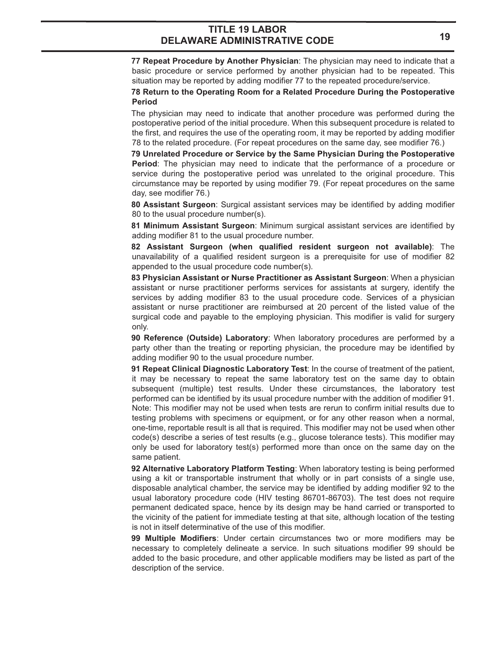**77 Repeat Procedure by Another Physician**: The physician may need to indicate that a basic procedure or service performed by another physician had to be repeated. This situation may be reported by adding modifier 77 to the repeated procedure/service.

#### **78 Return to the Operating Room for a Related Procedure During the Postoperative Period**

The physician may need to indicate that another procedure was performed during the postoperative period of the initial procedure. When this subsequent procedure is related to the first, and requires the use of the operating room, it may be reported by adding modifier 78 to the related procedure. (For repeat procedures on the same day, see modifier 76.)

**79 Unrelated Procedure or Service by the Same Physician During the Postoperative Period**: The physician may need to indicate that the performance of a procedure or service during the postoperative period was unrelated to the original procedure. This circumstance may be reported by using modifier 79. (For repeat procedures on the same day, see modifier 76.)

**80 Assistant Surgeon**: Surgical assistant services may be identified by adding modifier 80 to the usual procedure number(s).

**81 Minimum Assistant Surgeon**: Minimum surgical assistant services are identified by adding modifier 81 to the usual procedure number.

**82 Assistant Surgeon (when qualified resident surgeon not available)**: The unavailability of a qualified resident surgeon is a prerequisite for use of modifier 82 appended to the usual procedure code number(s).

**83 Physician Assistant or Nurse Practitioner as Assistant Surgeon**: When a physician assistant or nurse practitioner performs services for assistants at surgery, identify the services by adding modifier 83 to the usual procedure code. Services of a physician assistant or nurse practitioner are reimbursed at 20 percent of the listed value of the surgical code and payable to the employing physician. This modifier is valid for surgery only.

**90 Reference (Outside) Laboratory**: When laboratory procedures are performed by a party other than the treating or reporting physician, the procedure may be identified by adding modifier 90 to the usual procedure number.

**91 Repeat Clinical Diagnostic Laboratory Test**: In the course of treatment of the patient, it may be necessary to repeat the same laboratory test on the same day to obtain subsequent (multiple) test results. Under these circumstances, the laboratory test performed can be identified by its usual procedure number with the addition of modifier 91. Note: This modifier may not be used when tests are rerun to confirm initial results due to testing problems with specimens or equipment, or for any other reason when a normal, one-time, reportable result is all that is required. This modifier may not be used when other code(s) describe a series of test results (e.g., glucose tolerance tests). This modifier may only be used for laboratory test(s) performed more than once on the same day on the same patient.

**92 Alternative Laboratory Platform Testing**: When laboratory testing is being performed using a kit or transportable instrument that wholly or in part consists of a single use, disposable analytical chamber, the service may be identified by adding modifier 92 to the usual laboratory procedure code (HIV testing 86701-86703). The test does not require permanent dedicated space, hence by its design may be hand carried or transported to the vicinity of the patient for immediate testing at that site, although location of the testing is not in itself determinative of the use of this modifier.

**99 Multiple Modifiers**: Under certain circumstances two or more modifiers may be necessary to completely delineate a service. In such situations modifier 99 should be added to the basic procedure, and other applicable modifiers may be listed as part of the description of the service.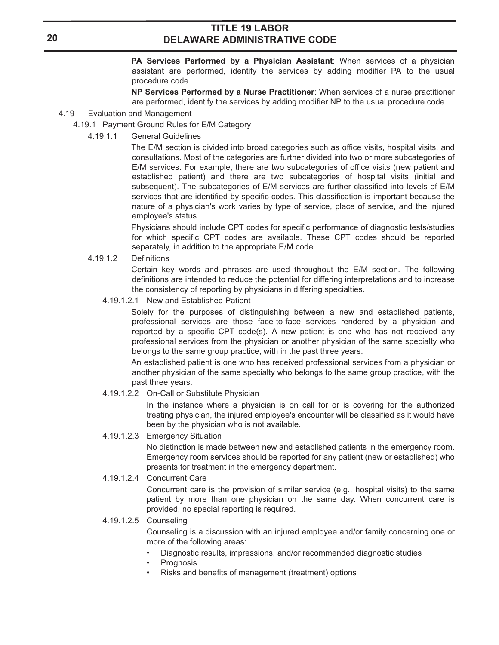**PA Services Performed by a Physician Assistant**: When services of a physician assistant are performed, identify the services by adding modifier PA to the usual procedure code.

**NP Services Performed by a Nurse Practitioner**: When services of a nurse practitioner are performed, identify the services by adding modifier NP to the usual procedure code.

- 4.19 Evaluation and Management
	- 4.19.1 Payment Ground Rules for E/M Category
		- 4.19.1.1 General Guidelines

The E/M section is divided into broad categories such as office visits, hospital visits, and consultations. Most of the categories are further divided into two or more subcategories of E/M services. For example, there are two subcategories of office visits (new patient and established patient) and there are two subcategories of hospital visits (initial and subsequent). The subcategories of E/M services are further classified into levels of E/M services that are identified by specific codes. This classification is important because the nature of a physician's work varies by type of service, place of service, and the injured employee's status.

Physicians should include CPT codes for specific performance of diagnostic tests/studies for which specific CPT codes are available. These CPT codes should be reported separately, in addition to the appropriate E/M code.

#### 4.19.1.2 Definitions

Certain key words and phrases are used throughout the E/M section. The following definitions are intended to reduce the potential for differing interpretations and to increase the consistency of reporting by physicians in differing specialties.

4.19.1.2.1 New and Established Patient

Solely for the purposes of distinguishing between a new and established patients, professional services are those face-to-face services rendered by a physician and reported by a specific CPT code(s). A new patient is one who has not received any professional services from the physician or another physician of the same specialty who belongs to the same group practice, with in the past three years.

An established patient is one who has received professional services from a physician or another physician of the same specialty who belongs to the same group practice, with the past three years.

4.19.1.2.2 On-Call or Substitute Physician

In the instance where a physician is on call for or is covering for the authorized treating physician, the injured employee's encounter will be classified as it would have been by the physician who is not available.

### 4.19.1.2.3 Emergency Situation

No distinction is made between new and established patients in the emergency room. Emergency room services should be reported for any patient (new or established) who presents for treatment in the emergency department.

### 4.19.1.2.4 Concurrent Care

Concurrent care is the provision of similar service (e.g., hospital visits) to the same patient by more than one physician on the same day. When concurrent care is provided, no special reporting is required.

#### 4.19.1.2.5 Counseling

Counseling is a discussion with an injured employee and/or family concerning one or more of the following areas:

- Diagnostic results, impressions, and/or recommended diagnostic studies
- **Prognosis**
- Risks and benefits of management (treatment) options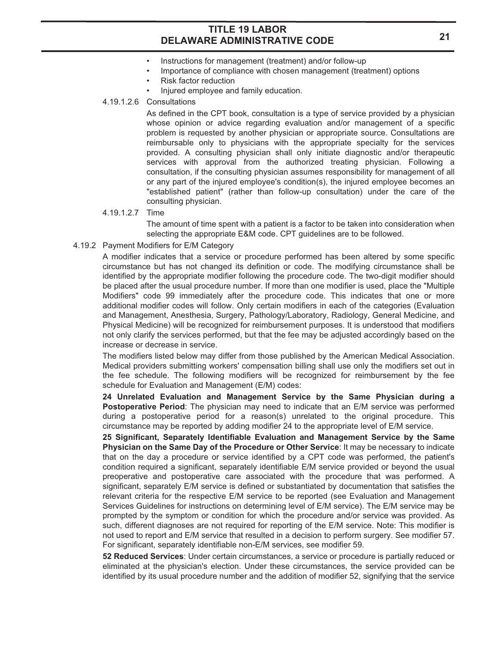- Instructions for management (treatment) and/or follow-up
- Importance of compliance with chosen management (treatment) options
- Risk factor reduction
- Injured employee and family education.
- 4.19.1.2.6 Consultations

As defined in the CPT book, consultation is a type of service provided by a physician whose opinion or advice regarding evaluation and/or management of a specific problem is requested by another physician or appropriate source. Consultations are reimbursable only to physicians with the appropriate specialty for the services provided. A consulting physician shall only initiate diagnostic and/or therapeutic services with approval from the authorized treating physician. Following a consultation, if the consulting physician assumes responsibility for management of all or any part of the injured employee's condition(s), the injured employee becomes an "established patient" (rather than follow-up consultation) under the care of the consulting physician.

4.19.1.2.7 Time

The amount of time spent with a patient is a factor to be taken into consideration when selecting the appropriate E&M code. CPT guidelines are to be followed.

4.19.2 Payment Modifiers for E/M Category

A modifier indicates that a service or procedure performed has been altered by some specific circumstance but has not changed its definition or code. The modifying circumstance shall be identified by the appropriate modifier following the procedure code. The two-digit modifier should be placed after the usual procedure number. If more than one modifier is used, place the "Multiple Modifiers" code 99 immediately after the procedure code. This indicates that one or more additional modifier codes will follow. Only certain modifiers in each of the categories (Evaluation and Management, Anesthesia, Surgery, Pathology/Laboratory, Radiology, General Medicine, and Physical Medicine) will be recognized for reimbursement purposes. It is understood that modifiers not only clarify the services performed, but that the fee may be adjusted accordingly based on the increase or decrease in service.

The modifiers listed below may differ from those published by the American Medical Association. Medical providers submitting workers' compensation billing shall use only the modifiers set out in the fee schedule. The following modifiers will be recognized for reimbursement by the fee schedule for Evaluation and Management (E/M) codes:

**24 Unrelated Evaluation and Management Service by the Same Physician during a Postoperative Period**: The physician may need to indicate that an E/M service was performed during a postoperative period for a reason(s) unrelated to the original procedure. This circumstance may be reported by adding modifier 24 to the appropriate level of E/M service.

**25 Significant, Separately Identifiable Evaluation and Management Service by the Same Physician on the Same Day of the Procedure or Other Service**: It may be necessary to indicate that on the day a procedure or service identified by a CPT code was performed, the patient's condition required a significant, separately identifiable E/M service provided or beyond the usual preoperative and postoperative care associated with the procedure that was performed. A significant, separately E/M service is defined or substantiated by documentation that satisfies the relevant criteria for the respective E/M service to be reported (see Evaluation and Management Services Guidelines for instructions on determining level of E/M service). The E/M service may be prompted by the symptom or condition for which the procedure and/or service was provided. As such, different diagnoses are not required for reporting of the E/M service. Note: This modifier is not used to report and E/M service that resulted in a decision to perform surgery. See modifier 57. For significant, separately identifiable non-E/M services, see modifier 59.

**52 Reduced Services**: Under certain circumstances, a service or procedure is partially reduced or eliminated at the physician's election. Under these circumstances, the service provided can be identified by its usual procedure number and the addition of modifier 52, signifying that the service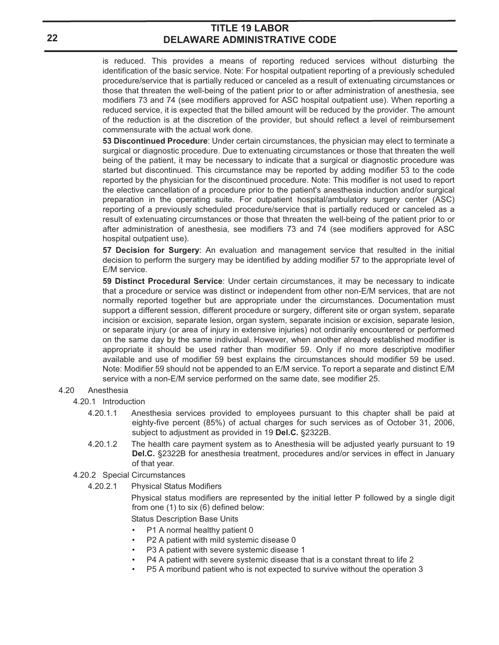is reduced. This provides a means of reporting reduced services without disturbing the identification of the basic service. Note: For hospital outpatient reporting of a previously scheduled procedure/service that is partially reduced or canceled as a result of extenuating circumstances or those that threaten the well-being of the patient prior to or after administration of anesthesia, see modifiers 73 and 74 (see modifiers approved for ASC hospital outpatient use). When reporting a reduced service, it is expected that the billed amount will be reduced by the provider. The amount of the reduction is at the discretion of the provider, but should reflect a level of reimbursement commensurate with the actual work done.

**53 Discontinued Procedure**: Under certain circumstances, the physician may elect to terminate a surgical or diagnostic procedure. Due to extenuating circumstances or those that threaten the well being of the patient, it may be necessary to indicate that a surgical or diagnostic procedure was started but discontinued. This circumstance may be reported by adding modifier 53 to the code reported by the physician for the discontinued procedure. Note: This modifier is not used to report the elective cancellation of a procedure prior to the patient's anesthesia induction and/or surgical preparation in the operating suite. For outpatient hospital/ambulatory surgery center (ASC) reporting of a previously scheduled procedure/service that is partially reduced or canceled as a result of extenuating circumstances or those that threaten the well-being of the patient prior to or after administration of anesthesia, see modifiers 73 and 74 (see modifiers approved for ASC hospital outpatient use).

**57 Decision for Surgery**: An evaluation and management service that resulted in the initial decision to perform the surgery may be identified by adding modifier 57 to the appropriate level of E/M service.

**59 Distinct Procedural Service**: Under certain circumstances, it may be necessary to indicate that a procedure or service was distinct or independent from other non-E/M services, that are not normally reported together but are appropriate under the circumstances. Documentation must support a different session, different procedure or surgery, different site or organ system, separate incision or excision, separate lesion, organ system, separate incision or excision, separate lesion, or separate injury (or area of injury in extensive injuries) not ordinarily encountered or performed on the same day by the same individual. However, when another already established modifier is appropriate it should be used rather than modifier 59. Only if no more descriptive modifier available and use of modifier 59 best explains the circumstances should modifier 59 be used. Note: Modifier 59 should not be appended to an E/M service. To report a separate and distinct E/M service with a non-E/M service performed on the same date, see modifier 25.

#### 4.20 Anesthesia

- 4.20.1 Introduction
	- 4.20.1.1 Anesthesia services provided to employees pursuant to this chapter shall be paid at eighty-five percent (85%) of actual charges for such services as of October 31, 2006, subject to adjustment as provided in 19 **Del.C.** §2322B.
	- 4.20.1.2 The health care payment system as to Anesthesia will be adjusted yearly pursuant to 19 **Del.C.** §2322B for anesthesia treatment, procedures and/or services in effect in January of that year.
- 4.20.2 Special Circumstances
	- 4.20.2.1 Physical Status Modifiers

Physical status modifiers are represented by the initial letter P followed by a single digit from one (1) to six (6) defined below:

Status Description Base Units

- P1 A normal healthy patient 0
- P2 A patient with mild systemic disease 0
- P3 A patient with severe systemic disease 1
- P4 A patient with severe systemic disease that is a constant threat to life 2
- P5 A moribund patient who is not expected to survive without the operation 3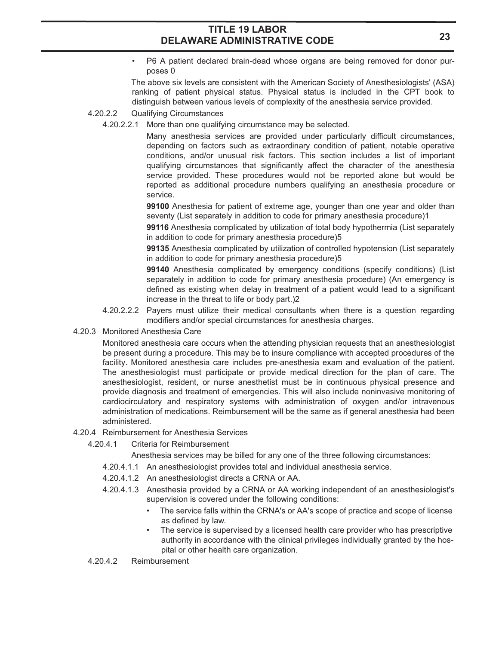• P6 A patient declared brain-dead whose organs are being removed for donor purposes 0

The above six levels are consistent with the American Society of Anesthesiologists' (ASA) ranking of patient physical status. Physical status is included in the CPT book to distinguish between various levels of complexity of the anesthesia service provided.

### 4.20.2.2 Qualifying Circumstances

4.20.2.2.1 More than one qualifying circumstance may be selected.

Many anesthesia services are provided under particularly difficult circumstances, depending on factors such as extraordinary condition of patient, notable operative conditions, and/or unusual risk factors. This section includes a list of important qualifying circumstances that significantly affect the character of the anesthesia service provided. These procedures would not be reported alone but would be reported as additional procedure numbers qualifying an anesthesia procedure or service.

**99100** Anesthesia for patient of extreme age, younger than one year and older than seventy (List separately in addition to code for primary anesthesia procedure)1

**99116** Anesthesia complicated by utilization of total body hypothermia (List separately in addition to code for primary anesthesia procedure)5

**99135** Anesthesia complicated by utilization of controlled hypotension (List separately in addition to code for primary anesthesia procedure)5

**99140** Anesthesia complicated by emergency conditions (specify conditions) (List separately in addition to code for primary anesthesia procedure) (An emergency is defined as existing when delay in treatment of a patient would lead to a significant increase in the threat to life or body part.)2

- 4.20.2.2.2 Payers must utilize their medical consultants when there is a question regarding modifiers and/or special circumstances for anesthesia charges.
- 4.20.3 Monitored Anesthesia Care

Monitored anesthesia care occurs when the attending physician requests that an anesthesiologist be present during a procedure. This may be to insure compliance with accepted procedures of the facility. Monitored anesthesia care includes pre-anesthesia exam and evaluation of the patient. The anesthesiologist must participate or provide medical direction for the plan of care. The anesthesiologist, resident, or nurse anesthetist must be in continuous physical presence and provide diagnosis and treatment of emergencies. This will also include noninvasive monitoring of cardiocirculatory and respiratory systems with administration of oxygen and/or intravenous administration of medications. Reimbursement will be the same as if general anesthesia had been administered.

- 4.20.4 Reimbursement for Anesthesia Services
	- 4.20.4.1 Criteria for Reimbursement
		- Anesthesia services may be billed for any one of the three following circumstances:
		- 4.20.4.1.1 An anesthesiologist provides total and individual anesthesia service.
		- 4.20.4.1.2 An anesthesiologist directs a CRNA or AA.
		- 4.20.4.1.3 Anesthesia provided by a CRNA or AA working independent of an anesthesiologist's supervision is covered under the following conditions:
			- The service falls within the CRNA's or AA's scope of practice and scope of license as defined by law.
			- The service is supervised by a licensed health care provider who has prescriptive authority in accordance with the clinical privileges individually granted by the hospital or other health care organization.
	- 4.20.4.2 Reimbursement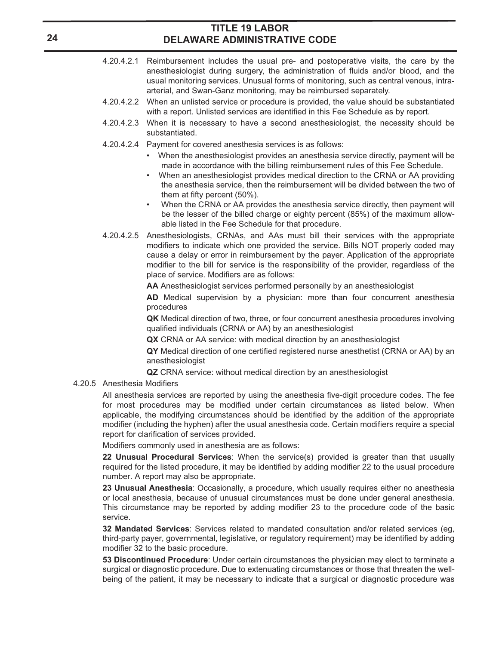- 4.20.4.2.1 Reimbursement includes the usual pre- and postoperative visits, the care by the anesthesiologist during surgery, the administration of fluids and/or blood, and the usual monitoring services. Unusual forms of monitoring, such as central venous, intraarterial, and Swan-Ganz monitoring, may be reimbursed separately.
- 4.20.4.2.2 When an unlisted service or procedure is provided, the value should be substantiated with a report. Unlisted services are identified in this Fee Schedule as by report.
- 4.20.4.2.3 When it is necessary to have a second anesthesiologist, the necessity should be substantiated.
- 4.20.4.2.4 Payment for covered anesthesia services is as follows:
	- When the anesthesiologist provides an anesthesia service directly, payment will be made in accordance with the billing reimbursement rules of this Fee Schedule.
	- When an anesthesiologist provides medical direction to the CRNA or AA providing the anesthesia service, then the reimbursement will be divided between the two of them at fifty percent (50%).
	- When the CRNA or AA provides the anesthesia service directly, then payment will be the lesser of the billed charge or eighty percent (85%) of the maximum allowable listed in the Fee Schedule for that procedure.
- 4.20.4.2.5 Anesthesiologists, CRNAs, and AAs must bill their services with the appropriate modifiers to indicate which one provided the service. Bills NOT properly coded may cause a delay or error in reimbursement by the payer. Application of the appropriate modifier to the bill for service is the responsibility of the provider, regardless of the place of service. Modifiers are as follows:

**AA** Anesthesiologist services performed personally by an anesthesiologist

**AD** Medical supervision by a physician: more than four concurrent anesthesia procedures

**QK** Medical direction of two, three, or four concurrent anesthesia procedures involving qualified individuals (CRNA or AA) by an anesthesiologist

**QX** CRNA or AA service: with medical direction by an anesthesiologist

**QY** Medical direction of one certified registered nurse anesthetist (CRNA or AA) by an anesthesiologist

**QZ** CRNA service: without medical direction by an anesthesiologist

4.20.5 Anesthesia Modifiers

All anesthesia services are reported by using the anesthesia five-digit procedure codes. The fee for most procedures may be modified under certain circumstances as listed below. When applicable, the modifying circumstances should be identified by the addition of the appropriate modifier (including the hyphen) after the usual anesthesia code. Certain modifiers require a special report for clarification of services provided.

Modifiers commonly used in anesthesia are as follows:

**22 Unusual Procedural Services**: When the service(s) provided is greater than that usually required for the listed procedure, it may be identified by adding modifier 22 to the usual procedure number. A report may also be appropriate.

**23 Unusual Anesthesia**: Occasionally, a procedure, which usually requires either no anesthesia or local anesthesia, because of unusual circumstances must be done under general anesthesia. This circumstance may be reported by adding modifier 23 to the procedure code of the basic service.

**32 Mandated Services**: Services related to mandated consultation and/or related services (eg, third-party payer, governmental, legislative, or regulatory requirement) may be identified by adding modifier 32 to the basic procedure.

**53 Discontinued Procedure**: Under certain circumstances the physician may elect to terminate a surgical or diagnostic procedure. Due to extenuating circumstances or those that threaten the wellbeing of the patient, it may be necessary to indicate that a surgical or diagnostic procedure was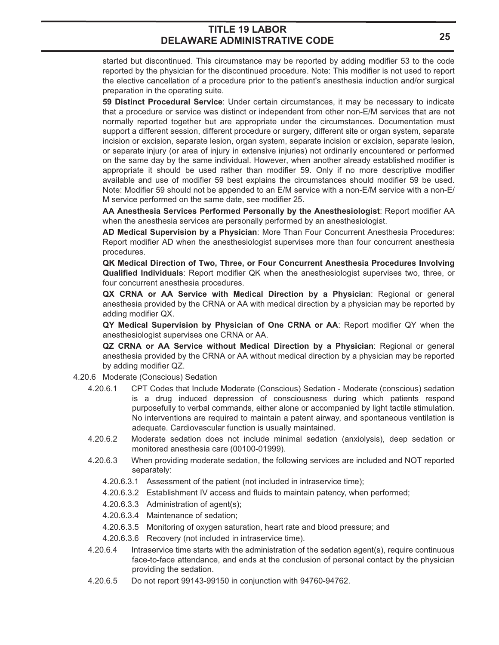started but discontinued. This circumstance may be reported by adding modifier 53 to the code reported by the physician for the discontinued procedure. Note: This modifier is not used to report the elective cancellation of a procedure prior to the patient's anesthesia induction and/or surgical preparation in the operating suite.

**59 Distinct Procedural Service**: Under certain circumstances, it may be necessary to indicate that a procedure or service was distinct or independent from other non-E/M services that are not normally reported together but are appropriate under the circumstances. Documentation must support a different session, different procedure or surgery, different site or organ system, separate incision or excision, separate lesion, organ system, separate incision or excision, separate lesion, or separate injury (or area of injury in extensive injuries) not ordinarily encountered or performed on the same day by the same individual. However, when another already established modifier is appropriate it should be used rather than modifier 59. Only if no more descriptive modifier available and use of modifier 59 best explains the circumstances should modifier 59 be used. Note: Modifier 59 should not be appended to an E/M service with a non-E/M service with a non-E/ M service performed on the same date, see modifier 25.

**AA Anesthesia Services Performed Personally by the Anesthesiologist**: Report modifier AA when the anesthesia services are personally performed by an anesthesiologist.

**AD Medical Supervision by a Physician**: More Than Four Concurrent Anesthesia Procedures: Report modifier AD when the anesthesiologist supervises more than four concurrent anesthesia procedures.

**QK Medical Direction of Two, Three, or Four Concurrent Anesthesia Procedures Involving Qualified Individuals**: Report modifier QK when the anesthesiologist supervises two, three, or four concurrent anesthesia procedures.

**QX CRNA or AA Service with Medical Direction by a Physician**: Regional or general anesthesia provided by the CRNA or AA with medical direction by a physician may be reported by adding modifier QX.

**QY Medical Supervision by Physician of One CRNA or AA**: Report modifier QY when the anesthesiologist supervises one CRNA or AA.

**QZ CRNA or AA Service without Medical Direction by a Physician**: Regional or general anesthesia provided by the CRNA or AA without medical direction by a physician may be reported by adding modifier QZ.

- 4.20.6 Moderate (Conscious) Sedation
	- 4.20.6.1 CPT Codes that Include Moderate (Conscious) Sedation Moderate (conscious) sedation is a drug induced depression of consciousness during which patients respond purposefully to verbal commands, either alone or accompanied by light tactile stimulation. No interventions are required to maintain a patent airway, and spontaneous ventilation is adequate. Cardiovascular function is usually maintained.
	- 4.20.6.2 Moderate sedation does not include minimal sedation (anxiolysis), deep sedation or monitored anesthesia care (00100-01999).
	- 4.20.6.3 When providing moderate sedation, the following services are included and NOT reported separately:
		- 4.20.6.3.1 Assessment of the patient (not included in intraservice time);
		- 4.20.6.3.2 Establishment IV access and fluids to maintain patency, when performed;
		- 4.20.6.3.3 Administration of agent(s);
		- 4.20.6.3.4 Maintenance of sedation;
		- 4.20.6.3.5 Monitoring of oxygen saturation, heart rate and blood pressure; and
		- 4.20.6.3.6 Recovery (not included in intraservice time).
	- 4.20.6.4 Intraservice time starts with the administration of the sedation agent(s), require continuous face-to-face attendance, and ends at the conclusion of personal contact by the physician providing the sedation.
	- 4.20.6.5 Do not report 99143-99150 in conjunction with 94760-94762.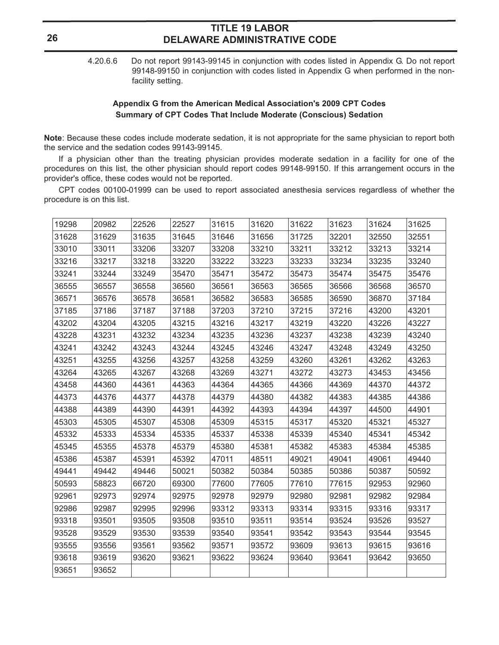4.20.6.6 Do not report 99143-99145 in conjunction with codes listed in Appendix G. Do not report 99148-99150 in conjunction with codes listed in Appendix G when performed in the nonfacility setting.

### **Appendix G from the American Medical Association's 2009 CPT Codes Summary of CPT Codes That Include Moderate (Conscious) Sedation**

**Note**: Because these codes include moderate sedation, it is not appropriate for the same physician to report both the service and the sedation codes 99143-99145.

If a physician other than the treating physician provides moderate sedation in a facility for one of the procedures on this list, the other physician should report codes 99148-99150. If this arrangement occurs in the provider's office, these codes would not be reported.

CPT codes 00100-01999 can be used to report associated anesthesia services regardless of whether the procedure is on this list.

| 19298 | 20982 | 22526 | 22527 | 31615 | 31620 | 31622 | 31623 | 31624 | 31625 |
|-------|-------|-------|-------|-------|-------|-------|-------|-------|-------|
| 31628 | 31629 | 31635 | 31645 | 31646 | 31656 | 31725 | 32201 | 32550 | 32551 |
| 33010 | 33011 | 33206 | 33207 | 33208 | 33210 | 33211 | 33212 | 33213 | 33214 |
| 33216 | 33217 | 33218 | 33220 | 33222 | 33223 | 33233 | 33234 | 33235 | 33240 |
| 33241 | 33244 | 33249 | 35470 | 35471 | 35472 | 35473 | 35474 | 35475 | 35476 |
| 36555 | 36557 | 36558 | 36560 | 36561 | 36563 | 36565 | 36566 | 36568 | 36570 |
| 36571 | 36576 | 36578 | 36581 | 36582 | 36583 | 36585 | 36590 | 36870 | 37184 |
| 37185 | 37186 | 37187 | 37188 | 37203 | 37210 | 37215 | 37216 | 43200 | 43201 |
| 43202 | 43204 | 43205 | 43215 | 43216 | 43217 | 43219 | 43220 | 43226 | 43227 |
| 43228 | 43231 | 43232 | 43234 | 43235 | 43236 | 43237 | 43238 | 43239 | 43240 |
| 43241 | 43242 | 43243 | 43244 | 43245 | 43246 | 43247 | 43248 | 43249 | 43250 |
| 43251 | 43255 | 43256 | 43257 | 43258 | 43259 | 43260 | 43261 | 43262 | 43263 |
| 43264 | 43265 | 43267 | 43268 | 43269 | 43271 | 43272 | 43273 | 43453 | 43456 |
| 43458 | 44360 | 44361 | 44363 | 44364 | 44365 | 44366 | 44369 | 44370 | 44372 |
| 44373 | 44376 | 44377 | 44378 | 44379 | 44380 | 44382 | 44383 | 44385 | 44386 |
| 44388 | 44389 | 44390 | 44391 | 44392 | 44393 | 44394 | 44397 | 44500 | 44901 |
| 45303 | 45305 | 45307 | 45308 | 45309 | 45315 | 45317 | 45320 | 45321 | 45327 |
| 45332 | 45333 | 45334 | 45335 | 45337 | 45338 | 45339 | 45340 | 45341 | 45342 |
| 45345 | 45355 | 45378 | 45379 | 45380 | 45381 | 45382 | 45383 | 45384 | 45385 |
| 45386 | 45387 | 45391 | 45392 | 47011 | 48511 | 49021 | 49041 | 49061 | 49440 |
| 49441 | 49442 | 49446 | 50021 | 50382 | 50384 | 50385 | 50386 | 50387 | 50592 |
| 50593 | 58823 | 66720 | 69300 | 77600 | 77605 | 77610 | 77615 | 92953 | 92960 |
| 92961 | 92973 | 92974 | 92975 | 92978 | 92979 | 92980 | 92981 | 92982 | 92984 |
| 92986 | 92987 | 92995 | 92996 | 93312 | 93313 | 93314 | 93315 | 93316 | 93317 |
| 93318 | 93501 | 93505 | 93508 | 93510 | 93511 | 93514 | 93524 | 93526 | 93527 |
| 93528 | 93529 | 93530 | 93539 | 93540 | 93541 | 93542 | 93543 | 93544 | 93545 |
| 93555 | 93556 | 93561 | 93562 | 93571 | 93572 | 93609 | 93613 | 93615 | 93616 |
| 93618 | 93619 | 93620 | 93621 | 93622 | 93624 | 93640 | 93641 | 93642 | 93650 |
| 93651 | 93652 |       |       |       |       |       |       |       |       |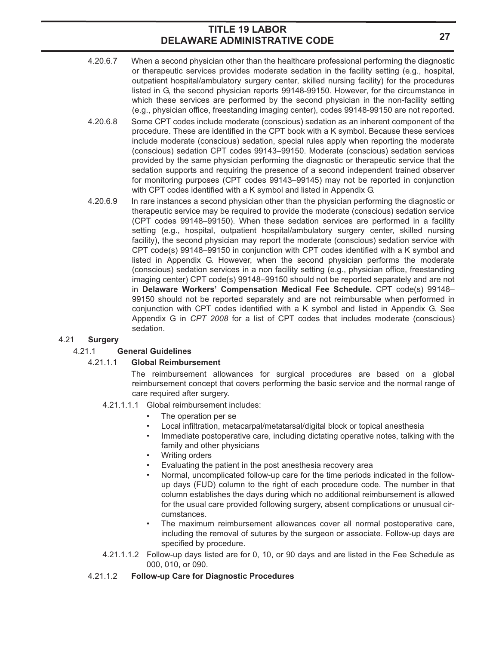- 4.20.6.7 When a second physician other than the healthcare professional performing the diagnostic or therapeutic services provides moderate sedation in the facility setting (e.g., hospital, outpatient hospital/ambulatory surgery center, skilled nursing facility) for the procedures listed in G, the second physician reports 99148-99150. However, for the circumstance in which these services are performed by the second physician in the non-facility setting (e.g., physician office, freestanding imaging center), codes 99148-99150 are not reported.
- 4.20.6.8 Some CPT codes include moderate (conscious) sedation as an inherent component of the procedure. These are identified in the CPT book with a K symbol. Because these services include moderate (conscious) sedation, special rules apply when reporting the moderate (conscious) sedation CPT codes 99143–99150. Moderate (conscious) sedation services provided by the same physician performing the diagnostic or therapeutic service that the sedation supports and requiring the presence of a second independent trained observer for monitoring purposes (CPT codes 99143–99145) may not be reported in conjunction with CPT codes identified with a K symbol and listed in Appendix G.
- 4.20.6.9 In rare instances a second physician other than the physician performing the diagnostic or therapeutic service may be required to provide the moderate (conscious) sedation service (CPT codes 99148–99150). When these sedation services are performed in a facility setting (e.g., hospital, outpatient hospital/ambulatory surgery center, skilled nursing facility), the second physician may report the moderate (conscious) sedation service with CPT code(s) 99148–99150 in conjunction with CPT codes identified with a K symbol and listed in Appendix G. However, when the second physician performs the moderate (conscious) sedation services in a non facility setting (e.g., physician office, freestanding imaging center) CPT code(s) 99148–99150 should not be reported separately and are not in **Delaware Workers' Compensation Medical Fee Schedule.** CPT code(s) 99148– 99150 should not be reported separately and are not reimbursable when performed in conjunction with CPT codes identified with a K symbol and listed in Appendix G. See Appendix G in *CPT 2008* for a list of CPT codes that includes moderate (conscious) sedation.

### 4.21 **Surgery**

### 4.21.1 **General Guidelines**

### 4.21.1.1 **Global Reimbursement**

The reimbursement allowances for surgical procedures are based on a global reimbursement concept that covers performing the basic service and the normal range of care required after surgery.

- 4.21.1.1.1 Global reimbursement includes:
	- The operation per se
	- Local infiltration, metacarpal/metatarsal/digital block or topical anesthesia
	- Immediate postoperative care, including dictating operative notes, talking with the family and other physicians
	- Writing orders
	- Evaluating the patient in the post anesthesia recovery area
	- Normal, uncomplicated follow-up care for the time periods indicated in the followup days (FUD) column to the right of each procedure code. The number in that column establishes the days during which no additional reimbursement is allowed for the usual care provided following surgery, absent complications or unusual circumstances.
	- The maximum reimbursement allowances cover all normal postoperative care, including the removal of sutures by the surgeon or associate. Follow-up days are specified by procedure.
- 4.21.1.1.2 Follow-up days listed are for 0, 10, or 90 days and are listed in the Fee Schedule as 000, 010, or 090.

#### 4.21.1.2 **Follow-up Care for Diagnostic Procedures**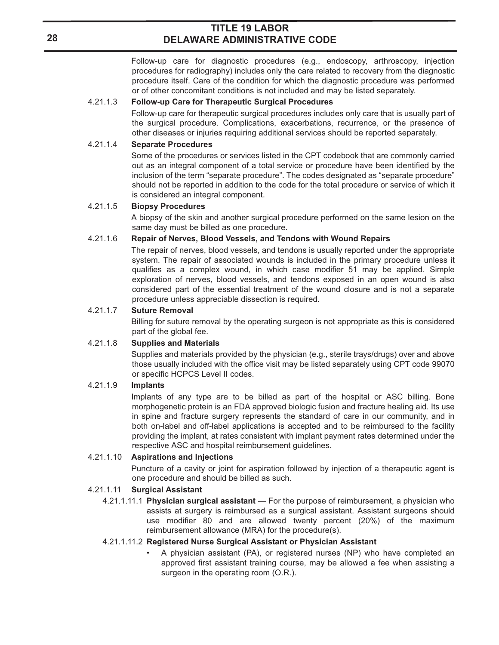Follow-up care for diagnostic procedures (e.g., endoscopy, arthroscopy, injection procedures for radiography) includes only the care related to recovery from the diagnostic procedure itself. Care of the condition for which the diagnostic procedure was performed or of other concomitant conditions is not included and may be listed separately.

#### 4.21.1.3 **Follow-up Care for Therapeutic Surgical Procedures**

Follow-up care for therapeutic surgical procedures includes only care that is usually part of the surgical procedure. Complications, exacerbations, recurrence, or the presence of other diseases or injuries requiring additional services should be reported separately.

### 4.21.1.4 **Separate Procedures**

Some of the procedures or services listed in the CPT codebook that are commonly carried out as an integral component of a total service or procedure have been identified by the inclusion of the term "separate procedure". The codes designated as "separate procedure" should not be reported in addition to the code for the total procedure or service of which it is considered an integral component.

#### 4.21.1.5 **Biopsy Procedures**

A biopsy of the skin and another surgical procedure performed on the same lesion on the same day must be billed as one procedure.

#### 4.21.1.6 **Repair of Nerves, Blood Vessels, and Tendons with Wound Repairs**

The repair of nerves, blood vessels, and tendons is usually reported under the appropriate system. The repair of associated wounds is included in the primary procedure unless it qualifies as a complex wound, in which case modifier 51 may be applied. Simple exploration of nerves, blood vessels, and tendons exposed in an open wound is also considered part of the essential treatment of the wound closure and is not a separate procedure unless appreciable dissection is required.

#### 4.21.1.7 **Suture Removal**

Billing for suture removal by the operating surgeon is not appropriate as this is considered part of the global fee.

### 4.21.1.8 **Supplies and Materials**

Supplies and materials provided by the physician (e.g., sterile trays/drugs) over and above those usually included with the office visit may be listed separately using CPT code 99070 or specific HCPCS Level II codes.

### 4.21.1.9 **Implants**

Implants of any type are to be billed as part of the hospital or ASC billing. Bone morphogenetic protein is an FDA approved biologic fusion and fracture healing aid. Its use in spine and fracture surgery represents the standard of care in our community, and in both on-label and off-label applications is accepted and to be reimbursed to the facility providing the implant, at rates consistent with implant payment rates determined under the respective ASC and hospital reimbursement guidelines.

#### 4.21.1.10 **Aspirations and Injections**

Puncture of a cavity or joint for aspiration followed by injection of a therapeutic agent is one procedure and should be billed as such.

### 4.21.1.11 **Surgical Assistant**

4.21.1.11.1 **Physician surgical assistant** — For the purpose of reimbursement, a physician who assists at surgery is reimbursed as a surgical assistant. Assistant surgeons should use modifier 80 and are allowed twenty percent (20%) of the maximum reimbursement allowance (MRA) for the procedure(s).

### 4.21.1.11.2 **Registered Nurse Surgical Assistant or Physician Assistant**

• A physician assistant (PA), or registered nurses (NP) who have completed an approved first assistant training course, may be allowed a fee when assisting a surgeon in the operating room (O.R.).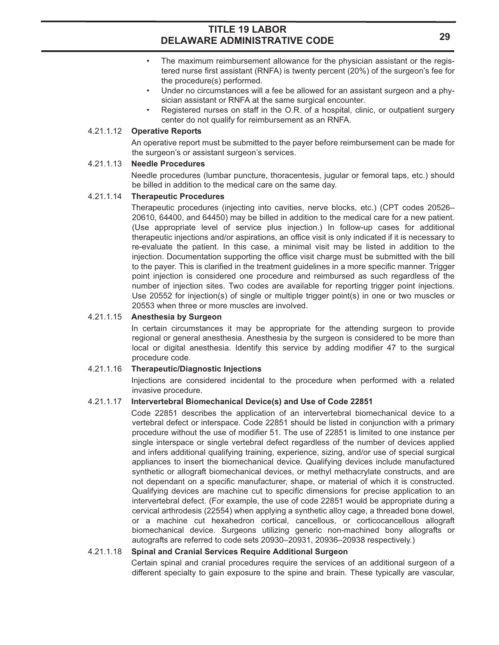- The maximum reimbursement allowance for the physician assistant or the registered nurse first assistant (RNFA) is twenty percent (20%) of the surgeon's fee for the procedure(s) performed.
- Under no circumstances will a fee be allowed for an assistant surgeon and a physician assistant or RNFA at the same surgical encounter.
- Registered nurses on staff in the O.R. of a hospital, clinic, or outpatient surgery center do not qualify for reimbursement as an RNFA.

#### 4.21.1.12 **Operative Reports**

An operative report must be submitted to the payer before reimbursement can be made for the surgeon's or assistant surgeon's services.

### 4.21.1.13 **Needle Procedures**

Needle procedures (lumbar puncture, thoracentesis, jugular or femoral taps, etc.) should be billed in addition to the medical care on the same day.

#### 4.21.1.14 **Therapeutic Procedures**

Therapeutic procedures (injecting into cavities, nerve blocks, etc.) (CPT codes 20526– 20610, 64400, and 64450) may be billed in addition to the medical care for a new patient. (Use appropriate level of service plus injection.) In follow-up cases for additional therapeutic injections and/or aspirations, an office visit is only indicated if it is necessary to re-evaluate the patient. In this case, a minimal visit may be listed in addition to the injection. Documentation supporting the office visit charge must be submitted with the bill to the payer. This is clarified in the treatment guidelines in a more specific manner. Trigger point injection is considered one procedure and reimbursed as such regardless of the number of injection sites. Two codes are available for reporting trigger point injections. Use 20552 for injection(s) of single or multiple trigger point(s) in one or two muscles or 20553 when three or more muscles are involved.

#### 4.21.1.15 **Anesthesia by Surgeon**

In certain circumstances it may be appropriate for the attending surgeon to provide regional or general anesthesia. Anesthesia by the surgeon is considered to be more than local or digital anesthesia. Identify this service by adding modifier 47 to the surgical procedure code.

#### 4.21.1.16 **Therapeutic/Diagnostic Injections**

Injections are considered incidental to the procedure when performed with a related invasive procedure.

### 4.21.1.17 **Intervertebral Biomechanical Device(s) and Use of Code 22851**

Code 22851 describes the application of an intervertebral biomechanical device to a vertebral defect or interspace. Code 22851 should be listed in conjunction with a primary procedure without the use of modifier 51. The use of 22851 is limited to one instance per single interspace or single vertebral defect regardless of the number of devices applied and infers additional qualifying training, experience, sizing, and/or use of special surgical appliances to insert the biomechanical device. Qualifying devices include manufactured synthetic or allograft biomechanical devices, or methyl methacrylate constructs, and are not dependant on a specific manufacturer, shape, or material of which it is constructed. Qualifying devices are machine cut to specific dimensions for precise application to an intervertebral defect. (For example, the use of code 22851 would be appropriate during a cervical arthrodesis (22554) when applying a synthetic alloy cage, a threaded bone dowel, or a machine cut hexahedron cortical, cancellous, or corticocancellous allograft biomechanical device. Surgeons utilizing generic non-machined bony allografts or autografts are referred to code sets 20930–20931, 20936–20938 respectively.)

#### 4.21.1.18 **Spinal and Cranial Services Require Additional Surgeon**

Certain spinal and cranial procedures require the services of an additional surgeon of a different specialty to gain exposure to the spine and brain. These typically are vascular,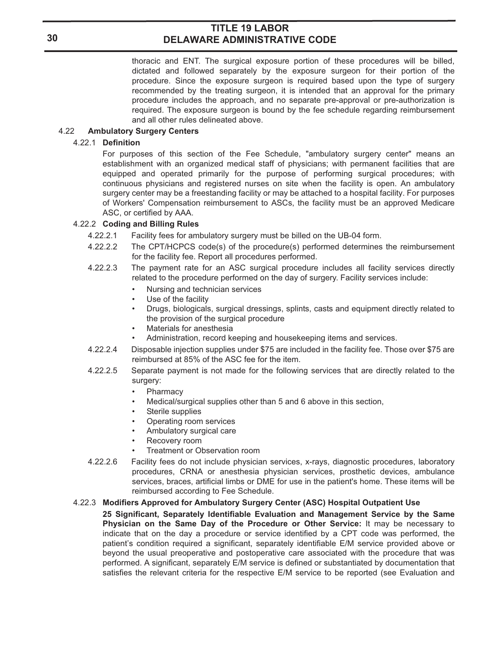thoracic and ENT. The surgical exposure portion of these procedures will be billed, dictated and followed separately by the exposure surgeon for their portion of the procedure. Since the exposure surgeon is required based upon the type of surgery recommended by the treating surgeon, it is intended that an approval for the primary procedure includes the approach, and no separate pre-approval or pre-authorization is required. The exposure surgeon is bound by the fee schedule regarding reimbursement and all other rules delineated above.

### 4.22 **Ambulatory Surgery Centers**

#### 4.22.1 **Definition**

For purposes of this section of the Fee Schedule, "ambulatory surgery center" means an establishment with an organized medical staff of physicians; with permanent facilities that are equipped and operated primarily for the purpose of performing surgical procedures; with continuous physicians and registered nurses on site when the facility is open. An ambulatory surgery center may be a freestanding facility or may be attached to a hospital facility. For purposes of Workers' Compensation reimbursement to ASCs, the facility must be an approved Medicare ASC, or certified by AAA.

### 4.22.2 **Coding and Billing Rules**

- 4.22.2.1 Facility fees for ambulatory surgery must be billed on the UB-04 form.
- 4.22.2.2 The CPT/HCPCS code(s) of the procedure(s) performed determines the reimbursement for the facility fee. Report all procedures performed.
- 4.22.2.3 The payment rate for an ASC surgical procedure includes all facility services directly related to the procedure performed on the day of surgery. Facility services include:
	- Nursing and technician services
	- Use of the facility
	- Drugs, biologicals, surgical dressings, splints, casts and equipment directly related to the provision of the surgical procedure
	- Materials for anesthesia
	- Administration, record keeping and housekeeping items and services.
- 4.22.2.4 Disposable injection supplies under \$75 are included in the facility fee. Those over \$75 are reimbursed at 85% of the ASC fee for the item.
- 4.22.2.5 Separate payment is not made for the following services that are directly related to the surgery:
	- **Pharmacy**
	- Medical/surgical supplies other than 5 and 6 above in this section,
	- Sterile supplies
	- Operating room services
	- Ambulatory surgical care
	- Recovery room
	- Treatment or Observation room
- 4.22.2.6 Facility fees do not include physician services, x-rays, diagnostic procedures, laboratory procedures, CRNA or anesthesia physician services, prosthetic devices, ambulance services, braces, artificial limbs or DME for use in the patient's home. These items will be reimbursed according to Fee Schedule.

### 4.22.3 **Modifiers Approved for Ambulatory Surgery Center (ASC) Hospital Outpatient Use**

**25 Significant, Separately Identifiable Evaluation and Management Service by the Same Physician on the Same Day of the Procedure or Other Service:** It may be necessary to indicate that on the day a procedure or service identified by a CPT code was performed, the patient's condition required a significant, separately identifiable E/M service provided above or beyond the usual preoperative and postoperative care associated with the procedure that was performed. A significant, separately E/M service is defined or substantiated by documentation that satisfies the relevant criteria for the respective E/M service to be reported (see Evaluation and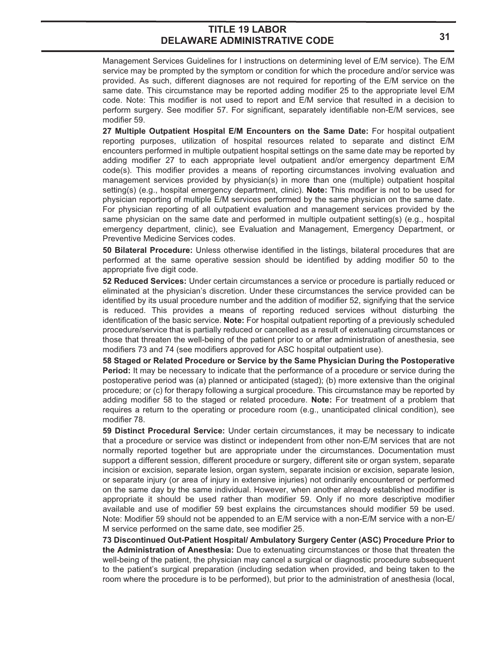Management Services Guidelines for I instructions on determining level of E/M service). The E/M service may be prompted by the symptom or condition for which the procedure and/or service was provided. As such, different diagnoses are not required for reporting of the E/M service on the same date. This circumstance may be reported adding modifier 25 to the appropriate level E/M code. Note: This modifier is not used to report and E/M service that resulted in a decision to perform surgery. See modifier 57. For significant, separately identifiable non-E/M services, see modifier 59.

**27 Multiple Outpatient Hospital E/M Encounters on the Same Date:** For hospital outpatient reporting purposes, utilization of hospital resources related to separate and distinct E/M encounters performed in multiple outpatient hospital settings on the same date may be reported by adding modifier 27 to each appropriate level outpatient and/or emergency department E/M code(s). This modifier provides a means of reporting circumstances involving evaluation and management services provided by physician(s) in more than one (multiple) outpatient hospital setting(s) (e.g., hospital emergency department, clinic). **Note:** This modifier is not to be used for physician reporting of multiple E/M services performed by the same physician on the same date. For physician reporting of all outpatient evaluation and management services provided by the same physician on the same date and performed in multiple outpatient setting(s) (e.g., hospital emergency department, clinic), see Evaluation and Management, Emergency Department, or Preventive Medicine Services codes.

**50 Bilateral Procedure:** Unless otherwise identified in the listings, bilateral procedures that are performed at the same operative session should be identified by adding modifier 50 to the appropriate five digit code.

**52 Reduced Services:** Under certain circumstances a service or procedure is partially reduced or eliminated at the physician's discretion. Under these circumstances the service provided can be identified by its usual procedure number and the addition of modifier 52, signifying that the service is reduced. This provides a means of reporting reduced services without disturbing the identification of the basic service. **Note:** For hospital outpatient reporting of a previously scheduled procedure/service that is partially reduced or cancelled as a result of extenuating circumstances or those that threaten the well-being of the patient prior to or after administration of anesthesia, see modifiers 73 and 74 (see modifiers approved for ASC hospital outpatient use).

**58 Staged or Related Procedure or Service by the Same Physician During the Postoperative Period:** It may be necessary to indicate that the performance of a procedure or service during the postoperative period was (a) planned or anticipated (staged); (b) more extensive than the original procedure; or (c) for therapy following a surgical procedure. This circumstance may be reported by adding modifier 58 to the staged or related procedure. **Note:** For treatment of a problem that requires a return to the operating or procedure room (e.g., unanticipated clinical condition), see modifier 78.

**59 Distinct Procedural Service:** Under certain circumstances, it may be necessary to indicate that a procedure or service was distinct or independent from other non-E/M services that are not normally reported together but are appropriate under the circumstances. Documentation must support a different session, different procedure or surgery, different site or organ system, separate incision or excision, separate lesion, organ system, separate incision or excision, separate lesion, or separate injury (or area of injury in extensive injuries) not ordinarily encountered or performed on the same day by the same individual. However, when another already established modifier is appropriate it should be used rather than modifier 59. Only if no more descriptive modifier available and use of modifier 59 best explains the circumstances should modifier 59 be used. Note: Modifier 59 should not be appended to an E/M service with a non-E/M service with a non-E/ M service performed on the same date, see modifier 25.

**73 Discontinued Out-Patient Hospital/ Ambulatory Surgery Center (ASC) Procedure Prior to the Administration of Anesthesia:** Due to extenuating circumstances or those that threaten the well-being of the patient, the physician may cancel a surgical or diagnostic procedure subsequent to the patient's surgical preparation (including sedation when provided, and being taken to the room where the procedure is to be performed), but prior to the administration of anesthesia (local,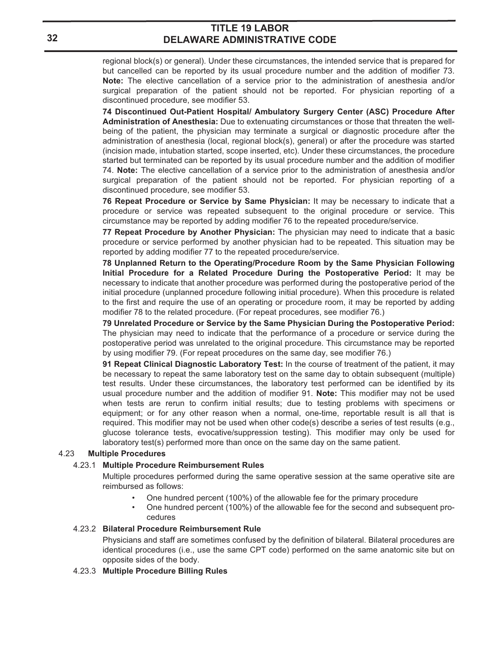regional block(s) or general). Under these circumstances, the intended service that is prepared for but cancelled can be reported by its usual procedure number and the addition of modifier 73. **Note:** The elective cancellation of a service prior to the administration of anesthesia and/or surgical preparation of the patient should not be reported. For physician reporting of a discontinued procedure, see modifier 53.

**74 Discontinued Out-Patient Hospital/ Ambulatory Surgery Center (ASC) Procedure After Administration of Anesthesia:** Due to extenuating circumstances or those that threaten the wellbeing of the patient, the physician may terminate a surgical or diagnostic procedure after the administration of anesthesia (local, regional block(s), general) or after the procedure was started (incision made, intubation started, scope inserted, etc). Under these circumstances, the procedure started but terminated can be reported by its usual procedure number and the addition of modifier 74. **Note:** The elective cancellation of a service prior to the administration of anesthesia and/or surgical preparation of the patient should not be reported. For physician reporting of a discontinued procedure, see modifier 53.

**76 Repeat Procedure or Service by Same Physician:** It may be necessary to indicate that a procedure or service was repeated subsequent to the original procedure or service. This circumstance may be reported by adding modifier 76 to the repeated procedure/service.

**77 Repeat Procedure by Another Physician:** The physician may need to indicate that a basic procedure or service performed by another physician had to be repeated. This situation may be reported by adding modifier 77 to the repeated procedure/service.

**78 Unplanned Return to the Operating/Procedure Room by the Same Physician Following Initial Procedure for a Related Procedure During the Postoperative Period:** It may be necessary to indicate that another procedure was performed during the postoperative period of the initial procedure (unplanned procedure following initial procedure). When this procedure is related to the first and require the use of an operating or procedure room, it may be reported by adding modifier 78 to the related procedure. (For repeat procedures, see modifier 76.)

**79 Unrelated Procedure or Service by the Same Physician During the Postoperative Period:** The physician may need to indicate that the performance of a procedure or service during the postoperative period was unrelated to the original procedure. This circumstance may be reported by using modifier 79. (For repeat procedures on the same day, see modifier 76.)

**91 Repeat Clinical Diagnostic Laboratory Test:** In the course of treatment of the patient, it may be necessary to repeat the same laboratory test on the same day to obtain subsequent (multiple) test results. Under these circumstances, the laboratory test performed can be identified by its usual procedure number and the addition of modifier 91. **Note:** This modifier may not be used when tests are rerun to confirm initial results; due to testing problems with specimens or equipment; or for any other reason when a normal, one-time, reportable result is all that is required. This modifier may not be used when other code(s) describe a series of test results (e.g., glucose tolerance tests, evocative/suppression testing). This modifier may only be used for laboratory test(s) performed more than once on the same day on the same patient.

#### 4.23 **Multiple Procedures**

#### 4.23.1 **Multiple Procedure Reimbursement Rules**

Multiple procedures performed during the same operative session at the same operative site are reimbursed as follows:

- One hundred percent (100%) of the allowable fee for the primary procedure
- One hundred percent (100%) of the allowable fee for the second and subsequent procedures

#### 4.23.2 **Bilateral Procedure Reimbursement Rule**

Physicians and staff are sometimes confused by the definition of bilateral. Bilateral procedures are identical procedures (i.e., use the same CPT code) performed on the same anatomic site but on opposite sides of the body.

### 4.23.3 **Multiple Procedure Billing Rules**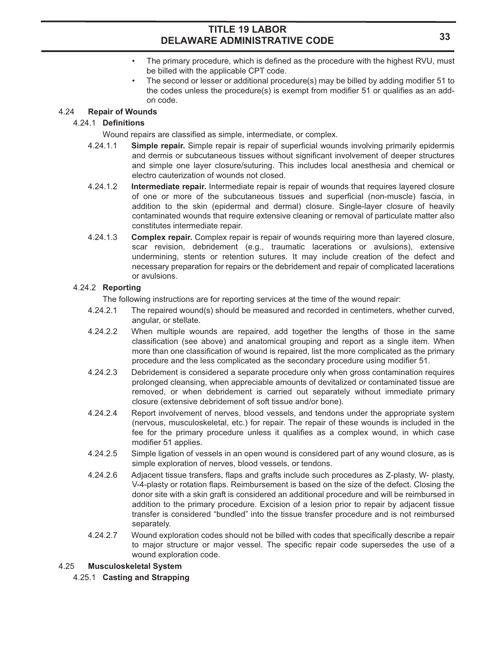- The primary procedure, which is defined as the procedure with the highest RVU, must be billed with the applicable CPT code.
- The second or lesser or additional procedure(s) may be billed by adding modifier 51 to the codes unless the procedure(s) is exempt from modifier 51 or qualifies as an addon code.

### 4.24 **Repair of Wounds**

### 4.24.1 **Definitions**

Wound repairs are classified as simple, intermediate, or complex.

- 4.24.1.1 **Simple repair.** Simple repair is repair of superficial wounds involving primarily epidermis and dermis or subcutaneous tissues without significant involvement of deeper structures and simple one layer closure/suturing. This includes local anesthesia and chemical or electro cauterization of wounds not closed.
- 4.24.1.2 **Intermediate repair.** Intermediate repair is repair of wounds that requires layered closure of one or more of the subcutaneous tissues and superficial (non-muscle) fascia, in addition to the skin (epidermal and dermal) closure. Single-layer closure of heavily contaminated wounds that require extensive cleaning or removal of particulate matter also constitutes intermediate repair.
- 4.24.1.3 **Complex repair.** Complex repair is repair of wounds requiring more than layered closure, scar revision, debridement (e.g., traumatic lacerations or avulsions), extensive undermining, stents or retention sutures. It may include creation of the defect and necessary preparation for repairs or the debridement and repair of complicated lacerations or avulsions.

### 4.24.2 **Reporting**

The following instructions are for reporting services at the time of the wound repair:

- 4.24.2.1 The repaired wound(s) should be measured and recorded in centimeters, whether curved, angular, or stellate.
- 4.24.2.2 When multiple wounds are repaired, add together the lengths of those in the same classification (see above) and anatomical grouping and report as a single item. When more than one classification of wound is repaired, list the more complicated as the primary procedure and the less complicated as the secondary procedure using modifier 51.
- 4.24.2.3 Debridement is considered a separate procedure only when gross contamination requires prolonged cleansing, when appreciable amounts of devitalized or contaminated tissue are removed, or when debridement is carried out separately without immediate primary closure (extensive debridement of soft tissue and/or bone).
- 4.24.2.4 Report involvement of nerves, blood vessels, and tendons under the appropriate system (nervous, musculoskeletal, etc.) for repair. The repair of these wounds is included in the fee for the primary procedure unless it qualifies as a complex wound, in which case modifier 51 applies.
- 4.24.2.5 Simple ligation of vessels in an open wound is considered part of any wound closure, as is simple exploration of nerves, blood vessels, or tendons.
- 4.24.2.6 Adjacent tissue transfers, flaps and grafts include such procedures as Z-plasty, W- plasty, V-4-plasty or rotation flaps. Reimbursement is based on the size of the defect. Closing the donor site with a skin graft is considered an additional procedure and will be reimbursed in addition to the primary procedure. Excision of a lesion prior to repair by adjacent tissue transfer is considered "bundled" into the tissue transfer procedure and is not reimbursed separately.
- 4.24.2.7 Wound exploration codes should not be billed with codes that specifically describe a repair to major structure or major vessel. The specific repair code supersedes the use of a wound exploration code.

### 4.25 **Musculoskeletal System**

4.25.1 **Casting and Strapping**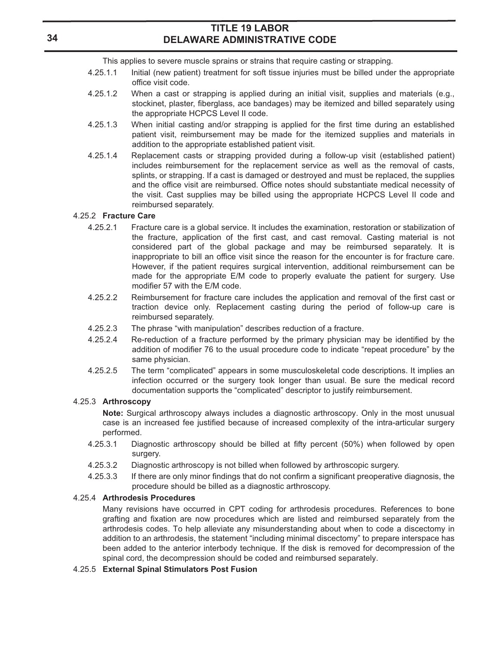This applies to severe muscle sprains or strains that require casting or strapping.

- 4.25.1.1 Initial (new patient) treatment for soft tissue injuries must be billed under the appropriate office visit code.
- 4.25.1.2 When a cast or strapping is applied during an initial visit, supplies and materials (e.g., stockinet, plaster, fiberglass, ace bandages) may be itemized and billed separately using the appropriate HCPCS Level II code.
- 4.25.1.3 When initial casting and/or strapping is applied for the first time during an established patient visit, reimbursement may be made for the itemized supplies and materials in addition to the appropriate established patient visit.
- 4.25.1.4 Replacement casts or strapping provided during a follow-up visit (established patient) includes reimbursement for the replacement service as well as the removal of casts, splints, or strapping. If a cast is damaged or destroyed and must be replaced, the supplies and the office visit are reimbursed. Office notes should substantiate medical necessity of the visit. Cast supplies may be billed using the appropriate HCPCS Level II code and reimbursed separately.

### 4.25.2 **Fracture Care**

- 4.25.2.1 Fracture care is a global service. It includes the examination, restoration or stabilization of the fracture, application of the first cast, and cast removal. Casting material is not considered part of the global package and may be reimbursed separately. It is inappropriate to bill an office visit since the reason for the encounter is for fracture care. However, if the patient requires surgical intervention, additional reimbursement can be made for the appropriate E/M code to properly evaluate the patient for surgery. Use modifier 57 with the E/M code.
- 4.25.2.2 Reimbursement for fracture care includes the application and removal of the first cast or traction device only. Replacement casting during the period of follow-up care is reimbursed separately.
- 4.25.2.3 The phrase "with manipulation" describes reduction of a fracture.
- 4.25.2.4 Re-reduction of a fracture performed by the primary physician may be identified by the addition of modifier 76 to the usual procedure code to indicate "repeat procedure" by the same physician.
- 4.25.2.5 The term "complicated" appears in some musculoskeletal code descriptions. It implies an infection occurred or the surgery took longer than usual. Be sure the medical record documentation supports the "complicated" descriptor to justify reimbursement.

#### 4.25.3 **Arthroscopy**

**Note:** Surgical arthroscopy always includes a diagnostic arthroscopy. Only in the most unusual case is an increased fee justified because of increased complexity of the intra-articular surgery performed.

- 4.25.3.1 Diagnostic arthroscopy should be billed at fifty percent (50%) when followed by open surgery.
- 4.25.3.2 Diagnostic arthroscopy is not billed when followed by arthroscopic surgery.
- 4.25.3.3 If there are only minor findings that do not confirm a significant preoperative diagnosis, the procedure should be billed as a diagnostic arthroscopy.

#### 4.25.4 **Arthrodesis Procedures**

Many revisions have occurred in CPT coding for arthrodesis procedures. References to bone grafting and fixation are now procedures which are listed and reimbursed separately from the arthrodesis codes. To help alleviate any misunderstanding about when to code a discectomy in addition to an arthrodesis, the statement "including minimal discectomy" to prepare interspace has been added to the anterior interbody technique. If the disk is removed for decompression of the spinal cord, the decompression should be coded and reimbursed separately.

#### 4.25.5 **External Spinal Stimulators Post Fusion**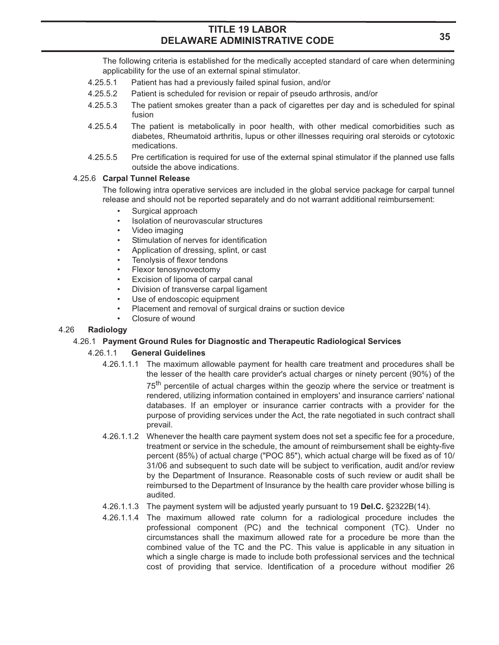The following criteria is established for the medically accepted standard of care when determining applicability for the use of an external spinal stimulator.

- 4.25.5.1 Patient has had a previously failed spinal fusion, and/or
- 4.25.5.2 Patient is scheduled for revision or repair of pseudo arthrosis, and/or
- 4.25.5.3 The patient smokes greater than a pack of cigarettes per day and is scheduled for spinal fusion
- 4.25.5.4 The patient is metabolically in poor health, with other medical comorbidities such as diabetes, Rheumatoid arthritis, lupus or other illnesses requiring oral steroids or cytotoxic medications.
- 4.25.5.5 Pre certification is required for use of the external spinal stimulator if the planned use falls outside the above indications.

#### 4.25.6 **Carpal Tunnel Release**

The following intra operative services are included in the global service package for carpal tunnel release and should not be reported separately and do not warrant additional reimbursement:

- Surgical approach
- Isolation of neurovascular structures
- Video imaging
- Stimulation of nerves for identification
- Application of dressing, splint, or cast
- Tenolysis of flexor tendons
- Flexor tenosynovectomy
- Excision of lipoma of carpal canal
- Division of transverse carpal ligament
- Use of endoscopic equipment
- Placement and removal of surgical drains or suction device
- Closure of wound

#### 4.26 **Radiology**

#### 4.26.1 **Payment Ground Rules for Diagnostic and Therapeutic Radiological Services**

#### 4.26.1.1 **General Guidelines**

- 4.26.1.1.1 The maximum allowable payment for health care treatment and procedures shall be the lesser of the health care provider's actual charges or ninety percent (90%) of the 75<sup>th</sup> percentile of actual charges within the geozip where the service or treatment is rendered, utilizing information contained in employers' and insurance carriers' national databases. If an employer or insurance carrier contracts with a provider for the purpose of providing services under the Act, the rate negotiated in such contract shall prevail.
- 4.26.1.1.2 Whenever the health care payment system does not set a specific fee for a procedure, treatment or service in the schedule, the amount of reimbursement shall be eighty-five percent (85%) of actual charge ("POC 85"), which actual charge will be fixed as of 10/ 31/06 and subsequent to such date will be subject to verification, audit and/or review by the Department of Insurance. Reasonable costs of such review or audit shall be reimbursed to the Department of Insurance by the health care provider whose billing is audited.
- 4.26.1.1.3 The payment system will be adjusted yearly pursuant to 19 **Del.C.** §2322B(14).
- 4.26.1.1.4 The maximum allowed rate column for a radiological procedure includes the professional component (PC) and the technical component (TC). Under no circumstances shall the maximum allowed rate for a procedure be more than the combined value of the TC and the PC. This value is applicable in any situation in which a single charge is made to include both professional services and the technical cost of providing that service. Identification of a procedure without modifier 26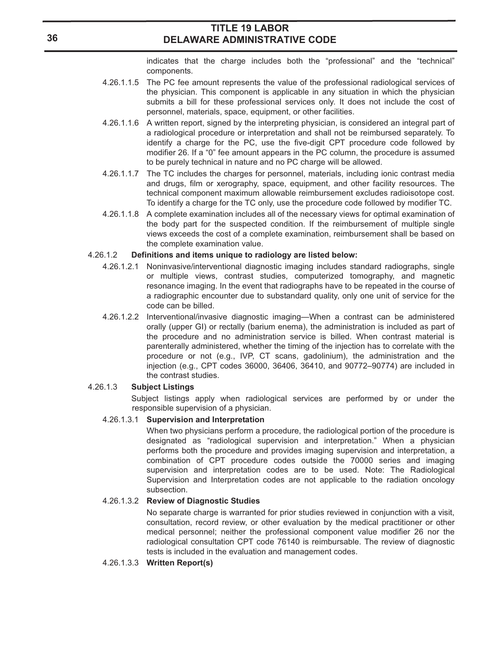indicates that the charge includes both the "professional" and the "technical" components.

- 4.26.1.1.5 The PC fee amount represents the value of the professional radiological services of the physician. This component is applicable in any situation in which the physician submits a bill for these professional services only. It does not include the cost of personnel, materials, space, equipment, or other facilities.
- 4.26.1.1.6 A written report, signed by the interpreting physician, is considered an integral part of a radiological procedure or interpretation and shall not be reimbursed separately. To identify a charge for the PC, use the five-digit CPT procedure code followed by modifier 26. If a "0" fee amount appears in the PC column, the procedure is assumed to be purely technical in nature and no PC charge will be allowed.
- 4.26.1.1.7 The TC includes the charges for personnel, materials, including ionic contrast media and drugs, film or xerography, space, equipment, and other facility resources. The technical component maximum allowable reimbursement excludes radioisotope cost. To identify a charge for the TC only, use the procedure code followed by modifier TC.
- 4.26.1.1.8 A complete examination includes all of the necessary views for optimal examination of the body part for the suspected condition. If the reimbursement of multiple single views exceeds the cost of a complete examination, reimbursement shall be based on the complete examination value.

#### 4.26.1.2 **Definitions and items unique to radiology are listed below:**

- 4.26.1.2.1 Noninvasive/interventional diagnostic imaging includes standard radiographs, single or multiple views, contrast studies, computerized tomography, and magnetic resonance imaging. In the event that radiographs have to be repeated in the course of a radiographic encounter due to substandard quality, only one unit of service for the code can be billed.
- 4.26.1.2.2 Interventional/invasive diagnostic imaging—When a contrast can be administered orally (upper GI) or rectally (barium enema), the administration is included as part of the procedure and no administration service is billed. When contrast material is parenterally administered, whether the timing of the injection has to correlate with the procedure or not (e.g., IVP, CT scans, gadolinium), the administration and the injection (e.g., CPT codes 36000, 36406, 36410, and 90772–90774) are included in the contrast studies.

### 4.26.1.3 **Subject Listings**

Subject listings apply when radiological services are performed by or under the responsible supervision of a physician.

### 4.26.1.3.1 **Supervision and Interpretation**

When two physicians perform a procedure, the radiological portion of the procedure is designated as "radiological supervision and interpretation." When a physician performs both the procedure and provides imaging supervision and interpretation, a combination of CPT procedure codes outside the 70000 series and imaging supervision and interpretation codes are to be used. Note: The Radiological Supervision and Interpretation codes are not applicable to the radiation oncology subsection.

### 4.26.1.3.2 **Review of Diagnostic Studies**

No separate charge is warranted for prior studies reviewed in conjunction with a visit, consultation, record review, or other evaluation by the medical practitioner or other medical personnel; neither the professional component value modifier 26 nor the radiological consultation CPT code 76140 is reimbursable. The review of diagnostic tests is included in the evaluation and management codes.

#### 4.26.1.3.3 **Written Report(s)**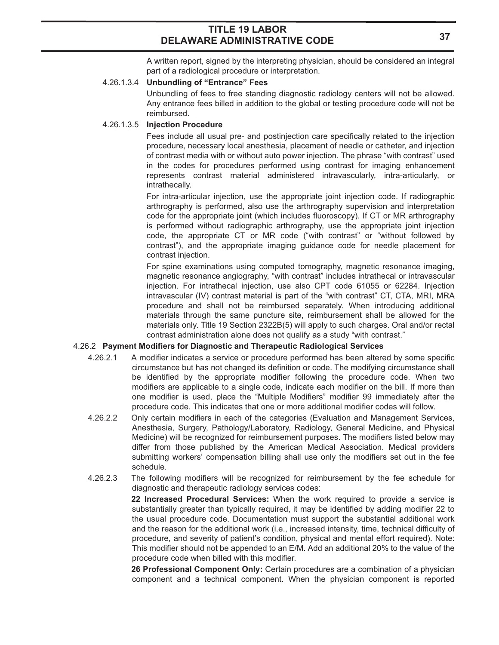A written report, signed by the interpreting physician, should be considered an integral part of a radiological procedure or interpretation.

#### 4.26.1.3.4 **Unbundling of "Entrance" Fees**

Unbundling of fees to free standing diagnostic radiology centers will not be allowed. Any entrance fees billed in addition to the global or testing procedure code will not be reimbursed.

#### 4.26.1.3.5 **Injection Procedure**

Fees include all usual pre- and postinjection care specifically related to the injection procedure, necessary local anesthesia, placement of needle or catheter, and injection of contrast media with or without auto power injection. The phrase "with contrast" used in the codes for procedures performed using contrast for imaging enhancement represents contrast material administered intravascularly, intra-articularly, or intrathecally.

For intra-articular injection, use the appropriate joint injection code. If radiographic arthrography is performed, also use the arthrography supervision and interpretation code for the appropriate joint (which includes fluoroscopy). If CT or MR arthrography is performed without radiographic arthrography, use the appropriate joint injection code, the appropriate CT or MR code ("with contrast" or "without followed by contrast"), and the appropriate imaging guidance code for needle placement for contrast injection.

For spine examinations using computed tomography, magnetic resonance imaging, magnetic resonance angiography, "with contrast" includes intrathecal or intravascular injection. For intrathecal injection, use also CPT code 61055 or 62284. Injection intravascular (IV) contrast material is part of the "with contrast" CT, CTA, MRI, MRA procedure and shall not be reimbursed separately. When introducing additional materials through the same puncture site, reimbursement shall be allowed for the materials only. Title 19 Section 2322B(5) will apply to such charges. Oral and/or rectal contrast administration alone does not qualify as a study "with contrast."

#### 4.26.2 **Payment Modifiers for Diagnostic and Therapeutic Radiological Services**

- 4.26.2.1 A modifier indicates a service or procedure performed has been altered by some specific circumstance but has not changed its definition or code. The modifying circumstance shall be identified by the appropriate modifier following the procedure code. When two modifiers are applicable to a single code, indicate each modifier on the bill. If more than one modifier is used, place the "Multiple Modifiers" modifier 99 immediately after the procedure code. This indicates that one or more additional modifier codes will follow.
- 4.26.2.2 Only certain modifiers in each of the categories (Evaluation and Management Services, Anesthesia, Surgery, Pathology/Laboratory, Radiology, General Medicine, and Physical Medicine) will be recognized for reimbursement purposes. The modifiers listed below may differ from those published by the American Medical Association. Medical providers submitting workers' compensation billing shall use only the modifiers set out in the fee schedule.
- 4.26.2.3 The following modifiers will be recognized for reimbursement by the fee schedule for diagnostic and therapeutic radiology services codes:

**22 Increased Procedural Services:** When the work required to provide a service is substantially greater than typically required, it may be identified by adding modifier 22 to the usual procedure code. Documentation must support the substantial additional work and the reason for the additional work (i.e., increased intensity, time, technical difficulty of procedure, and severity of patient's condition, physical and mental effort required). Note: This modifier should not be appended to an E/M. Add an additional 20% to the value of the procedure code when billed with this modifier.

**26 Professional Component Only:** Certain procedures are a combination of a physician component and a technical component. When the physician component is reported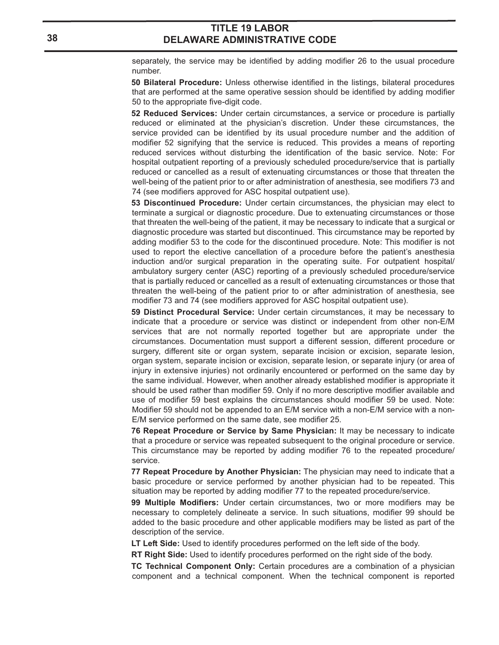separately, the service may be identified by adding modifier 26 to the usual procedure number.

**50 Bilateral Procedure:** Unless otherwise identified in the listings, bilateral procedures that are performed at the same operative session should be identified by adding modifier 50 to the appropriate five-digit code.

**52 Reduced Services:** Under certain circumstances, a service or procedure is partially reduced or eliminated at the physician's discretion. Under these circumstances, the service provided can be identified by its usual procedure number and the addition of modifier 52 signifying that the service is reduced. This provides a means of reporting reduced services without disturbing the identification of the basic service. Note: For hospital outpatient reporting of a previously scheduled procedure/service that is partially reduced or cancelled as a result of extenuating circumstances or those that threaten the well-being of the patient prior to or after administration of anesthesia, see modifiers 73 and 74 (see modifiers approved for ASC hospital outpatient use).

**53 Discontinued Procedure:** Under certain circumstances, the physician may elect to terminate a surgical or diagnostic procedure. Due to extenuating circumstances or those that threaten the well-being of the patient, it may be necessary to indicate that a surgical or diagnostic procedure was started but discontinued. This circumstance may be reported by adding modifier 53 to the code for the discontinued procedure. Note: This modifier is not used to report the elective cancellation of a procedure before the patient's anesthesia induction and/or surgical preparation in the operating suite. For outpatient hospital/ ambulatory surgery center (ASC) reporting of a previously scheduled procedure/service that is partially reduced or cancelled as a result of extenuating circumstances or those that threaten the well-being of the patient prior to or after administration of anesthesia, see modifier 73 and 74 (see modifiers approved for ASC hospital outpatient use).

**59 Distinct Procedural Service:** Under certain circumstances, it may be necessary to indicate that a procedure or service was distinct or independent from other non-E/M services that are not normally reported together but are appropriate under the circumstances. Documentation must support a different session, different procedure or surgery, different site or organ system, separate incision or excision, separate lesion, organ system, separate incision or excision, separate lesion, or separate injury (or area of injury in extensive injuries) not ordinarily encountered or performed on the same day by the same individual. However, when another already established modifier is appropriate it should be used rather than modifier 59. Only if no more descriptive modifier available and use of modifier 59 best explains the circumstances should modifier 59 be used. Note: Modifier 59 should not be appended to an E/M service with a non-E/M service with a non-E/M service performed on the same date, see modifier 25.

**76 Repeat Procedure or Service by Same Physician:** It may be necessary to indicate that a procedure or service was repeated subsequent to the original procedure or service. This circumstance may be reported by adding modifier 76 to the repeated procedure/ service.

**77 Repeat Procedure by Another Physician:** The physician may need to indicate that a basic procedure or service performed by another physician had to be repeated. This situation may be reported by adding modifier 77 to the repeated procedure/service.

**99 Multiple Modifiers:** Under certain circumstances, two or more modifiers may be necessary to completely delineate a service. In such situations, modifier 99 should be added to the basic procedure and other applicable modifiers may be listed as part of the description of the service.

**LT Left Side:** Used to identify procedures performed on the left side of the body.

**RT Right Side:** Used to identify procedures performed on the right side of the body.

**TC Technical Component Only:** Certain procedures are a combination of a physician component and a technical component. When the technical component is reported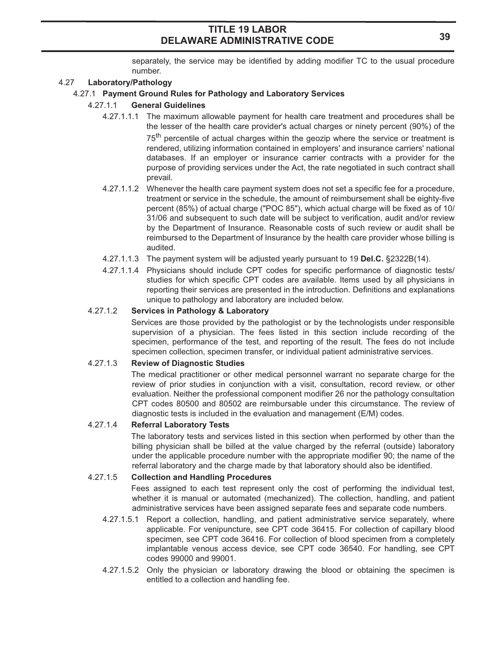separately, the service may be identified by adding modifier TC to the usual procedure number.

### 4.27 **Laboratory/Pathology**

### 4.27.1 **Payment Ground Rules for Pathology and Laboratory Services**

#### 4.27.1.1 **General Guidelines**

- 4.27.1.1.1 The maximum allowable payment for health care treatment and procedures shall be the lesser of the health care provider's actual charges or ninety percent (90%) of the 75<sup>th</sup> percentile of actual charges within the geozip where the service or treatment is rendered, utilizing information contained in employers' and insurance carriers' national databases. If an employer or insurance carrier contracts with a provider for the purpose of providing services under the Act, the rate negotiated in such contract shall prevail.
- 4.27.1.1.2 Whenever the health care payment system does not set a specific fee for a procedure, treatment or service in the schedule, the amount of reimbursement shall be eighty-five percent (85%) of actual charge ("POC 85"), which actual charge will be fixed as of 10/ 31/06 and subsequent to such date will be subject to verification, audit and/or review by the Department of Insurance. Reasonable costs of such review or audit shall be reimbursed to the Department of Insurance by the health care provider whose billing is audited.
- 4.27.1.1.3 The payment system will be adjusted yearly pursuant to 19 **Del.C.** §2322B(14).
- 4.27.1.1.4 Physicians should include CPT codes for specific performance of diagnostic tests/ studies for which specific CPT codes are available. Items used by all physicians in reporting their services are presented in the introduction. Definitions and explanations unique to pathology and laboratory are included below.

#### 4.27.1.2 **Services in Pathology & Laboratory**

Services are those provided by the pathologist or by the technologists under responsible supervision of a physician. The fees listed in this section include recording of the specimen, performance of the test, and reporting of the result. The fees do not include specimen collection, specimen transfer, or individual patient administrative services.

#### 4.27.1.3 **Review of Diagnostic Studies**

The medical practitioner or other medical personnel warrant no separate charge for the review of prior studies in conjunction with a visit, consultation, record review, or other evaluation. Neither the professional component modifier 26 nor the pathology consultation CPT codes 80500 and 80502 are reimbursable under this circumstance. The review of diagnostic tests is included in the evaluation and management (E/M) codes.

#### 4.27.1.4 **Referral Laboratory Tests**

The laboratory tests and services listed in this section when performed by other than the billing physician shall be billed at the value charged by the referral (outside) laboratory under the applicable procedure number with the appropriate modifier 90; the name of the referral laboratory and the charge made by that laboratory should also be identified.

#### 4.27.1.5 **Collection and Handling Procedures**

Fees assigned to each test represent only the cost of performing the individual test, whether it is manual or automated (mechanized). The collection, handling, and patient administrative services have been assigned separate fees and separate code numbers.

- 4.27.1.5.1 Report a collection, handling, and patient administrative service separately, where applicable. For venipuncture, see CPT code 36415. For collection of capillary blood specimen, see CPT code 36416. For collection of blood specimen from a completely implantable venous access device, see CPT code 36540. For handling, see CPT codes 99000 and 99001.
- 4.27.1.5.2 Only the physician or laboratory drawing the blood or obtaining the specimen is entitled to a collection and handling fee.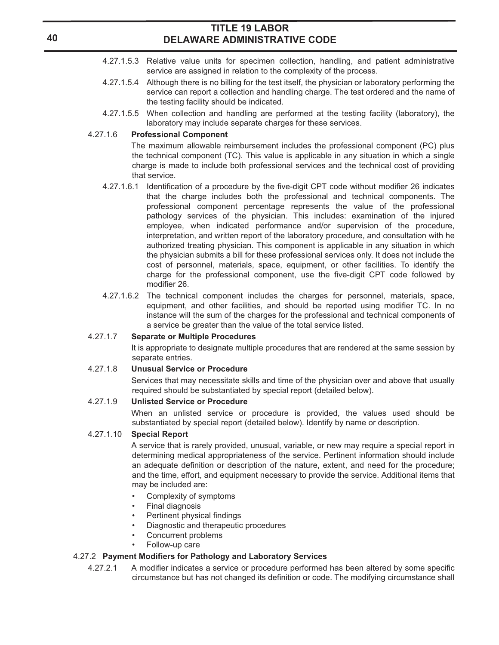- 4.27.1.5.3 Relative value units for specimen collection, handling, and patient administrative service are assigned in relation to the complexity of the process.
- 4.27.1.5.4 Although there is no billing for the test itself, the physician or laboratory performing the service can report a collection and handling charge. The test ordered and the name of the testing facility should be indicated.
- 4.27.1.5.5 When collection and handling are performed at the testing facility (laboratory), the laboratory may include separate charges for these services.

### 4.27.1.6 **Professional Component**

The maximum allowable reimbursement includes the professional component (PC) plus the technical component (TC). This value is applicable in any situation in which a single charge is made to include both professional services and the technical cost of providing that service.

- 4.27.1.6.1 Identification of a procedure by the five-digit CPT code without modifier 26 indicates that the charge includes both the professional and technical components. The professional component percentage represents the value of the professional pathology services of the physician. This includes: examination of the injured employee, when indicated performance and/or supervision of the procedure, interpretation, and written report of the laboratory procedure, and consultation with he authorized treating physician. This component is applicable in any situation in which the physician submits a bill for these professional services only. It does not include the cost of personnel, materials, space, equipment, or other facilities. To identify the charge for the professional component, use the five-digit CPT code followed by modifier 26.
- 4.27.1.6.2 The technical component includes the charges for personnel, materials, space, equipment, and other facilities, and should be reported using modifier TC. In no instance will the sum of the charges for the professional and technical components of a service be greater than the value of the total service listed.

### 4.27.1.7 **Separate or Multiple Procedures**

It is appropriate to designate multiple procedures that are rendered at the same session by separate entries.

#### 4.27.1.8 **Unusual Service or Procedure**

Services that may necessitate skills and time of the physician over and above that usually required should be substantiated by special report (detailed below).

#### 4.27.1.9 **Unlisted Service or Procedure**

When an unlisted service or procedure is provided, the values used should be substantiated by special report (detailed below). Identify by name or description.

#### 4.27.1.10 **Special Report**

A service that is rarely provided, unusual, variable, or new may require a special report in determining medical appropriateness of the service. Pertinent information should include an adequate definition or description of the nature, extent, and need for the procedure; and the time, effort, and equipment necessary to provide the service. Additional items that may be included are:

- Complexity of symptoms
- Final diagnosis
- Pertinent physical findings
- Diagnostic and therapeutic procedures
- Concurrent problems
- Follow-up care

#### 4.27.2 **Payment Modifiers for Pathology and Laboratory Services**

4.27.2.1 A modifier indicates a service or procedure performed has been altered by some specific circumstance but has not changed its definition or code. The modifying circumstance shall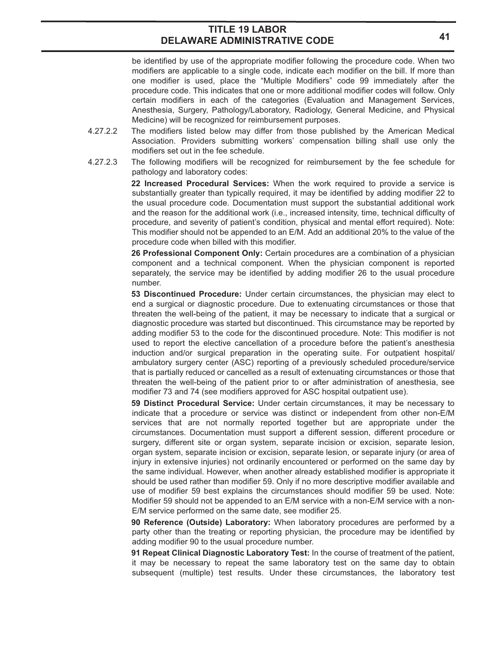be identified by use of the appropriate modifier following the procedure code. When two modifiers are applicable to a single code, indicate each modifier on the bill. If more than one modifier is used, place the "Multiple Modifiers" code 99 immediately after the procedure code. This indicates that one or more additional modifier codes will follow. Only certain modifiers in each of the categories (Evaluation and Management Services, Anesthesia, Surgery, Pathology/Laboratory, Radiology, General Medicine, and Physical Medicine) will be recognized for reimbursement purposes.

- 4.27.2.2 The modifiers listed below may differ from those published by the American Medical Association. Providers submitting workers' compensation billing shall use only the modifiers set out in the fee schedule.
- 4.27.2.3 The following modifiers will be recognized for reimbursement by the fee schedule for pathology and laboratory codes:

**22 Increased Procedural Services:** When the work required to provide a service is substantially greater than typically required, it may be identified by adding modifier 22 to the usual procedure code. Documentation must support the substantial additional work and the reason for the additional work (i.e., increased intensity, time, technical difficulty of procedure, and severity of patient's condition, physical and mental effort required). Note: This modifier should not be appended to an E/M. Add an additional 20% to the value of the procedure code when billed with this modifier.

**26 Professional Component Only:** Certain procedures are a combination of a physician component and a technical component. When the physician component is reported separately, the service may be identified by adding modifier 26 to the usual procedure number.

**53 Discontinued Procedure:** Under certain circumstances, the physician may elect to end a surgical or diagnostic procedure. Due to extenuating circumstances or those that threaten the well-being of the patient, it may be necessary to indicate that a surgical or diagnostic procedure was started but discontinued. This circumstance may be reported by adding modifier 53 to the code for the discontinued procedure. Note: This modifier is not used to report the elective cancellation of a procedure before the patient's anesthesia induction and/or surgical preparation in the operating suite. For outpatient hospital/ ambulatory surgery center (ASC) reporting of a previously scheduled procedure/service that is partially reduced or cancelled as a result of extenuating circumstances or those that threaten the well-being of the patient prior to or after administration of anesthesia, see modifier 73 and 74 (see modifiers approved for ASC hospital outpatient use).

**59 Distinct Procedural Service:** Under certain circumstances, it may be necessary to indicate that a procedure or service was distinct or independent from other non-E/M services that are not normally reported together but are appropriate under the circumstances. Documentation must support a different session, different procedure or surgery, different site or organ system, separate incision or excision, separate lesion, organ system, separate incision or excision, separate lesion, or separate injury (or area of injury in extensive injuries) not ordinarily encountered or performed on the same day by the same individual. However, when another already established modifier is appropriate it should be used rather than modifier 59. Only if no more descriptive modifier available and use of modifier 59 best explains the circumstances should modifier 59 be used. Note: Modifier 59 should not be appended to an E/M service with a non-E/M service with a non-E/M service performed on the same date, see modifier 25.

**90 Reference (Outside) Laboratory:** When laboratory procedures are performed by a party other than the treating or reporting physician, the procedure may be identified by adding modifier 90 to the usual procedure number.

**91 Repeat Clinical Diagnostic Laboratory Test:** In the course of treatment of the patient, it may be necessary to repeat the same laboratory test on the same day to obtain subsequent (multiple) test results. Under these circumstances, the laboratory test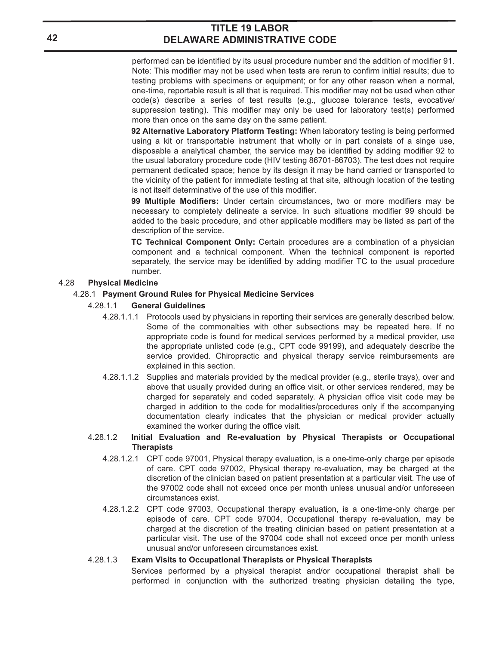performed can be identified by its usual procedure number and the addition of modifier 91. Note: This modifier may not be used when tests are rerun to confirm initial results; due to testing problems with specimens or equipment; or for any other reason when a normal, one-time, reportable result is all that is required. This modifier may not be used when other code(s) describe a series of test results (e.g., glucose tolerance tests, evocative/ suppression testing). This modifier may only be used for laboratory test(s) performed more than once on the same day on the same patient.

**92 Alternative Laboratory Platform Testing:** When laboratory testing is being performed using a kit or transportable instrument that wholly or in part consists of a singe use, disposable a analytical chamber, the service may be identified by adding modifier 92 to the usual laboratory procedure code (HIV testing 86701-86703). The test does not require permanent dedicated space; hence by its design it may be hand carried or transported to the vicinity of the patient for immediate testing at that site, although location of the testing is not itself determinative of the use of this modifier.

**99 Multiple Modifiers:** Under certain circumstances, two or more modifiers may be necessary to completely delineate a service. In such situations modifier 99 should be added to the basic procedure, and other applicable modifiers may be listed as part of the description of the service.

**TC Technical Component Only:** Certain procedures are a combination of a physician component and a technical component. When the technical component is reported separately, the service may be identified by adding modifier TC to the usual procedure number.

#### 4.28 **Physical Medicine**

#### 4.28.1 **Payment Ground Rules for Physical Medicine Services**

#### 4.28.1.1 **General Guidelines**

- 4.28.1.1.1 Protocols used by physicians in reporting their services are generally described below. Some of the commonalties with other subsections may be repeated here. If no appropriate code is found for medical services performed by a medical provider, use the appropriate unlisted code (e.g., CPT code 99199), and adequately describe the service provided. Chiropractic and physical therapy service reimbursements are explained in this section.
- 4.28.1.1.2 Supplies and materials provided by the medical provider (e.g., sterile trays), over and above that usually provided during an office visit, or other services rendered, may be charged for separately and coded separately. A physician office visit code may be charged in addition to the code for modalities/procedures only if the accompanying documentation clearly indicates that the physician or medical provider actually examined the worker during the office visit.

#### 4.28.1.2 **Initial Evaluation and Re-evaluation by Physical Therapists or Occupational Therapists**

- 4.28.1.2.1 CPT code 97001, Physical therapy evaluation, is a one-time-only charge per episode of care. CPT code 97002, Physical therapy re-evaluation, may be charged at the discretion of the clinician based on patient presentation at a particular visit. The use of the 97002 code shall not exceed once per month unless unusual and/or unforeseen circumstances exist.
- 4.28.1.2.2 CPT code 97003, Occupational therapy evaluation, is a one-time-only charge per episode of care. CPT code 97004, Occupational therapy re-evaluation, may be charged at the discretion of the treating clinician based on patient presentation at a particular visit. The use of the 97004 code shall not exceed once per month unless unusual and/or unforeseen circumstances exist.

#### 4.28.1.3 **Exam Visits to Occupational Therapists or Physical Therapists**

Services performed by a physical therapist and/or occupational therapist shall be performed in conjunction with the authorized treating physician detailing the type,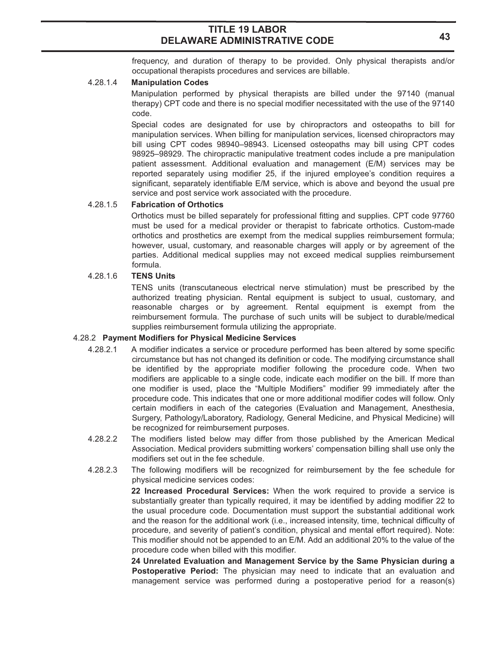frequency, and duration of therapy to be provided. Only physical therapists and/or occupational therapists procedures and services are billable.

#### 4.28.1.4 **Manipulation Codes**

Manipulation performed by physical therapists are billed under the 97140 (manual therapy) CPT code and there is no special modifier necessitated with the use of the 97140 code.

Special codes are designated for use by chiropractors and osteopaths to bill for manipulation services. When billing for manipulation services, licensed chiropractors may bill using CPT codes 98940–98943. Licensed osteopaths may bill using CPT codes 98925–98929. The chiropractic manipulative treatment codes include a pre manipulation patient assessment. Additional evaluation and management (E/M) services may be reported separately using modifier 25, if the injured employee's condition requires a significant, separately identifiable E/M service, which is above and beyond the usual pre service and post service work associated with the procedure.

#### 4.28.1.5 **Fabrication of Orthotics**

Orthotics must be billed separately for professional fitting and supplies. CPT code 97760 must be used for a medical provider or therapist to fabricate orthotics. Custom-made orthotics and prosthetics are exempt from the medical supplies reimbursement formula; however, usual, customary, and reasonable charges will apply or by agreement of the parties. Additional medical supplies may not exceed medical supplies reimbursement formula.

### 4.28.1.6 **TENS Units**

TENS units (transcutaneous electrical nerve stimulation) must be prescribed by the authorized treating physician. Rental equipment is subject to usual, customary, and reasonable charges or by agreement. Rental equipment is exempt from the reimbursement formula. The purchase of such units will be subject to durable/medical supplies reimbursement formula utilizing the appropriate.

#### 4.28.2 **Payment Modifiers for Physical Medicine Services**

- 4.28.2.1 A modifier indicates a service or procedure performed has been altered by some specific circumstance but has not changed its definition or code. The modifying circumstance shall be identified by the appropriate modifier following the procedure code. When two modifiers are applicable to a single code, indicate each modifier on the bill. If more than one modifier is used, place the "Multiple Modifiers" modifier 99 immediately after the procedure code. This indicates that one or more additional modifier codes will follow. Only certain modifiers in each of the categories (Evaluation and Management, Anesthesia, Surgery, Pathology/Laboratory, Radiology, General Medicine, and Physical Medicine) will be recognized for reimbursement purposes.
- 4.28.2.2 The modifiers listed below may differ from those published by the American Medical Association. Medical providers submitting workers' compensation billing shall use only the modifiers set out in the fee schedule.
- 4.28.2.3 The following modifiers will be recognized for reimbursement by the fee schedule for physical medicine services codes:

**22 Increased Procedural Services:** When the work required to provide a service is substantially greater than typically required, it may be identified by adding modifier 22 to the usual procedure code. Documentation must support the substantial additional work and the reason for the additional work (i.e., increased intensity, time, technical difficulty of procedure, and severity of patient's condition, physical and mental effort required). Note: This modifier should not be appended to an E/M. Add an additional 20% to the value of the procedure code when billed with this modifier.

**24 Unrelated Evaluation and Management Service by the Same Physician during a Postoperative Period:** The physician may need to indicate that an evaluation and management service was performed during a postoperative period for a reason(s)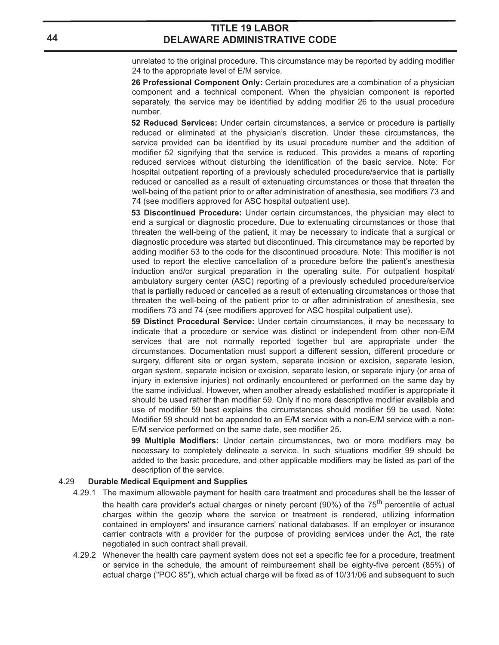unrelated to the original procedure. This circumstance may be reported by adding modifier 24 to the appropriate level of E/M service.

**26 Professional Component Only:** Certain procedures are a combination of a physician component and a technical component. When the physician component is reported separately, the service may be identified by adding modifier 26 to the usual procedure number.

**52 Reduced Services:** Under certain circumstances, a service or procedure is partially reduced or eliminated at the physician's discretion. Under these circumstances, the service provided can be identified by its usual procedure number and the addition of modifier 52 signifying that the service is reduced. This provides a means of reporting reduced services without disturbing the identification of the basic service. Note: For hospital outpatient reporting of a previously scheduled procedure/service that is partially reduced or cancelled as a result of extenuating circumstances or those that threaten the well-being of the patient prior to or after administration of anesthesia, see modifiers 73 and 74 (see modifiers approved for ASC hospital outpatient use).

**53 Discontinued Procedure:** Under certain circumstances, the physician may elect to end a surgical or diagnostic procedure. Due to extenuating circumstances or those that threaten the well-being of the patient, it may be necessary to indicate that a surgical or diagnostic procedure was started but discontinued. This circumstance may be reported by adding modifier 53 to the code for the discontinued procedure. Note: This modifier is not used to report the elective cancellation of a procedure before the patient's anesthesia induction and/or surgical preparation in the operating suite. For outpatient hospital/ ambulatory surgery center (ASC) reporting of a previously scheduled procedure/service that is partially reduced or cancelled as a result of extenuating circumstances or those that threaten the well-being of the patient prior to or after administration of anesthesia, see modifiers 73 and 74 (see modifiers approved for ASC hospital outpatient use).

**59 Distinct Procedural Service:** Under certain circumstances, it may be necessary to indicate that a procedure or service was distinct or independent from other non-E/M services that are not normally reported together but are appropriate under the circumstances. Documentation must support a different session, different procedure or surgery, different site or organ system, separate incision or excision, separate lesion, organ system, separate incision or excision, separate lesion, or separate injury (or area of injury in extensive injuries) not ordinarily encountered or performed on the same day by the same individual. However, when another already established modifier is appropriate it should be used rather than modifier 59. Only if no more descriptive modifier available and use of modifier 59 best explains the circumstances should modifier 59 be used. Note: Modifier 59 should not be appended to an E/M service with a non-E/M service with a non-E/M service performed on the same date, see modifier 25.

**99 Multiple Modifiers:** Under certain circumstances, two or more modifiers may be necessary to completely delineate a service. In such situations modifier 99 should be added to the basic procedure, and other applicable modifiers may be listed as part of the description of the service.

#### 4.29 **Durable Medical Equipment and Supplies**

- 4.29.1 The maximum allowable payment for health care treatment and procedures shall be the lesser of the health care provider's actual charges or ninety percent (90%) of the  $75<sup>th</sup>$  percentile of actual charges within the geozip where the service or treatment is rendered, utilizing information contained in employers' and insurance carriers' national databases. If an employer or insurance carrier contracts with a provider for the purpose of providing services under the Act, the rate negotiated in such contract shall prevail.
- 4.29.2 Whenever the health care payment system does not set a specific fee for a procedure, treatment or service in the schedule, the amount of reimbursement shall be eighty-five percent (85%) of actual charge ("POC 85"), which actual charge will be fixed as of 10/31/06 and subsequent to such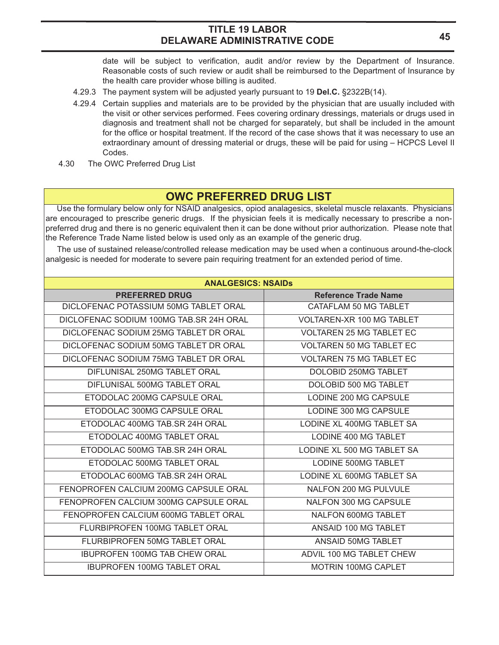date will be subject to verification, audit and/or review by the Department of Insurance. Reasonable costs of such review or audit shall be reimbursed to the Department of Insurance by the health care provider whose billing is audited.

- 4.29.3 The payment system will be adjusted yearly pursuant to 19 **Del.C.** §2322B(14).
- 4.29.4 Certain supplies and materials are to be provided by the physician that are usually included with the visit or other services performed. Fees covering ordinary dressings, materials or drugs used in diagnosis and treatment shall not be charged for separately, but shall be included in the amount for the office or hospital treatment. If the record of the case shows that it was necessary to use an extraordinary amount of dressing material or drugs, these will be paid for using – HCPCS Level II Codes.
- 4.30 The OWC Preferred Drug List

# **OWC PREFERRED DRUG LIST**

 Use the formulary below only for NSAID analgesics, opiod analagesics, skeletal muscle relaxants. Physicians are encouraged to prescribe generic drugs. If the physician feels it is medically necessary to prescribe a nonpreferred drug and there is no generic equivalent then it can be done without prior authorization. Please note that the Reference Trade Name listed below is used only as an example of the generic drug.

 The use of sustained release/controlled release medication may be used when a continuous around-the-clock analgesic is needed for moderate to severe pain requiring treatment for an extended period of time.

| <b>ANALGESICS: NSAIDS</b>               |                                  |  |  |  |  |
|-----------------------------------------|----------------------------------|--|--|--|--|
| <b>PREFERRED DRUG</b>                   | <b>Reference Trade Name</b>      |  |  |  |  |
| DICLOFENAC POTASSIUM 50MG TABLET ORAL   | CATAFLAM 50 MG TABLET            |  |  |  |  |
| DICLOFENAC SODIUM 100MG TAB.SR 24H ORAL | <b>VOLTAREN-XR 100 MG TABLET</b> |  |  |  |  |
| DICLOFENAC SODIUM 25MG TABLET DR ORAL   | VOLTAREN 25 MG TABLET EC         |  |  |  |  |
| DICLOFENAC SODIUM 50MG TABLET DR ORAL   | <b>VOLTAREN 50 MG TABLET EC</b>  |  |  |  |  |
| DICLOFENAC SODIUM 75MG TABLET DR ORAL   | <b>VOLTAREN 75 MG TABLET EC</b>  |  |  |  |  |
| DIFLUNISAL 250MG TABLET ORAL            | DOLOBID 250MG TABLET             |  |  |  |  |
| DIFLUNISAL 500MG TABLET ORAL            | DOLOBID 500 MG TABLET            |  |  |  |  |
| ETODOLAC 200MG CAPSULE ORAL             | LODINE 200 MG CAPSULE            |  |  |  |  |
| ETODOLAC 300MG CAPSULE ORAL             | LODINE 300 MG CAPSULE            |  |  |  |  |
| ETODOLAC 400MG TAB.SR 24H ORAL          | LODINE XL 400MG TABLET SA        |  |  |  |  |
| ETODOLAC 400MG TABLET ORAL              | <b>LODINE 400 MG TABLET</b>      |  |  |  |  |
| ETODOLAC 500MG TAB.SR 24H ORAL          | LODINE XL 500 MG TABLET SA       |  |  |  |  |
| ETODOLAC 500MG TABLET ORAL              | <b>LODINE 500MG TABLET</b>       |  |  |  |  |
| ETODOLAC 600MG TAB SR 24H ORAL          | LODINE XL 600MG TABLET SA        |  |  |  |  |
| FENOPROFEN CALCIUM 200MG CAPSULE ORAL   | NALFON 200 MG PULVULE            |  |  |  |  |
| FENOPROFEN CALCIUM 300MG CAPSULE ORAL   | NALFON 300 MG CAPSULE            |  |  |  |  |
| FENOPROFEN CALCIUM 600MG TABLET ORAL    | NALFON 600MG TABLET              |  |  |  |  |
| FLURBIPROFEN 100MG TABLET ORAL          | ANSAID 100 MG TABLET             |  |  |  |  |
| FLURBIPROFEN 50MG TABLET ORAL           | ANSAID 50MG TABLET               |  |  |  |  |
| <b>IBUPROFEN 100MG TAB CHEW ORAL</b>    | ADVIL 100 MG TABLET CHEW         |  |  |  |  |
| <b>IBUPROFEN 100MG TABLET ORAL</b>      | <b>MOTRIN 100MG CAPLET</b>       |  |  |  |  |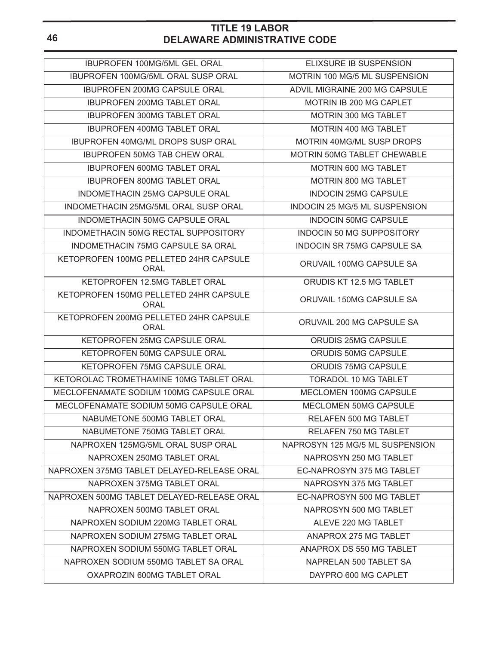| IBUPROFEN 100MG/5ML GEL ORAL                          | ELIXSURE IB SUSPENSION           |
|-------------------------------------------------------|----------------------------------|
| IBUPROFEN 100MG/5ML ORAL SUSP ORAL                    | MOTRIN 100 MG/5 ML SUSPENSION    |
| <b>IBUPROFEN 200MG CAPSULE ORAL</b>                   | ADVIL MIGRAINE 200 MG CAPSULE    |
| <b>IBUPROFEN 200MG TABLET ORAL</b>                    | MOTRIN IB 200 MG CAPLET          |
| <b>IBUPROFEN 300MG TABLET ORAL</b>                    | MOTRIN 300 MG TABLET             |
| <b>IBUPROFEN 400MG TABLET ORAL</b>                    | MOTRIN 400 MG TABLET             |
| <b>IBUPROFEN 40MG/ML DROPS SUSP ORAL</b>              | MOTRIN 40MG/ML SUSP DROPS        |
| <b>IBUPROFEN 50MG TAB CHEW ORAL</b>                   | MOTRIN 50MG TABLET CHEWABLE      |
| <b>IBUPROFEN 600MG TABLET ORAL</b>                    | MOTRIN 600 MG TABLET             |
| <b>IBUPROFEN 800MG TABLET ORAL</b>                    | MOTRIN 800 MG TABLET             |
| INDOMETHACIN 25MG CAPSULE ORAL                        | <b>INDOCIN 25MG CAPSULE</b>      |
| INDOMETHACIN 25MG/5ML ORAL SUSP ORAL                  | INDOCIN 25 MG/5 ML SUSPENSION    |
| <b>INDOMETHACIN 50MG CAPSULE ORAL</b>                 | <b>INDOCIN 50MG CAPSULE</b>      |
| INDOMETHACIN 50MG RECTAL SUPPOSITORY                  | <b>INDOCIN 50 MG SUPPOSITORY</b> |
| INDOMETHACIN 75MG CAPSULE SA ORAL                     | INDOCIN SR 75MG CAPSULE SA       |
| KETOPROFEN 100MG PELLETED 24HR CAPSULE<br>ORAL        | ORUVAIL 100MG CAPSULE SA         |
| KETOPROFEN 12.5MG TABLET ORAL                         | ORUDIS KT 12.5 MG TABLET         |
| KETOPROFEN 150MG PELLETED 24HR CAPSULE<br><b>ORAL</b> | ORUVAIL 150MG CAPSULE SA         |
| KETOPROFEN 200MG PELLETED 24HR CAPSULE<br>ORAL        | ORUVAIL 200 MG CAPSULE SA        |
| KETOPROFEN 25MG CAPSULE ORAL                          | ORUDIS 25MG CAPSULE              |
| KETOPROFEN 50MG CAPSULE ORAL                          | ORUDIS 50MG CAPSULE              |
| KETOPROFEN 75MG CAPSULE ORAL                          | ORUDIS 75MG CAPSULE              |
| KETOROLAC TROMETHAMINE 10MG TABLET ORAL               | <b>TORADOL 10 MG TABLET</b>      |
| MECLOFENAMATE SODIUM 100MG CAPSULE ORAL               | MECLOMEN 100MG CAPSULE           |
| MECLOFENAMATE SODIUM 50MG CAPSULE ORAL                | MECLOMEN 50MG CAPSULE            |
| NABUMETONE 500MG TABLET ORAL                          | RELAFEN 500 MG TABLET            |
| NABUMETONE 750MG TABLET ORAL                          | <b>RELAFEN 750 MG TABLET</b>     |
| NAPROXEN 125MG/5ML ORAL SUSP ORAL                     | NAPROSYN 125 MG/5 ML SUSPENSION  |
| NAPROXEN 250MG TABLET ORAL                            | NAPROSYN 250 MG TABLET           |
| NAPROXEN 375MG TABLET DELAYED-RELEASE ORAL            | EC-NAPROSYN 375 MG TABLET        |
| NAPROXEN 375MG TABLET ORAL                            | NAPROSYN 375 MG TABLET           |
| NAPROXEN 500MG TABLET DELAYED-RELEASE ORAL            | EC-NAPROSYN 500 MG TABLET        |
| NAPROXEN 500MG TABLET ORAL                            | NAPROSYN 500 MG TABLET           |
| NAPROXEN SODIUM 220MG TABLET ORAL                     | ALEVE 220 MG TABLET              |
| NAPROXEN SODIUM 275MG TABLET ORAL                     | ANAPROX 275 MG TABLET            |
| NAPROXEN SODIUM 550MG TABLET ORAL                     | ANAPROX DS 550 MG TABLET         |
| NAPROXEN SODIUM 550MG TABLET SA ORAL                  | <b>NAPRELAN 500 TABLET SA</b>    |
| OXAPROZIN 600MG TABLET ORAL                           | DAYPRO 600 MG CAPLET             |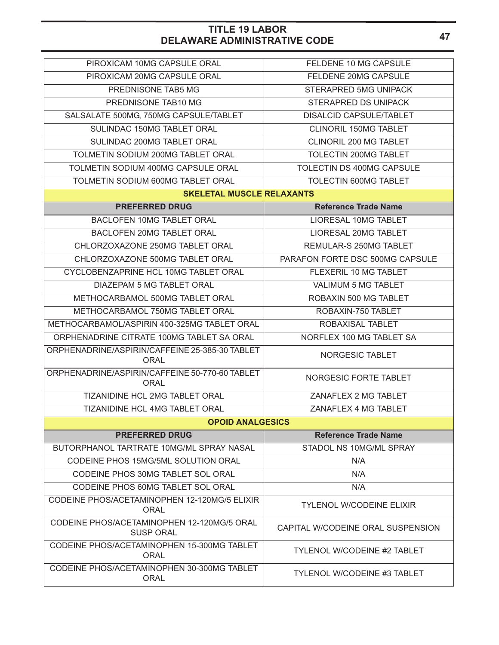| PIROXICAM 10MG CAPSULE ORAL                                    | FELDENE 10 MG CAPSULE              |  |  |  |
|----------------------------------------------------------------|------------------------------------|--|--|--|
| PIROXICAM 20MG CAPSULE ORAL                                    | FELDENE 20MG CAPSULE               |  |  |  |
| PREDNISONE TAB5 MG                                             | STERAPRED 5MG UNIPACK              |  |  |  |
| PREDNISONE TAB10 MG                                            | <b>STERAPRED DS UNIPACK</b>        |  |  |  |
| SALSALATE 500MG, 750MG CAPSULE/TABLET                          | <b>DISALCID CAPSULE/TABLET</b>     |  |  |  |
| SULINDAC 150MG TABLET ORAL                                     | CLINORIL 150MG TABLET              |  |  |  |
| SULINDAC 200MG TABLET ORAL                                     | CLINORIL 200 MG TABLET             |  |  |  |
| TOLMETIN SODIUM 200MG TABLET ORAL                              | <b>TOLECTIN 200MG TABLET</b>       |  |  |  |
| TOLMETIN SODIUM 400MG CAPSULE ORAL                             | TOLECTIN DS 400MG CAPSULE          |  |  |  |
| TOLMETIN SODIUM 600MG TABLET ORAL                              | TOLECTIN 600MG TABLET              |  |  |  |
| <b>SKELETAL MUSCLE RELAXANTS</b>                               |                                    |  |  |  |
| <b>PREFERRED DRUG</b>                                          | <b>Reference Trade Name</b>        |  |  |  |
| <b>BACLOFEN 10MG TABLET ORAL</b>                               | LIORESAL 10MG TABLET               |  |  |  |
| <b>BACLOFEN 20MG TABLET ORAL</b>                               | LIORESAL 20MG TABLET               |  |  |  |
| CHLORZOXAZONE 250MG TABLET ORAL                                | REMULAR-S 250MG TABLET             |  |  |  |
| CHLORZOXAZONE 500MG TABLET ORAL                                | PARAFON FORTE DSC 500MG CAPSULE    |  |  |  |
| CYCLOBENZAPRINE HCL 10MG TABLET ORAL                           | FLEXERIL 10 MG TABLET              |  |  |  |
| DIAZEPAM 5 MG TABLET ORAL                                      | VALIMUM 5 MG TABLET                |  |  |  |
| METHOCARBAMOL 500MG TABLET ORAL                                | ROBAXIN 500 MG TABLET              |  |  |  |
| METHOCARBAMOL 750MG TABLET ORAL                                | ROBAXIN-750 TABLET                 |  |  |  |
| METHOCARBAMOL/ASPIRIN 400-325MG TABLET ORAL                    | ROBAXISAL TABLET                   |  |  |  |
| ORPHENADRINE CITRATE 100MG TABLET SA ORAL                      | NORFLEX 100 MG TABLET SA           |  |  |  |
| ORPHENADRINE/ASPIRIN/CAFFEINE 25-385-30 TABLET<br><b>ORAL</b>  | NORGESIC TABLET                    |  |  |  |
| ORPHENADRINE/ASPIRIN/CAFFEINE 50-770-60 TABLET<br>ORAL         | NORGESIC FORTE TABLET              |  |  |  |
| TIZANIDINE HCL 2MG TABLET ORAL                                 | ZANAFLEX 2 MG TABLET               |  |  |  |
| TIZANIDINE HCL 4MG TABLET ORAL                                 | ZANAFLEX 4 MG TABLET               |  |  |  |
| <b>OPOID ANALGESICS</b>                                        |                                    |  |  |  |
| <b>PREFERRED DRUG</b>                                          | <b>Reference Trade Name</b>        |  |  |  |
| BUTORPHANOL TARTRATE 10MG/ML SPRAY NASAL                       | STADOL NS 10MG/ML SPRAY            |  |  |  |
| CODEINE PHOS 15MG/5ML SOLUTION ORAL                            | N/A                                |  |  |  |
| CODEINE PHOS 30MG TABLET SOL ORAL                              | N/A                                |  |  |  |
| CODEINE PHOS 60MG TABLET SOL ORAL                              | N/A                                |  |  |  |
| CODEINE PHOS/ACETAMINOPHEN 12-120MG/5 ELIXIR<br><b>ORAL</b>    | <b>TYLENOL W/CODEINE ELIXIR</b>    |  |  |  |
| CODEINE PHOS/ACETAMINOPHEN 12-120MG/5 ORAL<br><b>SUSP ORAL</b> | CAPITAL W/CODEINE ORAL SUSPENSION  |  |  |  |
| CODEINE PHOS/ACETAMINOPHEN 15-300MG TABLET<br><b>ORAL</b>      | <b>TYLENOL W/CODEINE #2 TABLET</b> |  |  |  |
| CODEINE PHOS/ACETAMINOPHEN 30-300MG TABLET<br><b>ORAL</b>      | <b>TYLENOL W/CODEINE #3 TABLET</b> |  |  |  |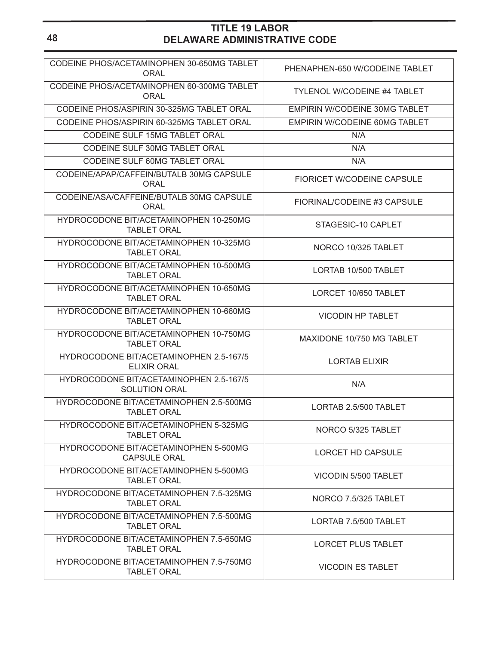| CODEINE PHOS/ACETAMINOPHEN 30-650MG TABLET<br>ORAL              | PHENAPHEN-650 W/CODEINE TABLET       |
|-----------------------------------------------------------------|--------------------------------------|
| CODEINE PHOS/ACETAMINOPHEN 60-300MG TABLET<br>ORAL              | <b>TYLENOL W/CODEINE #4 TABLET</b>   |
| CODEINE PHOS/ASPIRIN 30-325MG TABLET ORAL                       | <b>EMPIRIN W/CODEINE 30MG TABLET</b> |
| CODEINE PHOS/ASPIRIN 60-325MG TABLET ORAL                       | EMPIRIN W/CODEINE 60MG TABLET        |
| <b>CODEINE SULF 15MG TABLET ORAL</b>                            | N/A                                  |
| CODEINE SULF 30MG TABLET ORAL                                   | N/A                                  |
| CODEINE SULF 60MG TABLET ORAL                                   | N/A                                  |
| CODEINE/APAP/CAFFEIN/BUTALB 30MG CAPSULE<br>ORAL                | <b>FIORICET W/CODEINE CAPSULE</b>    |
| CODEINE/ASA/CAFFEINE/BUTALB 30MG CAPSULE<br>ORAL                | FIORINAL/CODEINE #3 CAPSULE          |
| HYDROCODONE BIT/ACETAMINOPHEN 10-250MG<br><b>TABLET ORAL</b>    | STAGESIC-10 CAPLET                   |
| HYDROCODONE BIT/ACETAMINOPHEN 10-325MG<br><b>TABLET ORAL</b>    | NORCO 10/325 TABLET                  |
| HYDROCODONE BIT/ACETAMINOPHEN 10-500MG<br><b>TABLET ORAL</b>    | LORTAB 10/500 TABLET                 |
| HYDROCODONE BIT/ACETAMINOPHEN 10-650MG<br><b>TABLET ORAL</b>    | LORCET 10/650 TABLET                 |
| HYDROCODONE BIT/ACETAMINOPHEN 10-660MG<br><b>TABLET ORAL</b>    | <b>VICODIN HP TABLET</b>             |
| HYDROCODONE BIT/ACETAMINOPHEN 10-750MG<br><b>TABLET ORAL</b>    | MAXIDONE 10/750 MG TABLET            |
| HYDROCODONE BIT/ACETAMINOPHEN 2.5-167/5<br><b>ELIXIR ORAL</b>   | <b>LORTAB ELIXIR</b>                 |
| HYDROCODONE BIT/ACETAMINOPHEN 2.5-167/5<br><b>SOLUTION ORAL</b> | N/A                                  |
| HYDROCODONE BIT/ACETAMINOPHEN 2.5-500MG<br><b>TABLET ORAL</b>   | LORTAB 2.5/500 TABLET                |
| HYDROCODONE BIT/ACETAMINOPHEN 5-325MG<br><b>TABLET ORAL</b>     | NORCO 5/325 TABLET                   |
| HYDROCODONE BIT/ACETAMINOPHEN 5-500MG<br><b>CAPSULE ORAL</b>    | LORCET HD CAPSULE                    |
| HYDROCODONE BIT/ACETAMINOPHEN 5-500MG<br><b>TABLET ORAL</b>     | VICODIN 5/500 TABLET                 |
| HYDROCODONE BIT/ACETAMINOPHEN 7.5-325MG<br><b>TABLET ORAL</b>   | NORCO 7.5/325 TABLET                 |
| HYDROCODONE BIT/ACETAMINOPHEN 7.5-500MG<br><b>TABLET ORAL</b>   | LORTAB 7.5/500 TABLET                |
| HYDROCODONE BIT/ACETAMINOPHEN 7.5-650MG<br><b>TABLET ORAL</b>   | LORCET PLUS TABLET                   |
| HYDROCODONE BIT/ACETAMINOPHEN 7.5-750MG<br><b>TABLET ORAL</b>   | <b>VICODIN ES TABLET</b>             |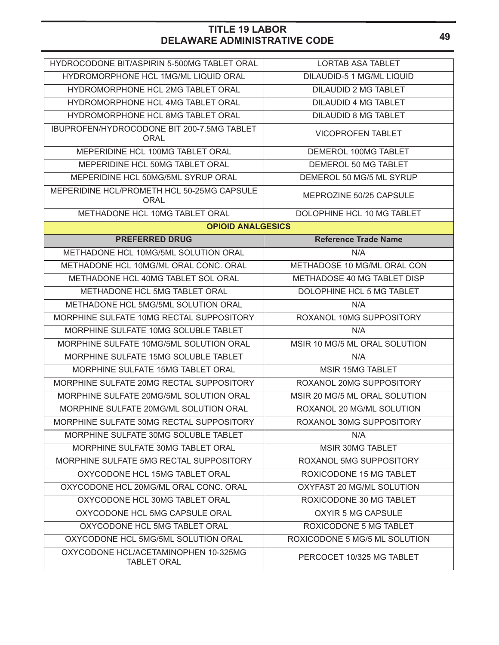| HYDROCODONE BIT/ASPIRIN 5-500MG TABLET ORAL                | <b>LORTAB ASA TABLET</b>      |
|------------------------------------------------------------|-------------------------------|
| HYDROMORPHONE HCL 1MG/ML LIQUID ORAL                       | DILAUDID-5 1 MG/ML LIQUID     |
| HYDROMORPHONE HCL 2MG TABLET ORAL                          | <b>DILAUDID 2 MG TABLET</b>   |
| HYDROMORPHONE HCL 4MG TABLET ORAL                          | <b>DILAUDID 4 MG TABLET</b>   |
| HYDROMORPHONE HCL 8MG TABLET ORAL                          | <b>DILAUDID 8 MG TABLET</b>   |
| IBUPROFEN/HYDROCODONE BIT 200-7.5MG TABLET<br><b>ORAL</b>  | <b>VICOPROFEN TABLET</b>      |
| MEPERIDINE HCL 100MG TABLET ORAL                           | DEMEROL 100MG TABLET          |
| MEPERIDINE HCL 50MG TABLET ORAL                            | <b>DEMEROL 50 MG TABLET</b>   |
| MEPERIDINE HCL 50MG/5ML SYRUP ORAL                         | DEMEROL 50 MG/5 ML SYRUP      |
| MEPERIDINE HCL/PROMETH HCL 50-25MG CAPSULE<br><b>ORAL</b>  | MEPROZINE 50/25 CAPSULE       |
| METHADONE HCL 10MG TABLET ORAL                             | DOLOPHINE HCL 10 MG TABLET    |
| <b>OPIOID ANALGESICS</b>                                   |                               |
| <b>PREFERRED DRUG</b>                                      | <b>Reference Trade Name</b>   |
| METHADONE HCL 10MG/5ML SOLUTION ORAL                       | N/A                           |
| METHADONE HCL 10MG/ML ORAL CONC. ORAL                      | METHADOSE 10 MG/ML ORAL CON   |
| METHADONE HCL 40MG TABLET SOL ORAL                         | METHADOSE 40 MG TABLET DISP   |
| METHADONE HCL 5MG TABLET ORAL                              | DOLOPHINE HCL 5 MG TABLET     |
| METHADONE HCL 5MG/5ML SOLUTION ORAL                        | N/A                           |
| MORPHINE SULFATE 10MG RECTAL SUPPOSITORY                   | ROXANOL 10MG SUPPOSITORY      |
| MORPHINE SULFATE 10MG SOLUBLE TABLET                       | N/A                           |
| MORPHINE SULFATE 10MG/5ML SOLUTION ORAL                    | MSIR 10 MG/5 ML ORAL SOLUTION |
| MORPHINE SULFATE 15MG SOLUBLE TABLET                       | N/A                           |
| MORPHINE SULFATE 15MG TABLET ORAL                          | <b>MSIR 15MG TABLET</b>       |
| MORPHINE SULFATE 20MG RECTAL SUPPOSITORY                   | ROXANOL 20MG SUPPOSITORY      |
| MORPHINE SULFATE 20MG/5ML SOLUTION ORAL                    | MSIR 20 MG/5 ML ORAL SOLUTION |
| MORPHINE SULFATE 20MG/ML SOLUTION ORAL                     | ROXANOL 20 MG/ML SOLUTION     |
| MORPHINE SULFATE 30MG RECTAL SUPPOSITORY                   | ROXANOL 30MG SUPPOSITORY      |
| MORPHINE SULFATE 30MG SOLUBLE TABLET                       | N/A                           |
| MORPHINE SULFATE 30MG TABLET ORAL                          | <b>MSIR 30MG TABLET</b>       |
| MORPHINE SULFATE 5MG RECTAL SUPPOSITORY                    | ROXANOL 5MG SUPPOSITORY       |
| OXYCODONE HCL 15MG TABLET ORAL                             | ROXICODONE 15 MG TABLET       |
| OXYCODONE HCL 20MG/ML ORAL CONC. ORAL                      | OXYFAST 20 MG/ML SOLUTION     |
| OXYCODONE HCL 30MG TABLET ORAL                             | ROXICODONE 30 MG TABLET       |
| OXYCODONE HCL 5MG CAPSULE ORAL                             | OXYIR 5 MG CAPSULE            |
| OXYCODONE HCL 5MG TABLET ORAL                              | ROXICODONE 5 MG TABLET        |
| OXYCODONE HCL 5MG/5ML SOLUTION ORAL                        | ROXICODONE 5 MG/5 ML SOLUTION |
| OXYCODONE HCL/ACETAMINOPHEN 10-325MG<br><b>TABLET ORAL</b> | PERCOCET 10/325 MG TABLET     |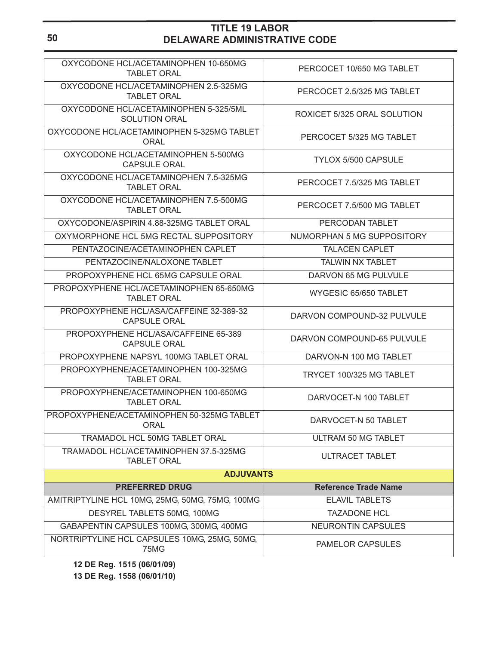| OXYCODONE HCL/ACETAMINOPHEN 10-650MG                           | PERCOCET 10/650 MG TABLET   |
|----------------------------------------------------------------|-----------------------------|
| <b>TABLET ORAL</b><br>OXYCODONE HCL/ACETAMINOPHEN 2.5-325MG    |                             |
| <b>TABLET ORAL</b>                                             | PERCOCET 2.5/325 MG TABLET  |
| OXYCODONE HCL/ACETAMINOPHEN 5-325/5ML<br><b>SOLUTION ORAL</b>  | ROXICET 5/325 ORAL SOLUTION |
| OXYCODONE HCL/ACETAMINOPHEN 5-325MG TABLET<br>ORAL             | PERCOCET 5/325 MG TABLET    |
| OXYCODONE HCL/ACETAMINOPHEN 5-500MG<br><b>CAPSULE ORAL</b>     | <b>TYLOX 5/500 CAPSULE</b>  |
| OXYCODONE HCL/ACETAMINOPHEN 7.5-325MG<br><b>TABLET ORAL</b>    | PERCOCET 7.5/325 MG TABLET  |
| OXYCODONE HCL/ACETAMINOPHEN 7.5-500MG<br><b>TABLET ORAL</b>    | PERCOCET 7.5/500 MG TABLET  |
| OXYCODONE/ASPIRIN 4.88-325MG TABLET ORAL                       | PERCODAN TABLET             |
| OXYMORPHONE HCL 5MG RECTAL SUPPOSITORY                         | NUMORPHAN 5 MG SUPPOSITORY  |
| PENTAZOCINE/ACETAMINOPHEN CAPLET                               | <b>TALACEN CAPLET</b>       |
| PENTAZOCINE/NALOXONE TABLET                                    | <b>TALWIN NX TABLET</b>     |
| PROPOXYPHENE HCL 65MG CAPSULE ORAL                             | DARVON 65 MG PULVULE        |
| PROPOXYPHENE HCL/ACETAMINOPHEN 65-650MG<br><b>TABLET ORAL</b>  | WYGESIC 65/650 TABLET       |
| PROPOXYPHENE HCL/ASA/CAFFEINE 32-389-32<br><b>CAPSULE ORAL</b> | DARVON COMPOUND-32 PULVULE  |
| PROPOXYPHENE HCL/ASA/CAFFEINE 65-389<br><b>CAPSULE ORAL</b>    | DARVON COMPOUND-65 PULVULE  |
| PROPOXYPHENE NAPSYL 100MG TABLET ORAL                          | DARVON-N 100 MG TABLET      |
| PROPOXYPHENE/ACETAMINOPHEN 100-325MG<br><b>TABLET ORAL</b>     | TRYCET 100/325 MG TABLET    |
| PROPOXYPHENE/ACETAMINOPHEN 100-650MG<br><b>TABLET ORAL</b>     | DARVOCET-N 100 TABLET       |
| PROPOXYPHENE/ACETAMINOPHEN 50-325MG TABLET<br><b>ORAL</b>      | DARVOCET-N 50 TABLET        |
| TRAMADOL HCL 50MG TABLET ORAL                                  | ULTRAM 50 MG TABLET         |
| TRAMADOL HCL/ACETAMINOPHEN 37.5-325MG<br><b>TABLET ORAL</b>    | <b>ULTRACET TABLET</b>      |
| <b>ADJUVANTS</b>                                               |                             |
| <b>PREFERRED DRUG</b>                                          | <b>Reference Trade Name</b> |
| AMITRIPTYLINE HCL 10MG, 25MG, 50MG, 75MG, 100MG                | <b>ELAVIL TABLETS</b>       |
| DESYREL TABLETS 50MG, 100MG                                    | <b>TAZADONE HCL</b>         |
| GABAPENTIN CAPSULES 100MG, 300MG, 400MG                        | <b>NEURONTIN CAPSULES</b>   |
| NORTRIPTYLINE HCL CAPSULES 10MG, 25MG, 50MG,<br>75MG           | <b>PAMELOR CAPSULES</b>     |

**12 DE Reg. 1515 (06/01/09)**

**13 DE Reg. 1558 (06/01/10)**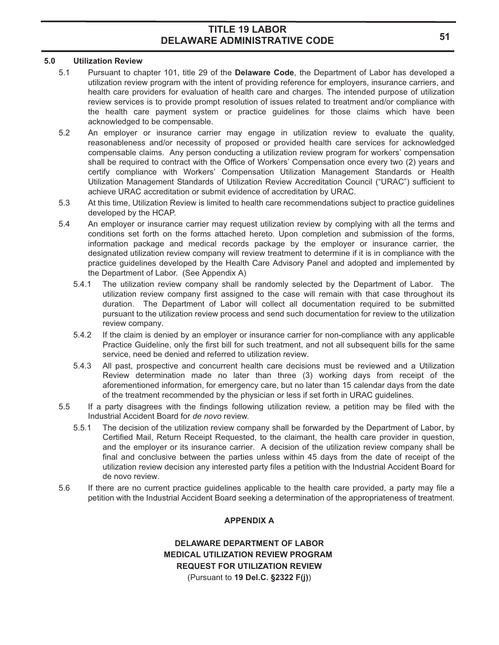### **5.0 Utilization Review**

- 5.1 Pursuant to chapter 101, title 29 of the **Delaware Code**, the Department of Labor has developed a utilization review program with the intent of providing reference for employers, insurance carriers, and health care providers for evaluation of health care and charges. The intended purpose of utilization review services is to provide prompt resolution of issues related to treatment and/or compliance with the health care payment system or practice guidelines for those claims which have been acknowledged to be compensable.
- 5.2 An employer or insurance carrier may engage in utilization review to evaluate the quality, reasonableness and/or necessity of proposed or provided health care services for acknowledged compensable claims. Any person conducting a utilization review program for workers' compensation shall be required to contract with the Office of Workers' Compensation once every two (2) years and certify compliance with Workers' Compensation Utilization Management Standards or Health Utilization Management Standards of Utilization Review Accreditation Council ("URAC") sufficient to achieve URAC accreditation or submit evidence of accreditation by URAC.
- 5.3 At this time, Utilization Review is limited to health care recommendations subject to practice guidelines developed by the HCAP.
- 5.4 An employer or insurance carrier may request utilization review by complying with all the terms and conditions set forth on the forms attached hereto. Upon completion and submission of the forms, information package and medical records package by the employer or insurance carrier, the designated utilization review company will review treatment to determine if it is in compliance with the practice guidelines developed by the Health Care Advisory Panel and adopted and implemented by the Department of Labor. (See Appendix A)
	- 5.4.1 The utilization review company shall be randomly selected by the Department of Labor. The utilization review company first assigned to the case will remain with that case throughout its duration. The Department of Labor will collect all documentation required to be submitted pursuant to the utilization review process and send such documentation for review to the utilization review company.
	- 5.4.2 If the claim is denied by an employer or insurance carrier for non-compliance with any applicable Practice Guideline, only the first bill for such treatment, and not all subsequent bills for the same service, need be denied and referred to utilization review.
	- 5.4.3 All past, prospective and concurrent health care decisions must be reviewed and a Utilization Review determination made no later than three (3) working days from receipt of the aforementioned information, for emergency care, but no later than 15 calendar days from the date of the treatment recommended by the physician or less if set forth in URAC guidelines.
- 5.5 If a party disagrees with the findings following utilization review, a petition may be filed with the Industrial Accident Board for *de novo* review.
	- 5.5.1 The decision of the utilization review company shall be forwarded by the Department of Labor, by Certified Mail, Return Receipt Requested, to the claimant, the health care provider in question, and the employer or its insurance carrier. A decision of the utilization review company shall be final and conclusive between the parties unless within 45 days from the date of receipt of the utilization review decision any interested party files a petition with the Industrial Accident Board for de novo review.
- 5.6 If there are no current practice guidelines applicable to the health care provided, a party may file a petition with the Industrial Accident Board seeking a determination of the appropriateness of treatment.

### **APPENDIX A**

**DELAWARE DEPARTMENT OF LABOR MEDICAL UTILIZATION REVIEW PROGRAM REQUEST FOR UTILIZATION REVIEW** (Pursuant to **19 Del.C. §2322 F(j)**)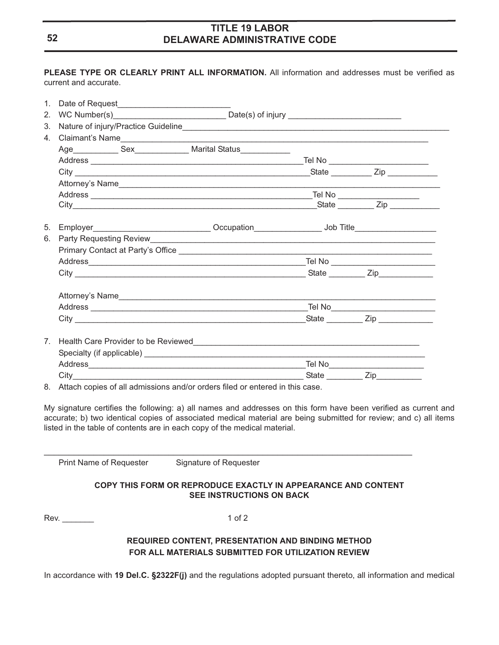**PLEASE TYPE OR CLEARLY PRINT ALL INFORMATION.** All information and addresses must be verified as current and accurate.

| 1 <sup>1</sup> |                                                                                                                                                                                                                               |  |                                                                                   |  |                                       |  |  |
|----------------|-------------------------------------------------------------------------------------------------------------------------------------------------------------------------------------------------------------------------------|--|-----------------------------------------------------------------------------------|--|---------------------------------------|--|--|
| 2 <sub>1</sub> |                                                                                                                                                                                                                               |  |                                                                                   |  |                                       |  |  |
| 3.             |                                                                                                                                                                                                                               |  |                                                                                   |  |                                       |  |  |
| 4.             | Claimant's Name                                                                                                                                                                                                               |  |                                                                                   |  |                                       |  |  |
|                |                                                                                                                                                                                                                               |  | Age______________ Sex_________________ Marital Status______________               |  |                                       |  |  |
|                |                                                                                                                                                                                                                               |  |                                                                                   |  |                                       |  |  |
|                |                                                                                                                                                                                                                               |  |                                                                                   |  |                                       |  |  |
|                |                                                                                                                                                                                                                               |  |                                                                                   |  |                                       |  |  |
|                |                                                                                                                                                                                                                               |  |                                                                                   |  |                                       |  |  |
|                |                                                                                                                                                                                                                               |  |                                                                                   |  |                                       |  |  |
|                |                                                                                                                                                                                                                               |  |                                                                                   |  |                                       |  |  |
| 5.             |                                                                                                                                                                                                                               |  | Employer________________________________Occupation_______________________________ |  |                                       |  |  |
| 6.             |                                                                                                                                                                                                                               |  |                                                                                   |  |                                       |  |  |
|                |                                                                                                                                                                                                                               |  |                                                                                   |  |                                       |  |  |
|                |                                                                                                                                                                                                                               |  |                                                                                   |  |                                       |  |  |
|                |                                                                                                                                                                                                                               |  |                                                                                   |  |                                       |  |  |
|                |                                                                                                                                                                                                                               |  |                                                                                   |  |                                       |  |  |
|                |                                                                                                                                                                                                                               |  |                                                                                   |  |                                       |  |  |
|                |                                                                                                                                                                                                                               |  |                                                                                   |  |                                       |  |  |
| $7^{\circ}$    | Health Care Provider to be Reviewed Manual According to the Review of According to the Review of According to the Review of According to the According to the According to the According to the According to the According to |  |                                                                                   |  |                                       |  |  |
|                |                                                                                                                                                                                                                               |  |                                                                                   |  |                                       |  |  |
|                |                                                                                                                                                                                                                               |  |                                                                                   |  |                                       |  |  |
|                |                                                                                                                                                                                                                               |  |                                                                                   |  | State ______________ Zip_____________ |  |  |

8. Attach copies of all admissions and/or orders filed or entered in this case.

My signature certifies the following: a) all names and addresses on this form have been verified as current and accurate; b) two identical copies of associated medical material are being submitted for review; and c) all items listed in the table of contents are in each copy of the medical material.

Print Name of Requester Signature of Requester

### **COPY THIS FORM OR REPRODUCE EXACTLY IN APPEARANCE AND CONTENT SEE INSTRUCTIONS ON BACK**

 $\blacksquare$  Rev.  $\blacksquare$  1 of 2

\_\_\_\_\_\_\_\_\_\_\_\_\_\_\_\_\_\_\_\_\_\_\_\_\_\_\_\_\_\_\_\_\_\_\_\_\_\_\_\_\_\_\_\_\_\_\_\_\_\_\_\_\_\_\_\_\_\_\_\_\_\_\_\_\_\_\_\_\_\_\_\_\_\_

### **REQUIRED CONTENT, PRESENTATION AND BINDING METHOD FOR ALL MATERIALS SUBMITTED FOR UTILIZATION REVIEW**

In accordance with **19 Del.C. §2322F(j)** and the regulations adopted pursuant thereto, all information and medical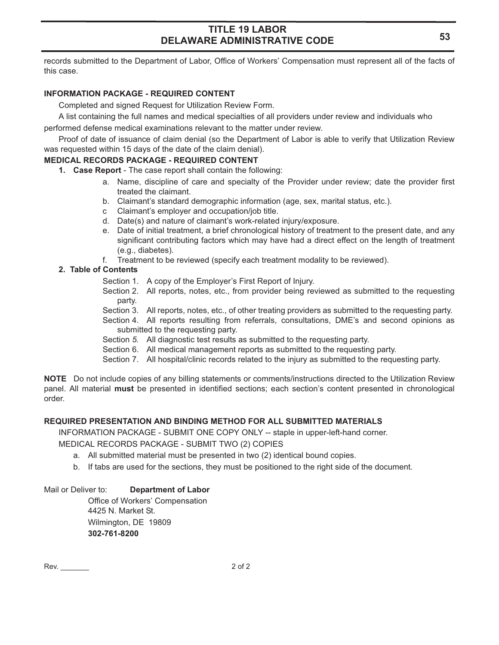records submitted to the Department of Labor, Office of Workers' Compensation must represent all of the facts of this case.

### **INFORMATION PACKAGE - REQUIRED CONTENT**

Completed and signed Request for Utilization Review Form.

A list containing the full names and medical specialties of all providers under review and individuals who performed defense medical examinations relevant to the matter under review.

Proof of date of issuance of claim denial (so the Department of Labor is able to verify that Utilization Review was requested within 15 days of the date of the claim denial).

### **MEDICAL RECORDS PACKAGE - REQUIRED CONTENT**

**1. Case Report** - The case report shall contain the following:

- a. Name, discipline of care and specialty of the Provider under review; date the provider first treated the claimant.
- b. Claimant's standard demographic information (age, sex, marital status, etc.).
- c Claimant's employer and occupation/job title.
- d. Date(s) and nature of claimant's work-related injury/exposure.
- e. Date of initial treatment, a brief chronological history of treatment to the present date, and any significant contributing factors which may have had a direct effect on the length of treatment (e.g., diabetes).
- f. Treatment to be reviewed (specify each treatment modality to be reviewed).

### **2. Table of Contents**

- Section 1. A copy of the Employer's First Report of Injury.
- Section 2. All reports, notes, etc., from provider being reviewed as submitted to the requesting party.
- Section 3. All reports, notes, etc., of other treating providers as submitted to the requesting party.
- Section 4. All reports resulting from referrals, consultations, DME's and second opinions as submitted to the requesting party.
- Section *5.* All diagnostic test results as submitted to the requesting party.
- Section 6. All medical management reports as submitted to the requesting party.
- Section 7. All hospital/clinic records related to the injury as submitted to the requesting party.

**NOTE** Do not include copies of any billing statements or comments/instructions directed to the Utilization Review panel. All material **must** be presented in identified sections; each section's content presented in chronological order.

### **REQUIRED PRESENTATION AND BINDING METHOD FOR ALL SUBMITTED MATERIALS**

INFORMATION PACKAGE - SUBMIT ONE COPY ONLY -- staple in upper-left-hand corner.

MEDICAL RECORDS PACKAGE - SUBMIT TWO (2) COPIES

- a. All submitted material must be presented in two (2) identical bound copies.
- b. If tabs are used for the sections, they must be positioned to the right side of the document.

### Mail or Deliver to: **Department of Labor**

Office of Workers' Compensation 4425 N. Market St. Wilmington, DE 19809 **302-761-8200**

 $\blacksquare$  Rev.  $2$  of 2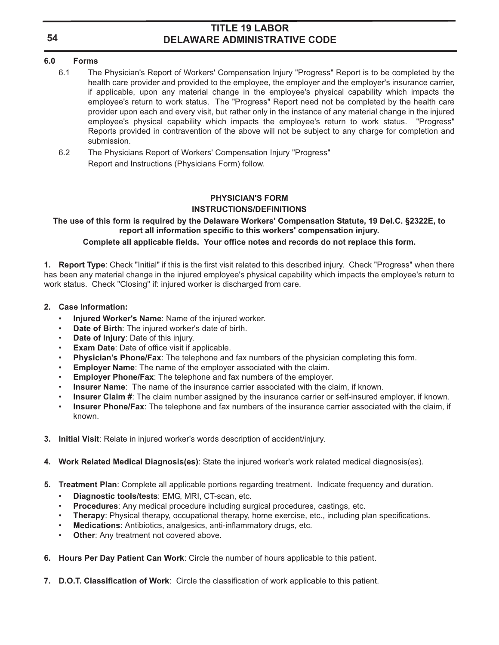### **6.0 Forms**

- 6.1 The Physician's Report of Workers' Compensation Injury "Progress" Report is to be completed by the health care provider and provided to the employee, the employer and the employer's insurance carrier, if applicable, upon any material change in the employee's physical capability which impacts the employee's return to work status. The "Progress" Report need not be completed by the health care provider upon each and every visit, but rather only in the instance of any material change in the injured employee's physical capability which impacts the employee's return to work status. "Progress" Reports provided in contravention of the above will not be subject to any charge for completion and submission.
- 6.2 The Physicians Report of Workers' Compensation Injury "Progress" Report and Instructions (Physicians Form) follow.

### **PHYSICIAN'S FORM INSTRUCTIONS/DEFINITIONS**

### **The use of this form is required by the Delaware Workers' Compensation Statute, 19 Del.C. §2322E, to report all information specific to this workers' compensation injury. Complete all applicable fields. Your office notes and records do not replace this form.**

**1. Report Type**: Check "Initial" if this is the first visit related to this described injury. Check "Progress" when there has been any material change in the injured employee's physical capability which impacts the employee's return to work status. Check "Closing" if: injured worker is discharged from care.

#### **2. Case Information:**

- **Injured Worker's Name**: Name of the injured worker.
- **Date of Birth**: The injured worker's date of birth.
- **Date of Injury**: Date of this injury.
- **Exam Date:** Date of office visit if applicable.
- **Physician's Phone/Fax**: The telephone and fax numbers of the physician completing this form.
- **Employer Name:** The name of the employer associated with the claim.
- **Employer Phone/Fax:** The telephone and fax numbers of the employer.
- **Insurer Name**: The name of the insurance carrier associated with the claim, if known.
- **Insurer Claim #:** The claim number assigned by the insurance carrier or self-insured employer, if known.
- **Insurer Phone/Fax**: The telephone and fax numbers of the insurance carrier associated with the claim, if known.
- **3. Initial Visit**: Relate in injured worker's words description of accident/injury.
- **4. Work Related Medical Diagnosis(es)**: State the injured worker's work related medical diagnosis(es).
- **5. Treatment Plan**: Complete all applicable portions regarding treatment. Indicate frequency and duration.
	- **Diagnostic tools/tests**: EMG, MRI, CT-scan, etc.
	- **Procedures**: Any medical procedure including surgical procedures, castings, etc.
	- **Therapy:** Physical therapy, occupational therapy, home exercise, etc., including plan specifications.
	- **Medications**: Antibiotics, analgesics, anti-inflammatory drugs, etc.
	- **Other:** Any treatment not covered above.
- **6. Hours Per Day Patient Can Work**: Circle the number of hours applicable to this patient.
- **7. D.O.T. Classification of Work**: Circle the classification of work applicable to this patient.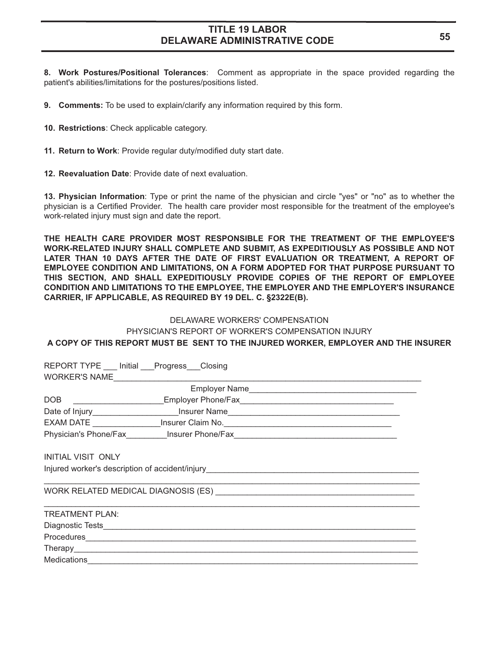**8. Work Postures/Positional Tolerances**: Comment as appropriate in the space provided regarding the patient's abilities/limitations for the postures/positions listed.

- **9. Comments:** To be used to explain/clarify any information required by this form.
- **10. Restrictions**: Check applicable category.
- **11. Return to Work**: Provide regular duty/modified duty start date.
- **12. Reevaluation Date**: Provide date of next evaluation.

**13. Physician Information**: Type or print the name of the physician and circle "yes" or "no" as to whether the physician is a Certified Provider. The health care provider most responsible for the treatment of the employee's work-related injury must sign and date the report.

**THE HEALTH CARE PROVIDER MOST RESPONSIBLE FOR THE TREATMENT OF THE EMPLOYEE'S WORK-RELATED INJURY SHALL COMPLETE AND SUBMIT, AS EXPEDITIOUSLY AS POSSIBLE AND NOT LATER THAN 10 DAYS AFTER THE DATE OF FIRST EVALUATION OR TREATMENT, A REPORT OF EMPLOYEE CONDITION AND LIMITATIONS, ON A FORM ADOPTED FOR THAT PURPOSE PURSUANT TO THIS SECTION, AND SHALL EXPEDITIOUSLY PROVIDE COPIES OF THE REPORT OF EMPLOYEE CONDITION AND LIMITATIONS TO THE EMPLOYEE, THE EMPLOYER AND THE EMPLOYER'S INSURANCE CARRIER, IF APPLICABLE, AS REQUIRED BY 19 DEL. C. §2322E(B).**

### DELAWARE WORKERS' COMPENSATION

PHYSICIAN'S REPORT OF WORKER'S COMPENSATION INJURY **A COPY OF THIS REPORT MUST BE SENT TO THE INJURED WORKER, EMPLOYER AND THE INSURER**

|                                                                                  | REPORT TYPE Initial Progress Closing                                                       |  |  |  |  |  |  |  |  |
|----------------------------------------------------------------------------------|--------------------------------------------------------------------------------------------|--|--|--|--|--|--|--|--|
|                                                                                  | WORKER'S NAME                                                                              |  |  |  |  |  |  |  |  |
|                                                                                  |                                                                                            |  |  |  |  |  |  |  |  |
| DOB                                                                              |                                                                                            |  |  |  |  |  |  |  |  |
|                                                                                  |                                                                                            |  |  |  |  |  |  |  |  |
|                                                                                  | EXAM DATE _____________________Insurer Claim No. ________________________________          |  |  |  |  |  |  |  |  |
| Physician's Phone/Fax____________Insurer Phone/Fax______________________________ |                                                                                            |  |  |  |  |  |  |  |  |
| INITIAL VISIT ONLY                                                               |                                                                                            |  |  |  |  |  |  |  |  |
| Injured worker's description of accident/injury_________________________________ |                                                                                            |  |  |  |  |  |  |  |  |
|                                                                                  |                                                                                            |  |  |  |  |  |  |  |  |
| <b>TREATMENT PLAN:</b>                                                           |                                                                                            |  |  |  |  |  |  |  |  |
|                                                                                  |                                                                                            |  |  |  |  |  |  |  |  |
|                                                                                  |                                                                                            |  |  |  |  |  |  |  |  |
|                                                                                  |                                                                                            |  |  |  |  |  |  |  |  |
|                                                                                  | Medications <b>Medications Medications Medications Medications Medications Medications</b> |  |  |  |  |  |  |  |  |
|                                                                                  |                                                                                            |  |  |  |  |  |  |  |  |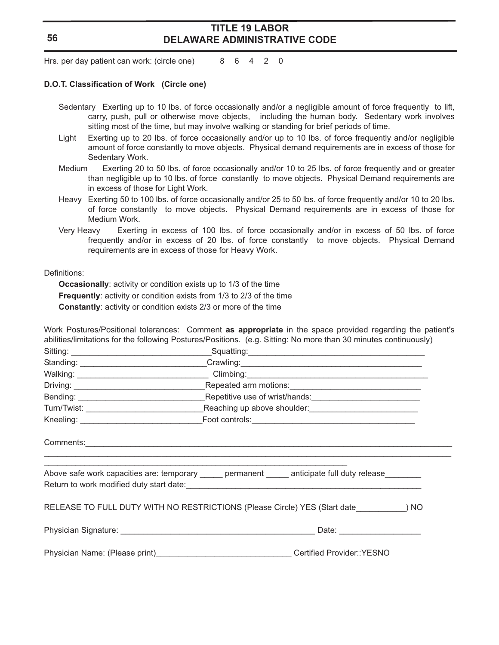Hrs. per day patient can work: (circle one) 8 6 4 2 0

#### **D.O.T. Classification of Work (Circle one)**

- Sedentary Exerting up to 10 lbs. of force occasionally and/or a negligible amount of force frequently to lift, carry, push, pull or otherwise move objects, including the human body. Sedentary work involves sitting most of the time, but may involve walking or standing for brief periods of time.
- Light Exerting up to 20 lbs. of force occasionally and/or up to 10 lbs. of force frequently and/or negligible amount of force constantly to move objects. Physical demand requirements are in excess of those for Sedentary Work.
- Medium Exerting 20 to 50 lbs. of force occasionally and/or 10 to 25 lbs. of force frequently and or greater than negligible up to 10 lbs. of force constantly to move objects. Physical Demand requirements are in excess of those for Light Work.
- Heavy Exerting 50 to 100 lbs. of force occasionally and/or 25 to 50 lbs. of force frequently and/or 10 to 20 lbs. of force constantly to move objects. Physical Demand requirements are in excess of those for Medium Work.
- Very Heavy Exerting in excess of 100 lbs. of force occasionally and/or in excess of 50 lbs. of force frequently and/or in excess of 20 lbs. of force constantly to move objects. Physical Demand requirements are in excess of those for Heavy Work.

Definitions:

**Occasionally**: activity or condition exists up to 1/3 of the time

**Frequently**: activity or condition exists from 1/3 to 2/3 of the time

**Constantly**: activity or condition exists 2/3 or more of the time

Work Postures/Positional tolerances: Comment **as appropriate** in the space provided regarding the patient's abilities/limitations for the following Postures/Positions. (e.g. Sitting: No more than 30 minutes continuously)

| Comments: <u>comments:</u> comments: comments: comments: comments: comments: comments: comments: comments: comments: comments: comments: comments: comments: comments: comments: comments: comments: comments: comments: comments: |
|------------------------------------------------------------------------------------------------------------------------------------------------------------------------------------------------------------------------------------|
| Above safe work capacities are: temporary _____ permanent ____ anticipate full duty release                                                                                                                                        |
| RELEASE TO FULL DUTY WITH NO RESTRICTIONS (Please Circle) YES (Start date __________) NO                                                                                                                                           |
| Date: ______________________                                                                                                                                                                                                       |
|                                                                                                                                                                                                                                    |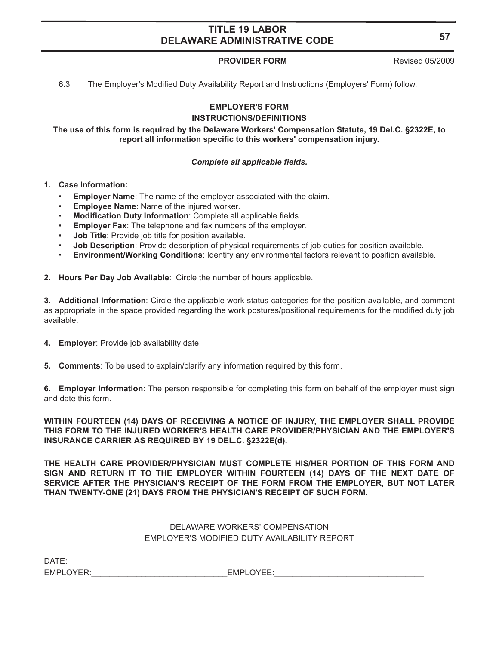### **PROVIDER FORM** Revised 05/2009

6.3 The Employer's Modified Duty Availability Report and Instructions (Employers' Form) follow.

# **EMPLOYER'S FORM**

#### **INSTRUCTIONS/DEFINITIONS**

**The use of this form is required by the Delaware Workers' Compensation Statute, 19 Del.C. §2322E, to report all information specific to this workers' compensation injury.**

### *Complete all applicable fields.*

#### **1. Case Information:**

- **Employer Name**: The name of the employer associated with the claim.
- **Employee Name:** Name of the injured worker.
- **Modification Duty Information**: Complete all applicable fields
- **Employer Fax:** The telephone and fax numbers of the employer.
- **Job Title**: Provide job title for position available.
- **Job Description**: Provide description of physical requirements of job duties for position available.
- **Environment/Working Conditions**: Identify any environmental factors relevant to position available.

**2. Hours Per Day Job Available**: Circle the number of hours applicable.

**3. Additional Information**: Circle the applicable work status categories for the position available, and comment as appropriate in the space provided regarding the work postures/positional requirements for the modified duty job available.

- **4. Employer**: Provide job availability date.
- **5. Comments**: To be used to explain/clarify any information required by this form.

**6. Employer Information**: The person responsible for completing this form on behalf of the employer must sign and date this form.

**WITHIN FOURTEEN (14) DAYS OF RECEIVING A NOTICE OF INJURY, THE EMPLOYER SHALL PROVIDE THIS FORM TO THE INJURED WORKER'S HEALTH CARE PROVIDER/PHYSICIAN AND THE EMPLOYER'S INSURANCE CARRIER AS REQUIRED BY 19 DEL.C. §2322E(d).**

**THE HEALTH CARE PROVIDER/PHYSICIAN MUST COMPLETE HIS/HER PORTION OF THIS FORM AND SIGN AND RETURN IT TO THE EMPLOYER WITHIN FOURTEEN (14) DAYS OF THE NEXT DATE OF SERVICE AFTER THE PHYSICIAN'S RECEIPT OF THE FORM FROM THE EMPLOYER, BUT NOT LATER THAN TWENTY-ONE (21) DAYS FROM THE PHYSICIAN'S RECEIPT OF SUCH FORM.**

### DELAWARE WORKERS' COMPENSATION EMPLOYER'S MODIFIED DUTY AVAILABILITY REPORT

DATE: \_\_\_\_\_\_\_\_\_\_\_\_\_ EMPLOYER: EMPLOYEE: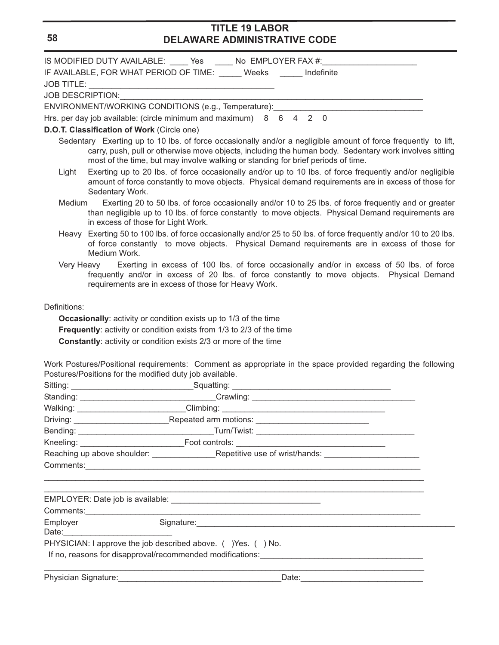|                                                                                                                                                                                                                                                                                                              | IS MODIFIED DUTY AVAILABLE: _____ Yes _____ No EMPLOYER FAX #:__________________                                                                                                                                                                           |  |  |  |  |  |
|--------------------------------------------------------------------------------------------------------------------------------------------------------------------------------------------------------------------------------------------------------------------------------------------------------------|------------------------------------------------------------------------------------------------------------------------------------------------------------------------------------------------------------------------------------------------------------|--|--|--|--|--|
|                                                                                                                                                                                                                                                                                                              | IF AVAILABLE, FOR WHAT PERIOD OF TIME: _____ Weeks _____ Indefinite                                                                                                                                                                                        |  |  |  |  |  |
|                                                                                                                                                                                                                                                                                                              |                                                                                                                                                                                                                                                            |  |  |  |  |  |
|                                                                                                                                                                                                                                                                                                              | JOB DESCRIPTION:                                                                                                                                                                                                                                           |  |  |  |  |  |
|                                                                                                                                                                                                                                                                                                              | ENVIRONMENT/WORKING CONDITIONS (e.g., Temperature): ____________________________                                                                                                                                                                           |  |  |  |  |  |
|                                                                                                                                                                                                                                                                                                              | Hrs. per day job available: (circle minimum and maximum) 8 6 4 2 0                                                                                                                                                                                         |  |  |  |  |  |
|                                                                                                                                                                                                                                                                                                              | D.O.T. Classification of Work (Circle one)                                                                                                                                                                                                                 |  |  |  |  |  |
| Sedentary Exerting up to 10 lbs. of force occasionally and/or a negligible amount of force frequently to lift,<br>carry, push, pull or otherwise move objects, including the human body. Sedentary work involves sitting<br>most of the time, but may involve walking or standing for brief periods of time. |                                                                                                                                                                                                                                                            |  |  |  |  |  |
| Light                                                                                                                                                                                                                                                                                                        | Exerting up to 20 lbs. of force occasionally and/or up to 10 lbs. of force frequently and/or negligible<br>amount of force constantly to move objects. Physical demand requirements are in excess of those for<br>Sedentary Work.                          |  |  |  |  |  |
| Medium                                                                                                                                                                                                                                                                                                       | Exerting 20 to 50 lbs. of force occasionally and/or 10 to 25 lbs. of force frequently and or greater<br>than negligible up to 10 lbs. of force constantly to move objects. Physical Demand requirements are<br>in excess of those for Light Work.          |  |  |  |  |  |
|                                                                                                                                                                                                                                                                                                              | Heavy Exerting 50 to 100 lbs. of force occasionally and/or 25 to 50 lbs. of force frequently and/or 10 to 20 lbs.<br>of force constantly to move objects. Physical Demand requirements are in excess of those for<br>Medium Work.                          |  |  |  |  |  |
|                                                                                                                                                                                                                                                                                                              | Very Heavy Exerting in excess of 100 lbs. of force occasionally and/or in excess of 50 lbs. of force<br>frequently and/or in excess of 20 lbs. of force constantly to move objects. Physical Demand<br>requirements are in excess of those for Heavy Work. |  |  |  |  |  |
| Definitions:                                                                                                                                                                                                                                                                                                 | <b>Occasionally:</b> activity or condition exists up to 1/3 of the time<br>Frequently: activity or condition exists from 1/3 to 2/3 of the time<br><b>Constantly:</b> activity or condition exists 2/3 or more of the time                                 |  |  |  |  |  |
|                                                                                                                                                                                                                                                                                                              | Work Postures/Positional requirements: Comment as appropriate in the space provided regarding the following<br>Postures/Positions for the modified duty job available.                                                                                     |  |  |  |  |  |
|                                                                                                                                                                                                                                                                                                              |                                                                                                                                                                                                                                                            |  |  |  |  |  |
|                                                                                                                                                                                                                                                                                                              |                                                                                                                                                                                                                                                            |  |  |  |  |  |
|                                                                                                                                                                                                                                                                                                              |                                                                                                                                                                                                                                                            |  |  |  |  |  |
|                                                                                                                                                                                                                                                                                                              |                                                                                                                                                                                                                                                            |  |  |  |  |  |
|                                                                                                                                                                                                                                                                                                              |                                                                                                                                                                                                                                                            |  |  |  |  |  |
|                                                                                                                                                                                                                                                                                                              |                                                                                                                                                                                                                                                            |  |  |  |  |  |
|                                                                                                                                                                                                                                                                                                              |                                                                                                                                                                                                                                                            |  |  |  |  |  |
|                                                                                                                                                                                                                                                                                                              |                                                                                                                                                                                                                                                            |  |  |  |  |  |
|                                                                                                                                                                                                                                                                                                              |                                                                                                                                                                                                                                                            |  |  |  |  |  |
| Employer                                                                                                                                                                                                                                                                                                     | Date: <u>__________________________________</u>                                                                                                                                                                                                            |  |  |  |  |  |
|                                                                                                                                                                                                                                                                                                              | PHYSICIAN: I approve the job described above. ( ) Yes. ( ) No.                                                                                                                                                                                             |  |  |  |  |  |
|                                                                                                                                                                                                                                                                                                              | Date: <u>Date:</u>                                                                                                                                                                                                                                         |  |  |  |  |  |